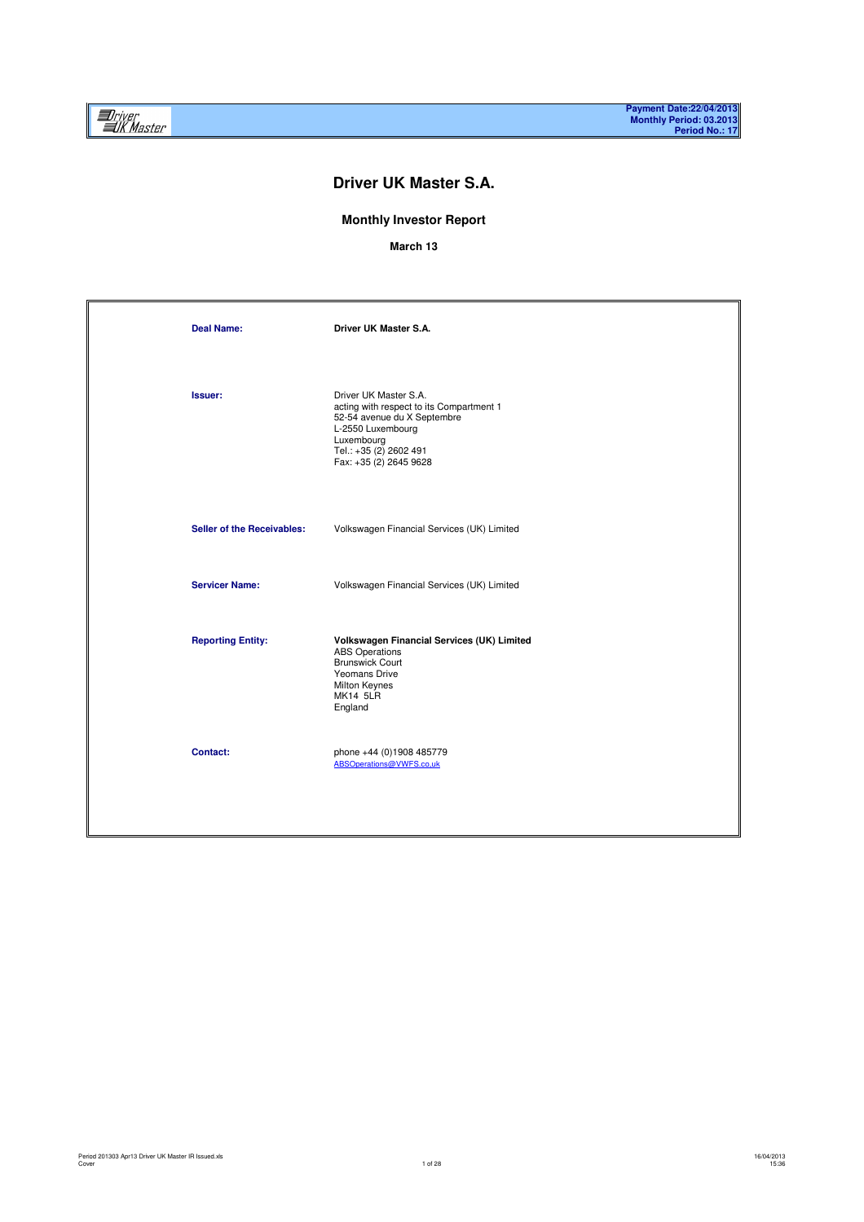# **Driver UK Master S.A.**

### **Monthly Investor Report**

**March 13**

| <b>Deal Name:</b>                 | Driver UK Master S.A.                                                                                                                                                                   |
|-----------------------------------|-----------------------------------------------------------------------------------------------------------------------------------------------------------------------------------------|
| Issuer:                           | Driver UK Master S.A.<br>acting with respect to its Compartment 1<br>52-54 avenue du X Septembre<br>L-2550 Luxembourg<br>Luxembourg<br>Tel.: +35 (2) 2602 491<br>Fax: +35 (2) 2645 9628 |
| <b>Seller of the Receivables:</b> | Volkswagen Financial Services (UK) Limited                                                                                                                                              |
| <b>Servicer Name:</b>             | Volkswagen Financial Services (UK) Limited                                                                                                                                              |
| <b>Reporting Entity:</b>          | Volkswagen Financial Services (UK) Limited<br><b>ABS</b> Operations<br><b>Brunswick Court</b><br>Yeomans Drive<br>Milton Keynes<br><b>MK14 5LR</b><br>England                           |
| Contact:                          | phone +44 (0)1908 485779<br>ABSOperations@VWFS.co,uk                                                                                                                                    |
|                                   |                                                                                                                                                                                         |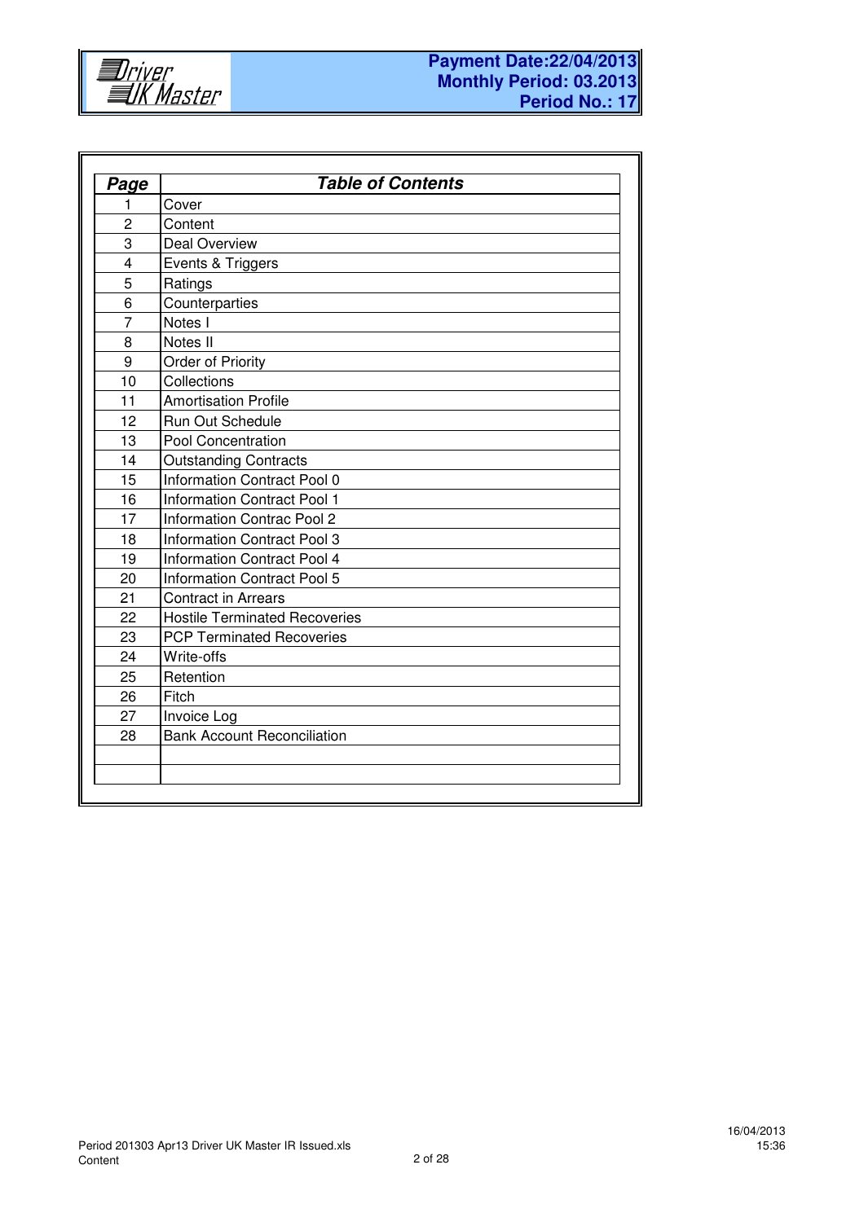

| Page                    | <b>Table of Contents</b>             |  |  |  |  |  |  |  |  |
|-------------------------|--------------------------------------|--|--|--|--|--|--|--|--|
| 1                       | Cover                                |  |  |  |  |  |  |  |  |
| $\overline{c}$          | Content                              |  |  |  |  |  |  |  |  |
| 3                       | <b>Deal Overview</b>                 |  |  |  |  |  |  |  |  |
| $\overline{\mathbf{4}}$ | Events & Triggers                    |  |  |  |  |  |  |  |  |
| 5                       | Ratings                              |  |  |  |  |  |  |  |  |
| 6                       | Counterparties                       |  |  |  |  |  |  |  |  |
| $\overline{7}$          | Notes I                              |  |  |  |  |  |  |  |  |
| 8                       | Notes II                             |  |  |  |  |  |  |  |  |
| 9                       | Order of Priority                    |  |  |  |  |  |  |  |  |
| 10                      | Collections                          |  |  |  |  |  |  |  |  |
| 11                      | <b>Amortisation Profile</b>          |  |  |  |  |  |  |  |  |
| 12                      | Run Out Schedule                     |  |  |  |  |  |  |  |  |
| 13                      | Pool Concentration                   |  |  |  |  |  |  |  |  |
| 14                      | <b>Outstanding Contracts</b>         |  |  |  |  |  |  |  |  |
| 15                      | Information Contract Pool 0          |  |  |  |  |  |  |  |  |
| 16                      | <b>Information Contract Pool 1</b>   |  |  |  |  |  |  |  |  |
| 17                      | <b>Information Contrac Pool 2</b>    |  |  |  |  |  |  |  |  |
| 18                      | <b>Information Contract Pool 3</b>   |  |  |  |  |  |  |  |  |
| 19                      | Information Contract Pool 4          |  |  |  |  |  |  |  |  |
| 20                      | <b>Information Contract Pool 5</b>   |  |  |  |  |  |  |  |  |
| 21                      | <b>Contract in Arrears</b>           |  |  |  |  |  |  |  |  |
| 22                      | <b>Hostile Terminated Recoveries</b> |  |  |  |  |  |  |  |  |
| 23                      | <b>PCP Terminated Recoveries</b>     |  |  |  |  |  |  |  |  |
| 24                      | Write-offs                           |  |  |  |  |  |  |  |  |
| 25                      | Retention                            |  |  |  |  |  |  |  |  |
| 26                      | Fitch                                |  |  |  |  |  |  |  |  |
| 27                      | Invoice Log                          |  |  |  |  |  |  |  |  |
| 28                      | <b>Bank Account Reconciliation</b>   |  |  |  |  |  |  |  |  |
|                         |                                      |  |  |  |  |  |  |  |  |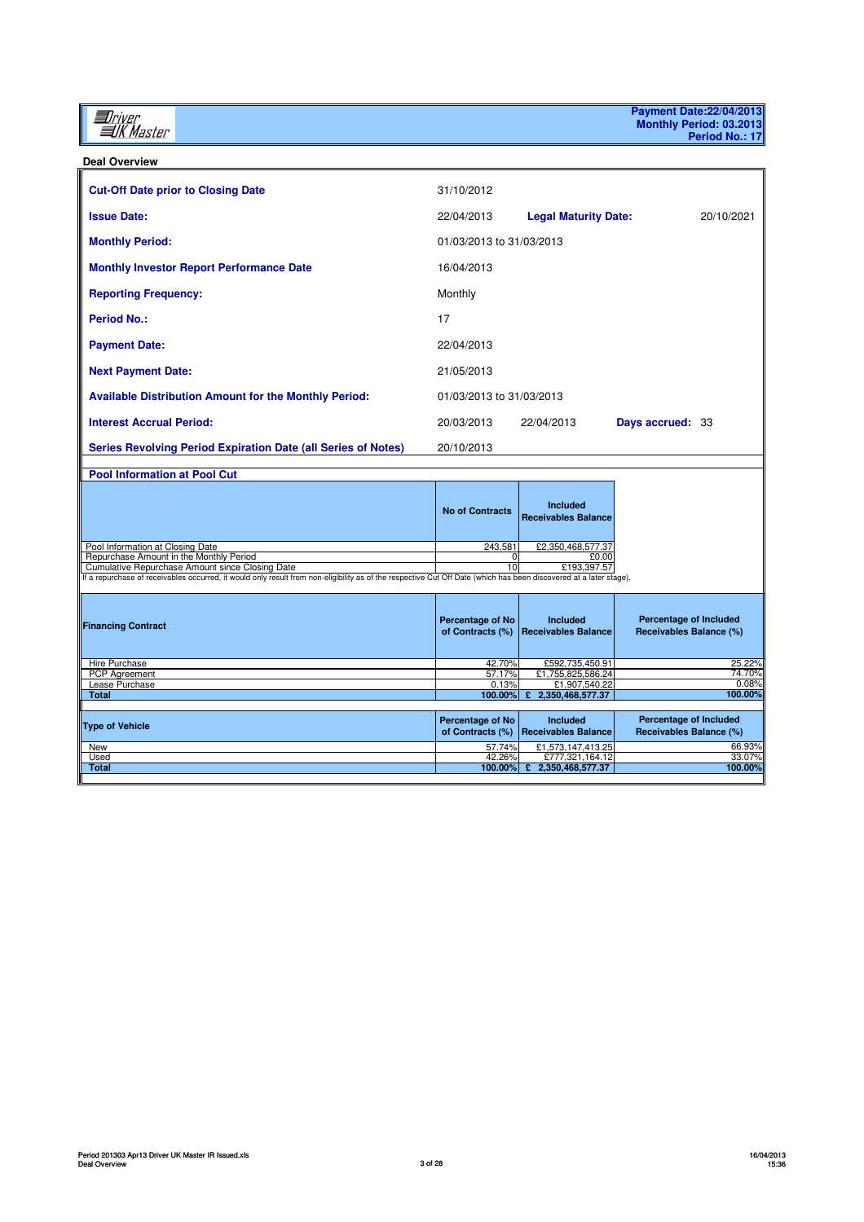*Iniver*<br>*IIK Master* 

**Payment Date:22/04/2013 Monthly Period: 03.2013 Period No.: 17**

**Deal Overview**

| <b>Cut-Off Date prior to Closing Date</b>                                                                                                                          | 31/10/2012                                  |                                               |                                                          |
|--------------------------------------------------------------------------------------------------------------------------------------------------------------------|---------------------------------------------|-----------------------------------------------|----------------------------------------------------------|
| <b>Issue Date:</b>                                                                                                                                                 | 22/04/2013                                  | <b>Legal Maturity Date:</b>                   | 20/10/2021                                               |
| <b>Monthly Period:</b>                                                                                                                                             | 01/03/2013 to 31/03/2013                    |                                               |                                                          |
| <b>Monthly Investor Report Performance Date</b>                                                                                                                    | 16/04/2013                                  |                                               |                                                          |
| <b>Reporting Frequency:</b>                                                                                                                                        | Monthly                                     |                                               |                                                          |
| <b>Period No.:</b>                                                                                                                                                 | 17                                          |                                               |                                                          |
| <b>Payment Date:</b>                                                                                                                                               | 22/04/2013                                  |                                               |                                                          |
| <b>Next Payment Date:</b>                                                                                                                                          | 21/05/2013                                  |                                               |                                                          |
| <b>Available Distribution Amount for the Monthly Period:</b>                                                                                                       | 01/03/2013 to 31/03/2013                    |                                               |                                                          |
| <b>Interest Accrual Period:</b>                                                                                                                                    | 20/03/2013                                  | 22/04/2013                                    | Days accrued: 33                                         |
| <b>Series Revolving Period Expiration Date (all Series of Notes)</b>                                                                                               | 20/10/2013                                  |                                               |                                                          |
| <b>Pool Information at Pool Cut</b>                                                                                                                                |                                             |                                               |                                                          |
|                                                                                                                                                                    | <b>No of Contracts</b>                      | <b>Included</b><br><b>Receivables Balance</b> |                                                          |
| Pool Information at Closing Date                                                                                                                                   | 243,581                                     | £2,350,468,577.37                             |                                                          |
| Repurchase Amount in the Monthly Period                                                                                                                            | 0                                           | £0.00                                         |                                                          |
| Cumulative Repurchase Amount since Closing Date                                                                                                                    | 10                                          | £193,397.57                                   |                                                          |
| If a repurchase of receivables occurred, it would only result from non-eligibility as of the respective Cut Off Date (which has been discovered at a later stage). |                                             |                                               |                                                          |
| <b>Financing Contract</b>                                                                                                                                          | Percentage of No<br>of Contracts (%)        | Included<br><b>Receivables Balance</b>        | <b>Percentage of Included</b><br>Receivables Balance (%) |
| Hire Purchase                                                                                                                                                      | 42.70%                                      | £592,735,450.91                               | 25.22%                                                   |
| <b>PCP</b> Agreement                                                                                                                                               | 57.17%                                      | £1,755,825,586.24                             | 74.70%                                                   |
| Lease Purchase<br><b>Total</b>                                                                                                                                     | 0.13%<br>100.00%                            | £1,907,540.22<br>2,350,468,577.37<br>£        | 0.08%<br>100.00%                                         |
|                                                                                                                                                                    |                                             |                                               |                                                          |
| <b>Type of Vehicle</b>                                                                                                                                             | <b>Percentage of No</b><br>of Contracts (%) | <b>Included</b><br>Receivables Balance        | Percentage of Included<br>Receivables Balance (%)        |
| New                                                                                                                                                                | 57.74%                                      | £1,573,147,413.25                             | 66.93%                                                   |
| Used                                                                                                                                                               | 42.26%                                      | £777,321,164.12                               | 33.07%<br>100.00%                                        |
| <b>Total</b>                                                                                                                                                       | 100.00%                                     | £ 2,350,468,577.37                            |                                                          |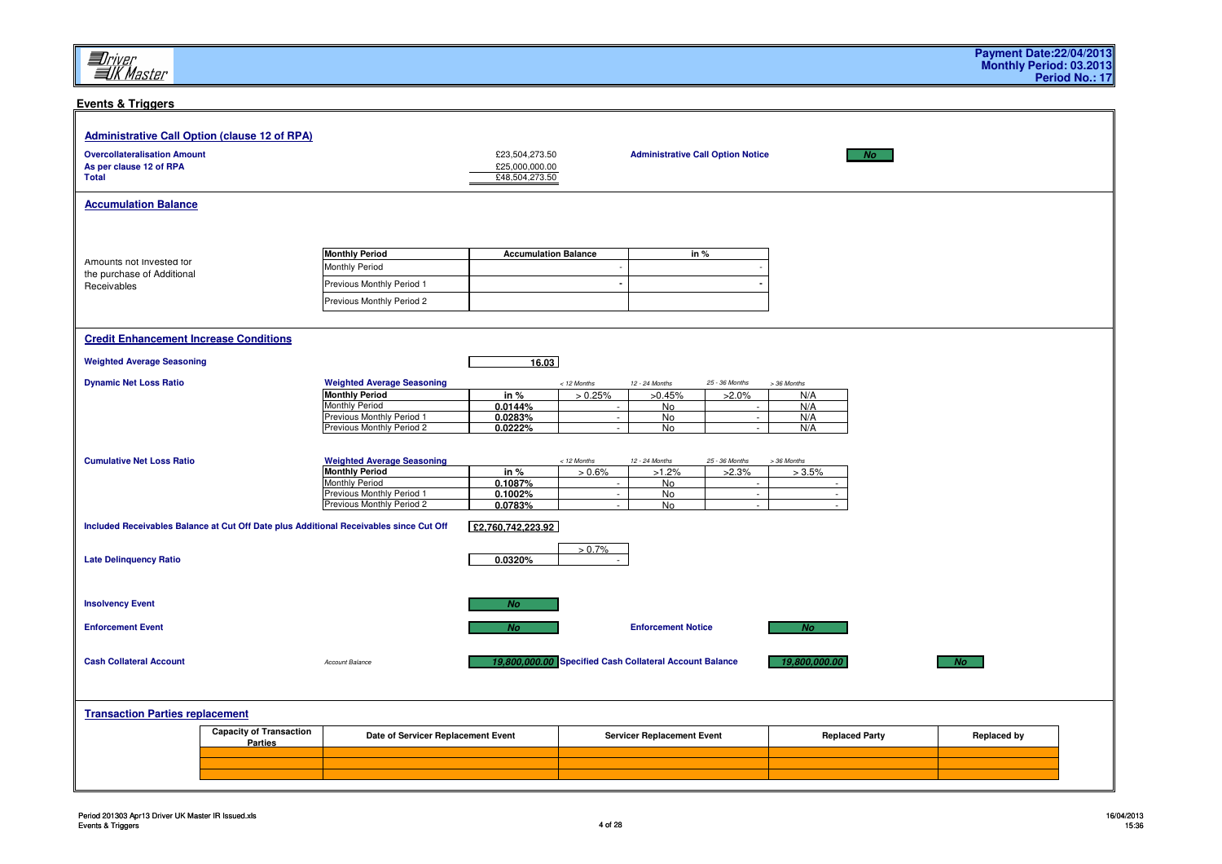### **Events & Triggers**

| <b>Administrative Call Option (clause 12 of RPA)</b> |                                |                                                                                        |                                  |                          |                                                         |                                          |                          |                    |  |
|------------------------------------------------------|--------------------------------|----------------------------------------------------------------------------------------|----------------------------------|--------------------------|---------------------------------------------------------|------------------------------------------|--------------------------|--------------------|--|
| <b>Overcollateralisation Amount</b>                  |                                |                                                                                        | £23,504,273.50                   |                          |                                                         | <b>Administrative Call Option Notice</b> | <b>No</b>                |                    |  |
| As per clause 12 of RPA                              |                                |                                                                                        | £25,000,000.00<br>£48,504,273.50 |                          |                                                         |                                          |                          |                    |  |
| <b>Total</b>                                         |                                |                                                                                        |                                  |                          |                                                         |                                          |                          |                    |  |
| <b>Accumulation Balance</b>                          |                                |                                                                                        |                                  |                          |                                                         |                                          |                          |                    |  |
|                                                      |                                |                                                                                        |                                  |                          |                                                         |                                          |                          |                    |  |
|                                                      |                                |                                                                                        |                                  |                          |                                                         |                                          |                          |                    |  |
|                                                      |                                | <b>Monthly Period</b>                                                                  | <b>Accumulation Balance</b>      |                          |                                                         | in %                                     |                          |                    |  |
| Amounts not Invested for                             |                                | Monthly Period                                                                         |                                  |                          |                                                         |                                          |                          |                    |  |
| the purchase of Additional<br>Receivables            |                                | Previous Monthly Period 1                                                              |                                  |                          |                                                         |                                          |                          |                    |  |
|                                                      |                                | Previous Monthly Period 2                                                              |                                  |                          |                                                         |                                          |                          |                    |  |
|                                                      |                                |                                                                                        |                                  |                          |                                                         |                                          |                          |                    |  |
|                                                      |                                |                                                                                        |                                  |                          |                                                         |                                          |                          |                    |  |
| <b>Credit Enhancement Increase Conditions</b>        |                                |                                                                                        |                                  |                          |                                                         |                                          |                          |                    |  |
| <b>Weighted Average Seasoning</b>                    |                                |                                                                                        | 16.03                            |                          |                                                         |                                          |                          |                    |  |
|                                                      |                                |                                                                                        |                                  |                          |                                                         | 25 - 36 Months                           |                          |                    |  |
| <b>Dynamic Net Loss Ratio</b>                        |                                | <b>Weighted Average Seasoning</b><br><b>Monthly Period</b>                             | in $%$                           | $<$ 12 Months<br>> 0.25% | 12 - 24 Months<br>>0.45%                                | $>2.0\%$                                 | > 36 Months<br>N/A       |                    |  |
|                                                      |                                | Monthly Period                                                                         | 0.0144%                          | $\sim$                   | No                                                      |                                          | N/A                      |                    |  |
|                                                      |                                | Previous Monthly Period 1                                                              | 0.0283%                          | $\sim$<br>$\sim$         | $\overline{N}$                                          | $\sim$<br>$\sim$                         | N/A                      |                    |  |
|                                                      |                                | Previous Monthly Period 2                                                              | 0.0222%                          |                          | No                                                      |                                          | N/A                      |                    |  |
|                                                      |                                |                                                                                        |                                  |                          |                                                         |                                          |                          |                    |  |
| <b>Cumulative Net Loss Ratio</b>                     |                                | <b>Weighted Average Seasoning</b><br><b>Monthly Period</b>                             | in %                             | < 12 Months<br>$> 0.6\%$ | 12 - 24 Months<br>$>1.2\%$                              | 25 - 36 Months<br>$>2.3\%$               | > 36 Months<br>$> 3.5\%$ |                    |  |
|                                                      |                                | <b>Monthly Period</b>                                                                  | 0.1087%                          | $\sim$                   | <b>No</b>                                               |                                          |                          |                    |  |
|                                                      |                                | Previous Monthly Period 1                                                              | 0.1002%                          | $\sim$                   | No                                                      | $\sim$                                   | $\sim$                   |                    |  |
|                                                      |                                | Previous Monthly Period 2                                                              | 0.0783%                          |                          | <b>No</b>                                               |                                          |                          |                    |  |
|                                                      |                                | Included Receivables Balance at Cut Off Date plus Additional Receivables since Cut Off | £2,760,742,223.92                |                          |                                                         |                                          |                          |                    |  |
|                                                      |                                |                                                                                        |                                  | $> 0.7\%$                |                                                         |                                          |                          |                    |  |
| <b>Late Delinquency Ratio</b>                        |                                |                                                                                        | 0.0320%                          |                          |                                                         |                                          |                          |                    |  |
|                                                      |                                |                                                                                        |                                  |                          |                                                         |                                          |                          |                    |  |
|                                                      |                                |                                                                                        |                                  |                          |                                                         |                                          |                          |                    |  |
| <b>Insolvency Event</b>                              |                                |                                                                                        | <b>No</b>                        |                          |                                                         |                                          |                          |                    |  |
| <b>Enforcement Event</b>                             |                                |                                                                                        |                                  |                          | <b>Enforcement Notice</b>                               |                                          |                          |                    |  |
|                                                      |                                |                                                                                        | No.                              |                          |                                                         |                                          | <b>No</b>                |                    |  |
|                                                      |                                |                                                                                        |                                  |                          |                                                         |                                          |                          |                    |  |
| <b>Cash Collateral Account</b>                       |                                | Account Balance                                                                        |                                  |                          | 19,800,000.00 Specified Cash Collateral Account Balance |                                          | 19,800,000.00            | No                 |  |
|                                                      |                                |                                                                                        |                                  |                          |                                                         |                                          |                          |                    |  |
|                                                      |                                |                                                                                        |                                  |                          |                                                         |                                          |                          |                    |  |
| <b>Transaction Parties replacement</b>               |                                |                                                                                        |                                  |                          |                                                         |                                          |                          |                    |  |
|                                                      | <b>Capacity of Transaction</b> | Date of Servicer Replacement Event                                                     |                                  |                          | <b>Servicer Replacement Event</b>                       |                                          | <b>Replaced Party</b>    | <b>Replaced by</b> |  |
|                                                      | <b>Parties</b>                 |                                                                                        |                                  |                          |                                                         |                                          |                          |                    |  |
|                                                      |                                |                                                                                        |                                  |                          |                                                         |                                          |                          |                    |  |
|                                                      |                                |                                                                                        |                                  |                          |                                                         |                                          |                          |                    |  |
|                                                      |                                |                                                                                        |                                  |                          |                                                         |                                          |                          |                    |  |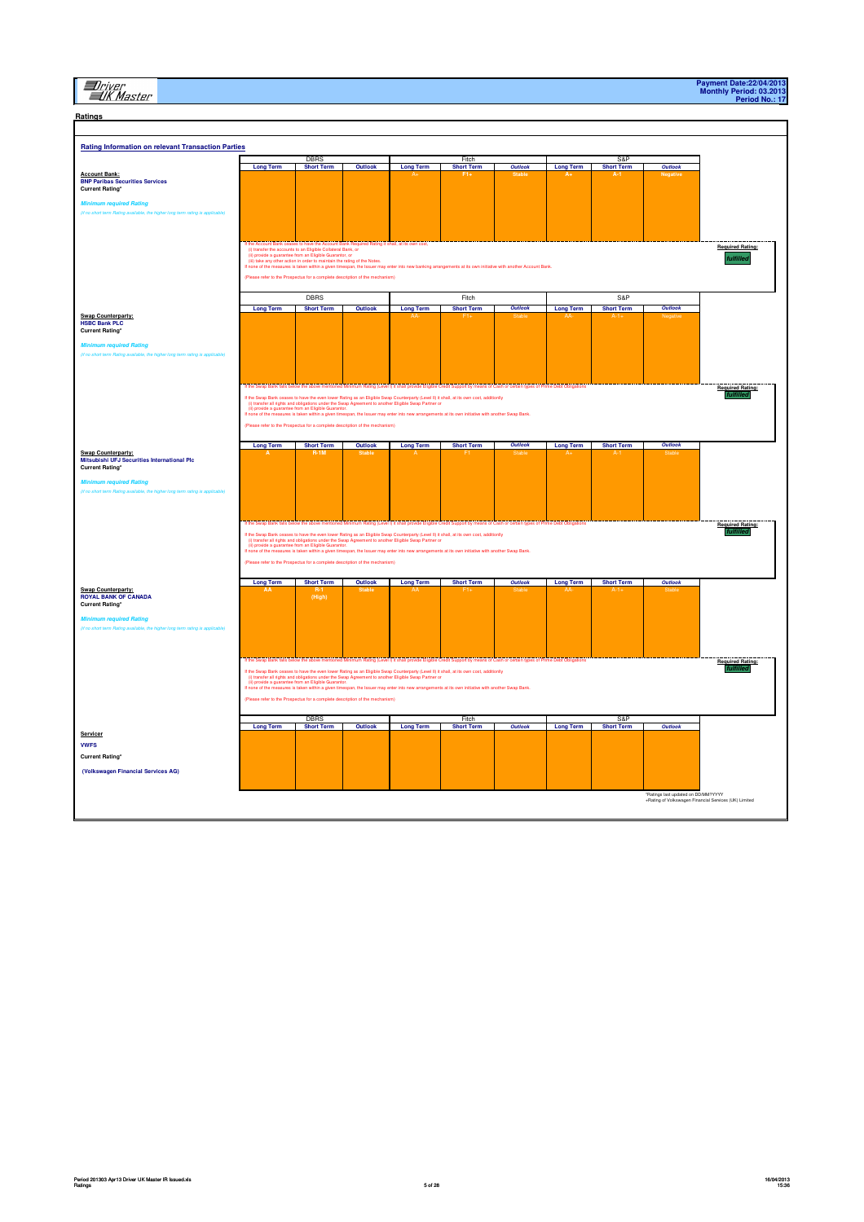# **El**river<br>EIK Master

| <b>Rating Information on relevant Transaction Parties</b>                                                     |                                                                                                                                                                                                                                                                                                        |                                                                              |                |                                                                                                                                                                                                                                                                                                                                                                                                                                                                                                                                                                                                                                 |                   |         |                  |                   |         |                                      |
|---------------------------------------------------------------------------------------------------------------|--------------------------------------------------------------------------------------------------------------------------------------------------------------------------------------------------------------------------------------------------------------------------------------------------------|------------------------------------------------------------------------------|----------------|---------------------------------------------------------------------------------------------------------------------------------------------------------------------------------------------------------------------------------------------------------------------------------------------------------------------------------------------------------------------------------------------------------------------------------------------------------------------------------------------------------------------------------------------------------------------------------------------------------------------------------|-------------------|---------|------------------|-------------------|---------|--------------------------------------|
|                                                                                                               |                                                                                                                                                                                                                                                                                                        | <b>DBRS</b>                                                                  |                |                                                                                                                                                                                                                                                                                                                                                                                                                                                                                                                                                                                                                                 | Fitch             |         |                  | S&P               |         |                                      |
|                                                                                                               | <b>Long Term</b>                                                                                                                                                                                                                                                                                       | <b>Short Term</b>                                                            | Outlook        | <b>Long Term</b>                                                                                                                                                                                                                                                                                                                                                                                                                                                                                                                                                                                                                | <b>Short Term</b> | Outlook | <b>Long Term</b> | <b>Short Term</b> | Outlook |                                      |
| <b>Account Bank:</b><br><b>BNP Paribas Securities Services</b><br><b>Current Rating*</b>                      |                                                                                                                                                                                                                                                                                                        |                                                                              |                |                                                                                                                                                                                                                                                                                                                                                                                                                                                                                                                                                                                                                                 |                   |         |                  |                   |         |                                      |
| <b>Minimum required Rating</b>                                                                                |                                                                                                                                                                                                                                                                                                        |                                                                              |                |                                                                                                                                                                                                                                                                                                                                                                                                                                                                                                                                                                                                                                 |                   |         |                  |                   |         |                                      |
| (if no short to<br>g term rating is ap                                                                        |                                                                                                                                                                                                                                                                                                        |                                                                              |                |                                                                                                                                                                                                                                                                                                                                                                                                                                                                                                                                                                                                                                 |                   |         |                  |                   |         |                                      |
|                                                                                                               | If the Account Bank ceases to have the Account Bank Required Rating it shall, at its own cost, (i) transfer the accounts to an Eligible Collateral Bank, or<br>(ii) transfer the accounts to an Eligible Guarantor, or<br>(Please refer to the Prospectus for a complete description of the mechanism) | (iii) take any other action in order to maintain the rating of the Notes.    |                | If none of the measures is taken within a given timespan, the Issuer may enter into new banking arrangements at its own initiative with another Account Bank                                                                                                                                                                                                                                                                                                                                                                                                                                                                    |                   |         |                  |                   |         | <b>Required Rating:</b><br>fulfilled |
|                                                                                                               |                                                                                                                                                                                                                                                                                                        | DBRS                                                                         |                |                                                                                                                                                                                                                                                                                                                                                                                                                                                                                                                                                                                                                                 | Fitch             |         |                  | S&P               |         |                                      |
|                                                                                                               | <b>Long Term</b>                                                                                                                                                                                                                                                                                       | <b>Short Term</b>                                                            | Outlook        | <b>Long Term</b>                                                                                                                                                                                                                                                                                                                                                                                                                                                                                                                                                                                                                | <b>Short Term</b> | Outlook | <b>Long Term</b> | <b>Short Term</b> | Outlook |                                      |
| <b>Swap Counterparty:</b><br><b>HSBC Bank PLC</b><br><b>Current Rating*</b><br><b>Minimum required Rating</b> |                                                                                                                                                                                                                                                                                                        |                                                                              |                |                                                                                                                                                                                                                                                                                                                                                                                                                                                                                                                                                                                                                                 |                   |         |                  |                   |         |                                      |
|                                                                                                               |                                                                                                                                                                                                                                                                                                        |                                                                              |                |                                                                                                                                                                                                                                                                                                                                                                                                                                                                                                                                                                                                                                 |                   |         |                  |                   |         | <b>Required Rating:</b>              |
|                                                                                                               |                                                                                                                                                                                                                                                                                                        | (Please refer to the Prospectus for a complete description of the mechanism) |                | If the Swap Bank ceases to have the even lower Rating as an Eligible Swap Counterparty (Level B) it shall, at its own cost, additionly<br>(i) stander all rights and obligations under the Swap Agreement to another Eligible Swa<br>If none of the measures is taken within a given timespan, the Issuer may enter into new arrangements at its own initiative with another Swap Bank                                                                                                                                                                                                                                          |                   |         |                  |                   |         |                                      |
|                                                                                                               | <b>Long Term</b>                                                                                                                                                                                                                                                                                       | <b>Short Term</b>                                                            | Outlook        | <b>Long Term</b>                                                                                                                                                                                                                                                                                                                                                                                                                                                                                                                                                                                                                | <b>Short Term</b> | Outlook | <b>Long Term</b> | <b>Short Term</b> | Outlook |                                      |
| <b>Swap Counterparty:</b><br>Mitsubishi UFJ Securities International Plc<br><b>Current Rating*</b>            |                                                                                                                                                                                                                                                                                                        |                                                                              |                |                                                                                                                                                                                                                                                                                                                                                                                                                                                                                                                                                                                                                                 |                   |         |                  |                   |         |                                      |
| <b>Minimum required Rating</b>                                                                                |                                                                                                                                                                                                                                                                                                        |                                                                              |                |                                                                                                                                                                                                                                                                                                                                                                                                                                                                                                                                                                                                                                 |                   |         |                  |                   |         |                                      |
|                                                                                                               |                                                                                                                                                                                                                                                                                                        |                                                                              |                | If the Swap Bank falls below the above mentioned Minimum Rating (Level I) it shall provide Eligible Credit Support by means of Cash or certain types of Prime Debt Obligations<br>If the Swap Bank ceases to have the even lower Rating as an Eligible Swap Counterparty (Level II) it shall, at its own cost, additionly<br>(i) transfer all rights and obligations under the Swap Agreement to another Eligible S                                                                                                                                                                                                             |                   |         |                  |                   |         | <b>Required Rating:</b>              |
|                                                                                                               |                                                                                                                                                                                                                                                                                                        | se refer to the Prospectus for a complete description of the mechanism)      |                | www.w.w.wington.com/windows/windows/windows/windows/windows/windows/windows/windows/windows/windows/windows/win<br>Inche of the measures is taken within a given timespan, the Issuer may enter into new arrangements at its own                                                                                                                                                                                                                                                                                                                                                                                                |                   |         |                  |                   |         |                                      |
|                                                                                                               | <b>Long Term</b>                                                                                                                                                                                                                                                                                       | <b>Short Term</b>                                                            | <b>Outlook</b> | <b>Long Term</b>                                                                                                                                                                                                                                                                                                                                                                                                                                                                                                                                                                                                                | <b>Short Term</b> | Outlook | <b>Long Term</b> | <b>Short Term</b> | Outlook |                                      |
| Swap Counterparty:<br>ROYAL BANK OF CANADA<br><b>Current Rating*</b>                                          |                                                                                                                                                                                                                                                                                                        | (High)                                                                       |                |                                                                                                                                                                                                                                                                                                                                                                                                                                                                                                                                                                                                                                 |                   |         |                  |                   |         |                                      |
| <b>Minimum required Rating</b>                                                                                |                                                                                                                                                                                                                                                                                                        |                                                                              |                |                                                                                                                                                                                                                                                                                                                                                                                                                                                                                                                                                                                                                                 |                   |         |                  |                   |         |                                      |
|                                                                                                               |                                                                                                                                                                                                                                                                                                        |                                                                              |                |                                                                                                                                                                                                                                                                                                                                                                                                                                                                                                                                                                                                                                 |                   |         |                  |                   |         |                                      |
|                                                                                                               | (Please refer to the Prospectus for a complete description of the mechanism)                                                                                                                                                                                                                           |                                                                              |                | If the Swap Bank falls below the above mentioned Minimum Rating (Level I) it shall provide Eligible Credit Support by means of Cash or certain types of Prime Debt Obligations<br>If the Swap Bank ceases to have the even lower Rating as an Eligible Swap Counterparty (Level II) it shall, at its own cost, additionly<br>(i) transfer all rights and obligations under the Swap Agreement to another Eligible S<br>(ii) provide a guarantee from an Eligible Guarantor.<br>I none of the measures is taken within a given timespan, the Issuer may enter into new arrangements at its own initiative with another Swap Bank |                   |         |                  |                   |         | <b>Required Rating:</b><br>fulfille  |
|                                                                                                               |                                                                                                                                                                                                                                                                                                        | DBRS                                                                         |                |                                                                                                                                                                                                                                                                                                                                                                                                                                                                                                                                                                                                                                 | Fitch             |         |                  | S&F               |         |                                      |
|                                                                                                               | <b>Long Term</b>                                                                                                                                                                                                                                                                                       | <b>Short Term</b>                                                            | Outlook        | <b>Long Term</b>                                                                                                                                                                                                                                                                                                                                                                                                                                                                                                                                                                                                                | <b>Short Term</b> | Outlook | <b>Long Term</b> | <b>Short Term</b> | Outlook |                                      |
| Servicer                                                                                                      |                                                                                                                                                                                                                                                                                                        |                                                                              |                |                                                                                                                                                                                                                                                                                                                                                                                                                                                                                                                                                                                                                                 |                   |         |                  |                   |         |                                      |
| <b>VWFS</b>                                                                                                   |                                                                                                                                                                                                                                                                                                        |                                                                              |                |                                                                                                                                                                                                                                                                                                                                                                                                                                                                                                                                                                                                                                 |                   |         |                  |                   |         |                                      |
| <b>Current Rating*</b>                                                                                        |                                                                                                                                                                                                                                                                                                        |                                                                              |                |                                                                                                                                                                                                                                                                                                                                                                                                                                                                                                                                                                                                                                 |                   |         |                  |                   |         |                                      |
| (Volkswagen Financial Services AG)                                                                            |                                                                                                                                                                                                                                                                                                        |                                                                              |                |                                                                                                                                                                                                                                                                                                                                                                                                                                                                                                                                                                                                                                 |                   |         |                  |                   |         |                                      |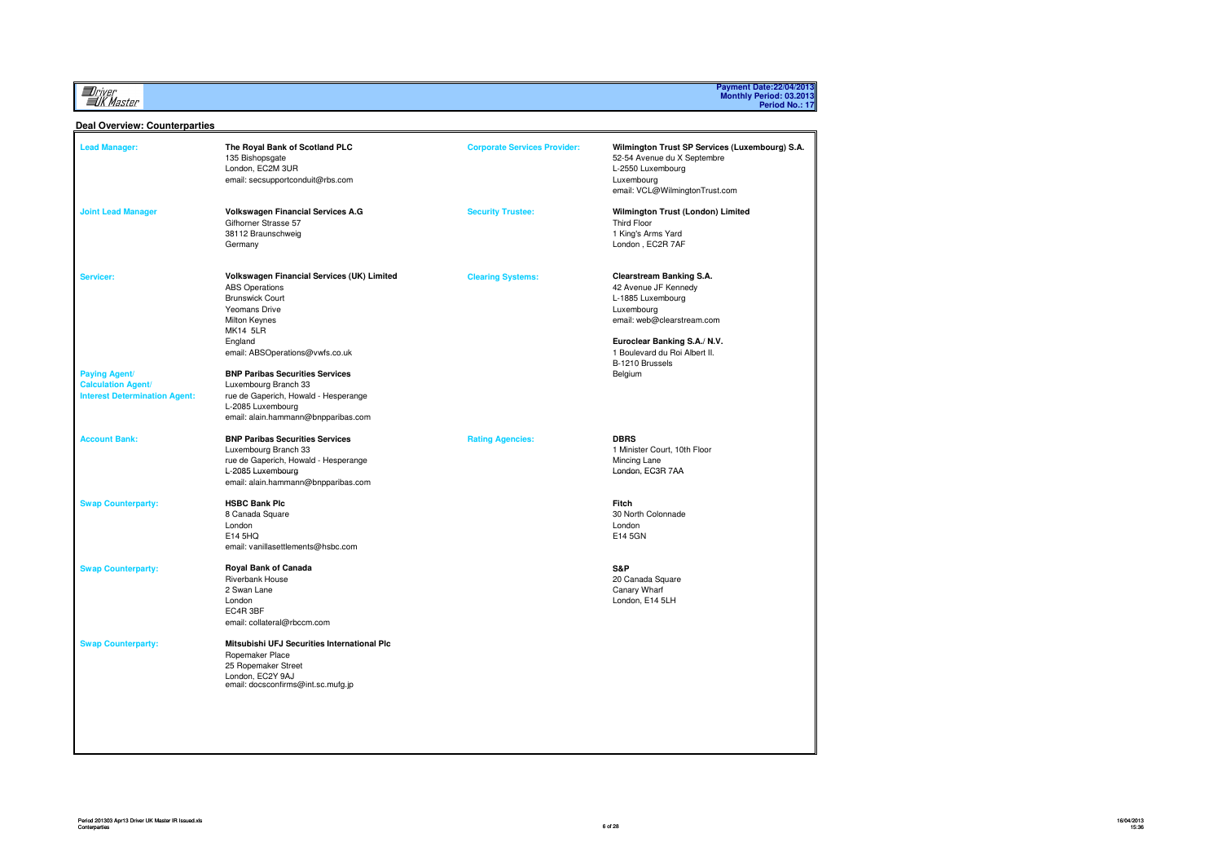*Driver*<br>Alk Master

# **Payment Date:22/04/2013 Monthly Period: 03.2013 Period No.: 17**

#### **Deal Overview: Counterparties**

| The Royal Bank of Scotland PLC<br>135 Bishopsgate<br>London, EC2M 3UR<br>email: secsupportconduit@rbs.com                                                                                                                                                                                                                                                              | <b>Corporate Services Provider:</b> | Wilmington Trust SP Services (Luxembourg) S.A.<br>52-54 Avenue du X Septembre<br>L-2550 Luxembourg<br>Luxembourg<br>email: VCL@WilmingtonTrust.com                                                               |
|------------------------------------------------------------------------------------------------------------------------------------------------------------------------------------------------------------------------------------------------------------------------------------------------------------------------------------------------------------------------|-------------------------------------|------------------------------------------------------------------------------------------------------------------------------------------------------------------------------------------------------------------|
| Volkswagen Financial Services A.G<br>Gifhorner Strasse 57<br>38112 Braunschweig<br>Germany                                                                                                                                                                                                                                                                             | <b>Security Trustee:</b>            | Wilmington Trust (London) Limited<br><b>Third Floor</b><br>1 King's Arms Yard<br>London, EC2R 7AF                                                                                                                |
| Volkswagen Financial Services (UK) Limited<br><b>ABS Operations</b><br><b>Brunswick Court</b><br>Yeomans Drive<br>Milton Keynes<br><b>MK14 5LR</b><br>England<br>email: ABSOperations@vwfs.co.uk<br><b>BNP Paribas Securities Services</b><br>Luxembourg Branch 33<br>rue de Gaperich, Howald - Hesperange<br>L-2085 Luxembourg<br>email: alain.hammann@bnpparibas.com | <b>Clearing Systems:</b>            | Clearstream Banking S.A.<br>42 Avenue JF Kennedy<br>L-1885 Luxembourg<br>Luxembourg<br>email: web@clearstream.com<br>Euroclear Banking S.A./ N.V.<br>1 Boulevard du Roi Albert II.<br>B-1210 Brussels<br>Belgium |
| <b>BNP Paribas Securities Services</b><br>Luxembourg Branch 33<br>rue de Gaperich, Howald - Hesperange<br>L-2085 Luxembourg<br>email: alain.hammann@bnpparibas.com                                                                                                                                                                                                     | <b>Rating Agencies:</b>             | <b>DBRS</b><br>1 Minister Court, 10th Floor<br>Mincing Lane<br>London, EC3R 7AA                                                                                                                                  |
| <b>HSBC Bank Plc</b><br>8 Canada Square<br>London<br>E14 5HQ<br>email: vanillasettlements@hsbc.com                                                                                                                                                                                                                                                                     |                                     | Fitch<br>30 North Colonnade<br>London<br>E14 5GN                                                                                                                                                                 |
| <b>Royal Bank of Canada</b><br><b>Riverbank House</b><br>2 Swan Lane<br>London<br>EC4R 3BF<br>email: collateral@rbccm.com                                                                                                                                                                                                                                              |                                     | S&P<br>20 Canada Square<br>Canary Wharf<br>London, E14 5LH                                                                                                                                                       |
| Mitsubishi UFJ Securities International Plc<br>Ropemaker Place<br>25 Ropemaker Street<br>London, EC2Y 9AJ<br>email: docsconfirms@int.sc.mufg.jp                                                                                                                                                                                                                        |                                     |                                                                                                                                                                                                                  |
|                                                                                                                                                                                                                                                                                                                                                                        |                                     |                                                                                                                                                                                                                  |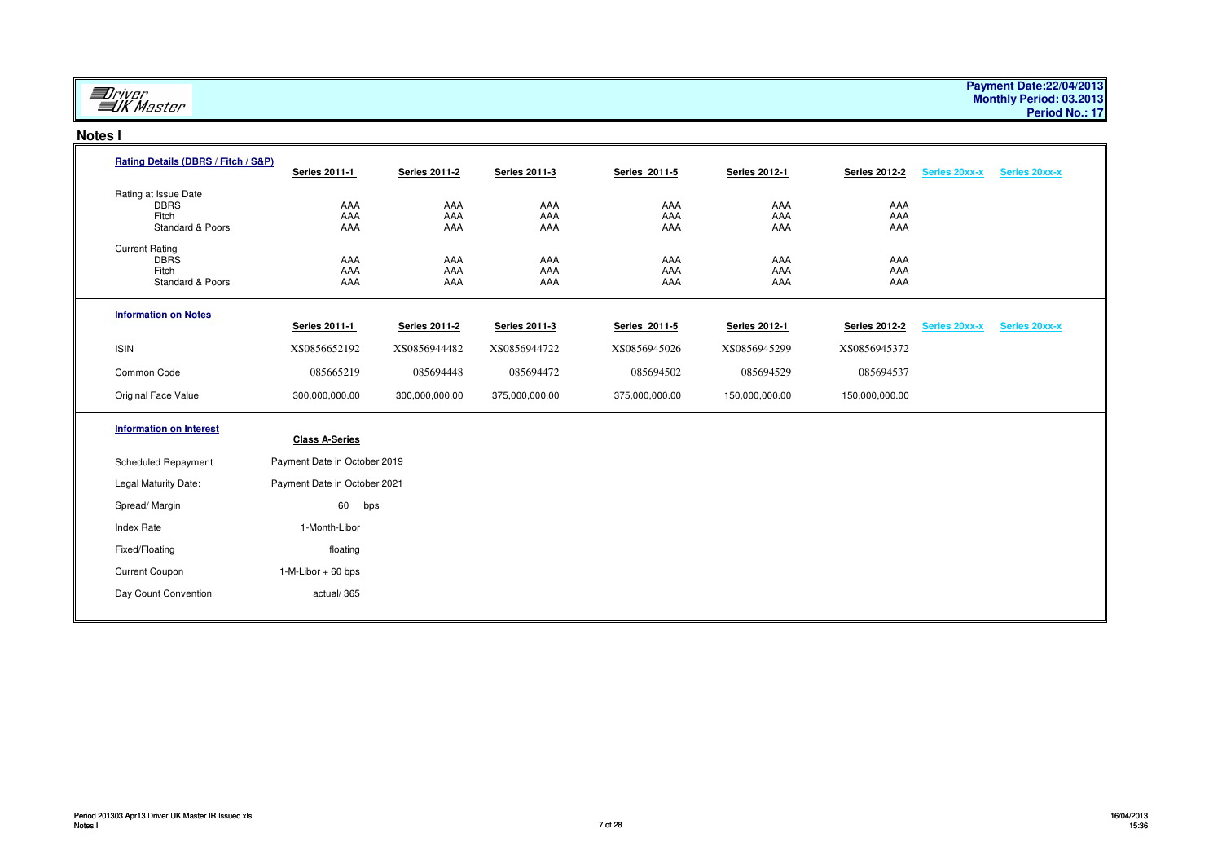# **ED**river<br>EUK Master

### **Notes I**

| Rating Details (DBRS / Fitch / S&P)                                         | <b>Series 2011-1</b>         | <b>Series 2011-2</b> | <b>Series 2011-3</b> | Series 2011-5     | <b>Series 2012-1</b> | <b>Series 2012-2</b> | <b>Series 20xx-x</b> | <b>Series 20xx-x</b> |  |
|-----------------------------------------------------------------------------|------------------------------|----------------------|----------------------|-------------------|----------------------|----------------------|----------------------|----------------------|--|
| Rating at Issue Date<br><b>DBRS</b><br>Fitch<br><b>Standard &amp; Poors</b> | AAA<br>AAA<br>AAA            | AAA<br>AAA<br>AAA    | AAA<br>AAA<br>AAA    | AAA<br>AAA<br>AAA | AAA<br>AAA<br>AAA    | AAA<br>AAA<br>AAA    |                      |                      |  |
| <b>Current Rating</b><br><b>DBRS</b><br>Fitch<br>Standard & Poors           | AAA<br>AAA<br>AAA            | AAA<br>AAA<br>AAA    | AAA<br>AAA<br>AAA    | AAA<br>AAA<br>AAA | AAA<br>AAA<br>AAA    | AAA<br>AAA<br>AAA    |                      |                      |  |
| <b>Information on Notes</b>                                                 | <b>Series 2011-1</b>         | <b>Series 2011-2</b> | <b>Series 2011-3</b> | Series 2011-5     | <b>Series 2012-1</b> | <b>Series 2012-2</b> | <b>Series 20xx-x</b> | Series 20xx-x        |  |
| <b>ISIN</b>                                                                 | XS0856652192                 | XS0856944482         | XS0856944722         | XS0856945026      | XS0856945299         | XS0856945372         |                      |                      |  |
| Common Code                                                                 | 085665219                    | 085694448            | 085694472            | 085694502         | 085694529            | 085694537            |                      |                      |  |
| Original Face Value                                                         | 300,000,000.00               | 300,000,000.00       | 375,000,000.00       | 375,000,000.00    | 150,000,000.00       | 150,000,000.00       |                      |                      |  |
| <b>Information on Interest</b>                                              | <b>Class A-Series</b>        |                      |                      |                   |                      |                      |                      |                      |  |
| <b>Scheduled Repayment</b>                                                  | Payment Date in October 2019 |                      |                      |                   |                      |                      |                      |                      |  |
| Legal Maturity Date:                                                        | Payment Date in October 2021 |                      |                      |                   |                      |                      |                      |                      |  |
| Spread/Margin                                                               | 60<br>bps                    |                      |                      |                   |                      |                      |                      |                      |  |
| <b>Index Rate</b>                                                           | 1-Month-Libor                |                      |                      |                   |                      |                      |                      |                      |  |
| Fixed/Floating                                                              | floating                     |                      |                      |                   |                      |                      |                      |                      |  |
| Current Coupon                                                              | $1-M-Libor + 60 bps$         |                      |                      |                   |                      |                      |                      |                      |  |
| Day Count Convention                                                        | actual/365                   |                      |                      |                   |                      |                      |                      |                      |  |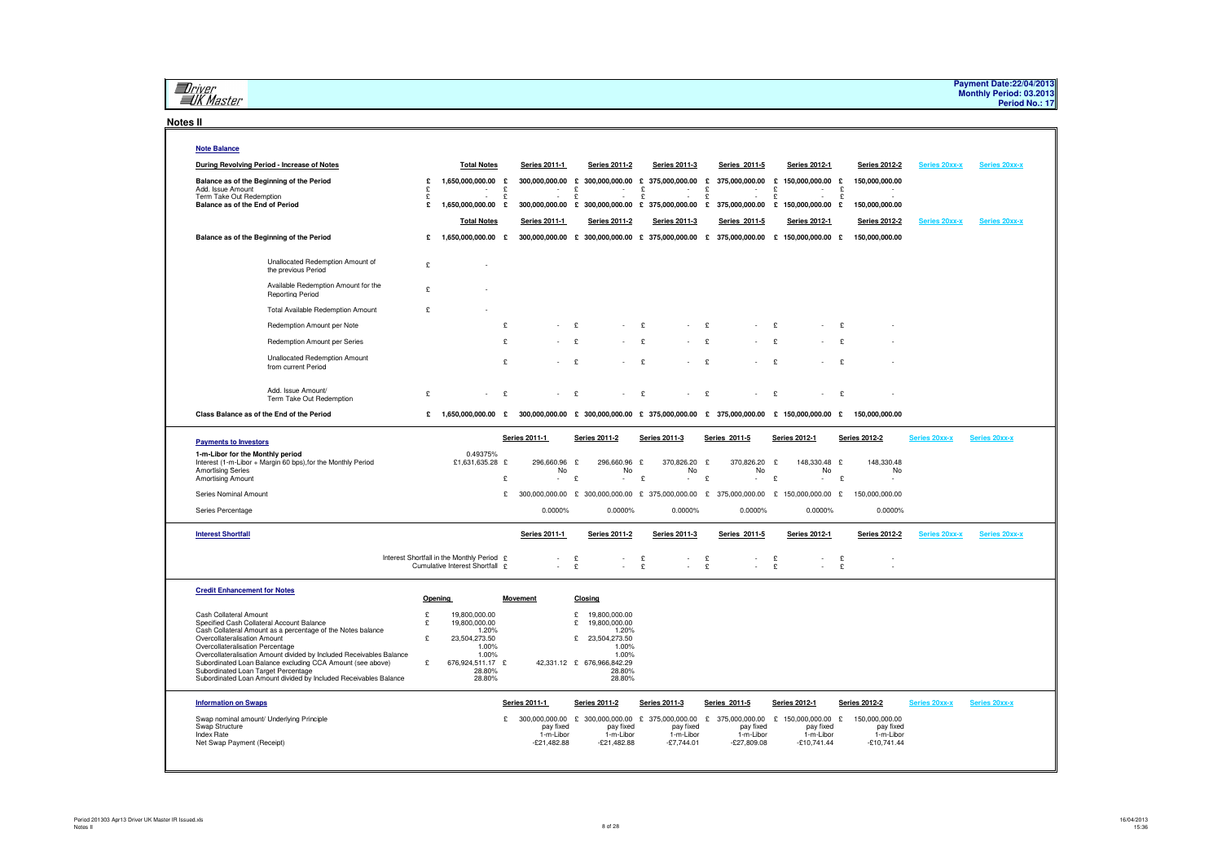**El**river<br>ElK Master

#### **Notes II**

| <b>Note Balance</b>                                                                                                                                                                                                                                                                                                                                                                                                                                     |                  |                                                                                                                    |        |                                                    |                                                                                                                                             |                                                              |                    |                                             |                                                                                      |        |                                                    |                      |                      |
|---------------------------------------------------------------------------------------------------------------------------------------------------------------------------------------------------------------------------------------------------------------------------------------------------------------------------------------------------------------------------------------------------------------------------------------------------------|------------------|--------------------------------------------------------------------------------------------------------------------|--------|----------------------------------------------------|---------------------------------------------------------------------------------------------------------------------------------------------|--------------------------------------------------------------|--------------------|---------------------------------------------|--------------------------------------------------------------------------------------|--------|----------------------------------------------------|----------------------|----------------------|
| During Revolving Period - Increase of Notes                                                                                                                                                                                                                                                                                                                                                                                                             |                  | <b>Total Notes</b>                                                                                                 |        | Series 2011-1                                      | <b>Series 2011-2</b>                                                                                                                        | Series 2011-3                                                |                    | Series 2011-5                               | Series 2012-1                                                                        |        | <b>Series 2012-2</b>                               | <b>Series 20xx-x</b> | Series 20xx-x        |
| Balance as of the Beginning of the Period<br>Add. Issue Amount                                                                                                                                                                                                                                                                                                                                                                                          | £<br>£           | 1,650,000,000.00<br>$\bar{\mathbf{r}}$                                                                             | £<br>£ | 300,000,000.00<br>$\sim$                           | £<br>300,000,000.00 £<br>£<br>$\sim$                                                                                                        | 375,000,000.00<br>£<br>$\sim$                                | £<br>£             | 375,000,000.00<br>$\sim$                    | £<br>150,000,000.00 £<br>£<br>$\sim$                                                 | £      | 150,000,000.00                                     |                      |                      |
| Term Take Out Redemption<br>Balance as of the End of Period                                                                                                                                                                                                                                                                                                                                                                                             | £<br>£           | in 19<br>1,650,000,000.00 £                                                                                        | £      | $\sim$                                             | $\pounds$<br>$\sim$<br>300,000,000.00 £ 300,000,000.00 £ 375,000,000.00 £                                                                   | £<br>$\sim$                                                  | £                  | $\sim$                                      | £<br>$\sim$<br>375,000,000.00 £ 150,000,000.00 £                                     | £      | 150,000,000.00                                     |                      |                      |
|                                                                                                                                                                                                                                                                                                                                                                                                                                                         |                  | <b>Total Notes</b>                                                                                                 |        | Series 2011-1                                      | <b>Series 2011-2</b>                                                                                                                        | Series 2011-3                                                |                    | Series 2011-5                               | Series 2012-1                                                                        |        | <b>Series 2012-2</b>                               | Series 20xx-x        | Series 20xx-x        |
| Balance as of the Beginning of the Period                                                                                                                                                                                                                                                                                                                                                                                                               | £                | 1,650,000,000.00 £                                                                                                 |        |                                                    | 300,000,000.00 £ 300,000,000.00 £ 375,000,000.00 £ 375,000,000.00 £ 150,000,000.00 £                                                        |                                                              |                    |                                             |                                                                                      |        | 150,000,000.00                                     |                      |                      |
| Unallocated Redemption Amount of<br>the previous Period                                                                                                                                                                                                                                                                                                                                                                                                 | £                |                                                                                                                    |        |                                                    |                                                                                                                                             |                                                              |                    |                                             |                                                                                      |        |                                                    |                      |                      |
| Available Redemption Amount for the<br>Reporting Period                                                                                                                                                                                                                                                                                                                                                                                                 | £                |                                                                                                                    |        |                                                    |                                                                                                                                             |                                                              |                    |                                             |                                                                                      |        |                                                    |                      |                      |
| <b>Total Available Redemption Amount</b>                                                                                                                                                                                                                                                                                                                                                                                                                | £                |                                                                                                                    |        |                                                    |                                                                                                                                             |                                                              |                    |                                             |                                                                                      |        |                                                    |                      |                      |
| Redemption Amount per Note                                                                                                                                                                                                                                                                                                                                                                                                                              |                  |                                                                                                                    | £      |                                                    | £                                                                                                                                           | £                                                            | £                  |                                             | $\mathbf{f}$                                                                         | £      |                                                    |                      |                      |
| Redemption Amount per Series                                                                                                                                                                                                                                                                                                                                                                                                                            |                  |                                                                                                                    | ¢      |                                                    | £                                                                                                                                           | $\mathbf{f}$                                                 | $\mathbf{f}$       |                                             | $\mathbf{c}$                                                                         | £      |                                                    |                      |                      |
| <b>Unallocated Redemption Amount</b><br>from current Period                                                                                                                                                                                                                                                                                                                                                                                             |                  |                                                                                                                    | £      |                                                    | £                                                                                                                                           | £                                                            | £                  |                                             | $\mathbf{c}$                                                                         | £      |                                                    |                      |                      |
| Add. Issue Amount/<br>Term Take Out Redemption                                                                                                                                                                                                                                                                                                                                                                                                          | £                |                                                                                                                    | £      |                                                    | £                                                                                                                                           | £                                                            | £                  |                                             | £                                                                                    | £      |                                                    |                      |                      |
| Class Balance as of the End of the Period                                                                                                                                                                                                                                                                                                                                                                                                               | £                |                                                                                                                    |        |                                                    | $1,650,000,000.00$ £ 300,000,000.00 £ 300,000,000.00 £ 375,000,000.00 £ 375,000,000.00 £ 150,000,000.00 £ 150,000,000.00                    |                                                              |                    |                                             |                                                                                      |        |                                                    |                      |                      |
| <b>Payments to Investors</b><br>1-m-Libor for the Monthly period<br>Interest (1-m-Libor + Margin 60 bps), for the Monthly Period<br><b>Amortising Series</b><br>Amortising Amount                                                                                                                                                                                                                                                                       |                  | 0.49375%<br>£1,631,635.28 £                                                                                        | £      | <b>Series 2011-1</b><br>296,660.96<br>No<br>$\sim$ | <b>Series 2011-2</b><br>£<br>296,660.96<br>No<br>$\mathbf{E}$<br>$\sim$                                                                     | <b>Series 2011-3</b><br>£<br>370,826.20<br>No<br>£<br>$\sim$ | E<br>£             | Series 2011-5<br>370,826.20<br>No<br>$\sim$ | <b>Series 2012-1</b><br>148,330.48 £<br>£<br>No<br>£<br>$\sim$                       | £      | <b>Series 2012-2</b><br>148,330.48<br>No<br>$\sim$ | <b>Series 20xx-x</b> | <b>Series 20xx-x</b> |
| Series Nominal Amount                                                                                                                                                                                                                                                                                                                                                                                                                                   |                  |                                                                                                                    | £      |                                                    |                                                                                                                                             |                                                              |                    |                                             | 300,000,000.00 £ 300,000,000.00 £ 375,000,000.00 £ 375,000,000.00 £ 150,000,000.00 £ |        | 150,000,000.00                                     |                      |                      |
|                                                                                                                                                                                                                                                                                                                                                                                                                                                         |                  |                                                                                                                    |        |                                                    |                                                                                                                                             |                                                              |                    |                                             |                                                                                      |        |                                                    |                      |                      |
| Series Percentage                                                                                                                                                                                                                                                                                                                                                                                                                                       |                  |                                                                                                                    |        | 0.0000%                                            | 0.0000%                                                                                                                                     | 0.0000%                                                      |                    | 0.0000%                                     | 0.0000%                                                                              |        | 0.0000%                                            |                      |                      |
| <b>Interest Shortfall</b>                                                                                                                                                                                                                                                                                                                                                                                                                               |                  |                                                                                                                    |        | <b>Series 2011-1</b>                               | <b>Series 2011-2</b>                                                                                                                        | <b>Series 2011-3</b>                                         |                    | Series 2011-5                               | <b>Series 2012-1</b>                                                                 |        | <b>Series 2012-2</b>                               | Series 20xx-x        | Series 20xx-x        |
|                                                                                                                                                                                                                                                                                                                                                                                                                                                         |                  | Interest Shortfall in the Monthly Period £<br>Cumulative Interest Shortfall £                                      |        | $\sim$                                             | £<br>$\sim$<br>£                                                                                                                            | £<br>$\sim$<br>£                                             | $_{\rm f}^{\rm c}$ | $\sim$                                      | £<br>£                                                                               | £<br>£ |                                                    |                      |                      |
| <b>Credit Enhancement for Notes</b>                                                                                                                                                                                                                                                                                                                                                                                                                     |                  | Opening                                                                                                            |        | <b>Movement</b>                                    | Closing                                                                                                                                     |                                                              |                    |                                             |                                                                                      |        |                                                    |                      |                      |
| Cash Collateral Amount<br>Specified Cash Collateral Account Balance<br>Cash Collateral Amount as a percentage of the Notes balance<br>Overcollateralisation Amount<br>Overcollateralisation Percentage<br>Overcollateralisation Amount divided by Included Receivables Balance<br>Subordinated Loan Balance excluding CCA Amount (see above)<br>Subordinated Loan Target Percentage<br>Subordinated Loan Amount divided by Included Receivables Balance | £<br>£<br>£<br>£ | 19,800,000.00<br>19,800,000.00<br>1.20%<br>23,504,273.50<br>1.00%<br>1.00%<br>676,924,511.17 £<br>28.80%<br>28.80% |        |                                                    | 19,800,000.00<br>£<br>£<br>19,800,000.00<br>1.20%<br>£<br>23,504,273.50<br>1.00%<br>1.00%<br>42,331.12 £ 676,966,842.29<br>28.80%<br>28.80% |                                                              |                    |                                             |                                                                                      |        |                                                    |                      |                      |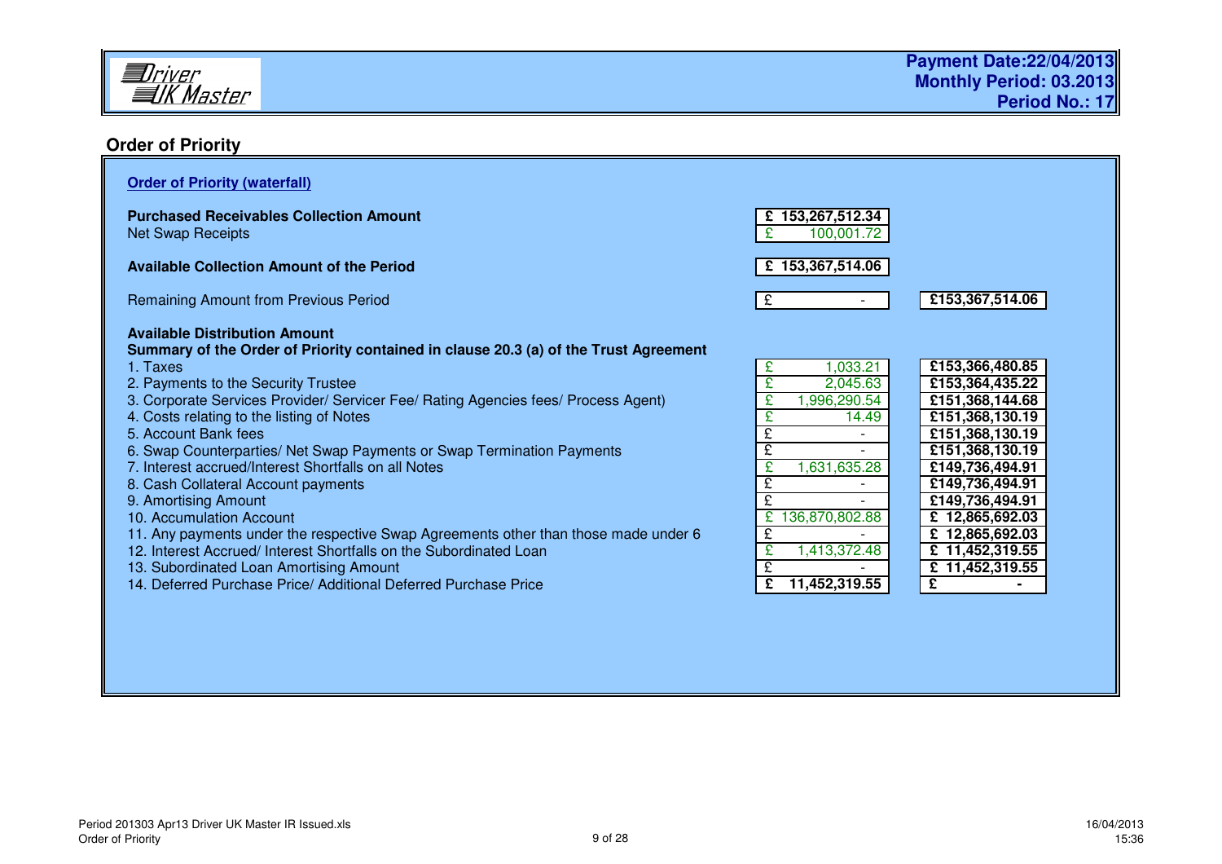

# **Order of Priority**

| <b>Order of Priority (waterfall)</b>                                                                                                                                                                                                                                                                                                                                                                                                                                                                                                                                                                                                                                                                                                                                            |                                                                                                                                               |                                                                                                                                                                                                                                                   |
|---------------------------------------------------------------------------------------------------------------------------------------------------------------------------------------------------------------------------------------------------------------------------------------------------------------------------------------------------------------------------------------------------------------------------------------------------------------------------------------------------------------------------------------------------------------------------------------------------------------------------------------------------------------------------------------------------------------------------------------------------------------------------------|-----------------------------------------------------------------------------------------------------------------------------------------------|---------------------------------------------------------------------------------------------------------------------------------------------------------------------------------------------------------------------------------------------------|
| <b>Purchased Receivables Collection Amount</b><br><b>Net Swap Receipts</b>                                                                                                                                                                                                                                                                                                                                                                                                                                                                                                                                                                                                                                                                                                      | £153,267,512.34<br>100,001.72                                                                                                                 |                                                                                                                                                                                                                                                   |
| <b>Available Collection Amount of the Period</b>                                                                                                                                                                                                                                                                                                                                                                                                                                                                                                                                                                                                                                                                                                                                | £ 153,367,514.06                                                                                                                              |                                                                                                                                                                                                                                                   |
| <b>Remaining Amount from Previous Period</b>                                                                                                                                                                                                                                                                                                                                                                                                                                                                                                                                                                                                                                                                                                                                    | £                                                                                                                                             | £153,367,514.06                                                                                                                                                                                                                                   |
| <b>Available Distribution Amount</b><br>Summary of the Order of Priority contained in clause 20.3 (a) of the Trust Agreement<br>1. Taxes<br>2. Payments to the Security Trustee<br>3. Corporate Services Provider/ Servicer Fee/ Rating Agencies fees/ Process Agent)<br>4. Costs relating to the listing of Notes<br>5. Account Bank fees<br>6. Swap Counterparties/ Net Swap Payments or Swap Termination Payments<br>7. Interest accrued/Interest Shortfalls on all Notes<br>8. Cash Collateral Account payments<br>9. Amortising Amount<br>10. Accumulation Account<br>11. Any payments under the respective Swap Agreements other than those made under 6<br>12. Interest Accrued/ Interest Shortfalls on the Subordinated Loan<br>13. Subordinated Loan Amortising Amount | 1,033.21<br>£.<br>2,045.63<br>,996,290.54<br>£<br>14.49<br>£<br>ç<br>1,631,635.28<br>£<br>ç<br>136,870,802.88<br>£.<br>£<br>1,413,372.48<br>£ | £153,366,480.85<br>£153,364,435.22<br>£151,368,144.68<br>£151,368,130.19<br>£151,368,130.19<br>£151,368,130.19<br>£149,736,494.91<br>£149,736,494.91<br>£149,736,494.91<br>£12,865,692.03<br>£12,865,692.03<br>£ 11,452,319.55<br>£ 11,452,319.55 |
| 14. Deferred Purchase Price/ Additional Deferred Purchase Price                                                                                                                                                                                                                                                                                                                                                                                                                                                                                                                                                                                                                                                                                                                 | £<br>11,452,319.55                                                                                                                            | £                                                                                                                                                                                                                                                 |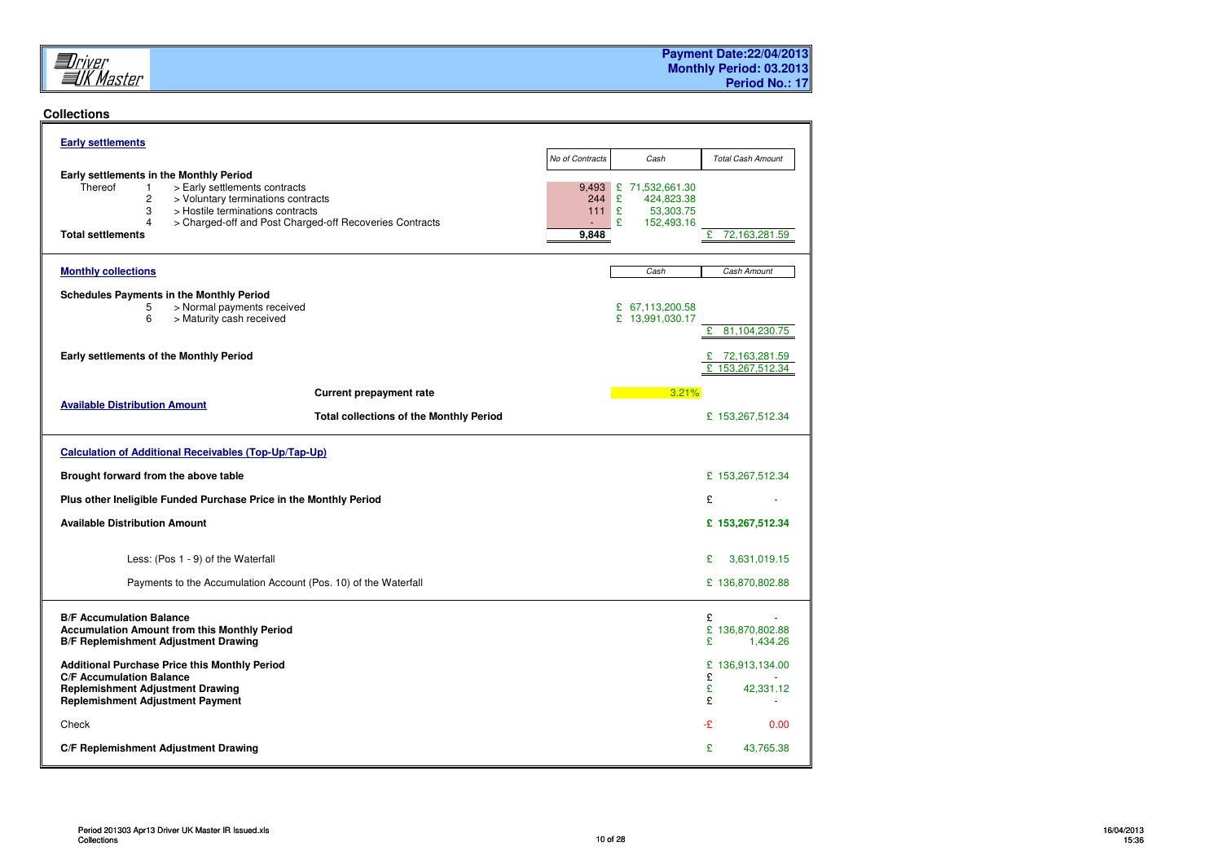

### **Collections**

| <b>Early settlements</b>                                                                                                                                                                                                                                                            |                              |                                                                            |                                                 |
|-------------------------------------------------------------------------------------------------------------------------------------------------------------------------------------------------------------------------------------------------------------------------------------|------------------------------|----------------------------------------------------------------------------|-------------------------------------------------|
|                                                                                                                                                                                                                                                                                     | No of Contracts              | Cash                                                                       | <b>Total Cash Amount</b>                        |
| Early settlements in the Monthly Period<br>Thereof<br>> Early settlements contracts<br>$\mathbf{1}$<br>2<br>> Voluntary terminations contracts<br>3<br>> Hostile terminations contracts<br>4<br>> Charged-off and Post Charged-off Recoveries Contracts<br><b>Total settlements</b> | 9,493<br>244<br>111<br>9,848 | £<br>71,532,661.30<br>£<br>424,823.38<br>£<br>53,303.75<br>£<br>152,493.16 | £<br>72,163,281.59                              |
| <b>Monthly collections</b>                                                                                                                                                                                                                                                          |                              | Cash                                                                       | Cash Amount                                     |
| <b>Schedules Payments in the Monthly Period</b><br>> Normal payments received<br>5<br>6<br>> Maturity cash received                                                                                                                                                                 |                              | £ 67,113,200.58<br>£ 13,991,030.17                                         | 81,104,230.75<br>£                              |
| Early settlements of the Monthly Period                                                                                                                                                                                                                                             |                              |                                                                            | £<br>72,163,281.59<br>153,267,512.34<br>£       |
| <b>Current prepayment rate</b>                                                                                                                                                                                                                                                      |                              | 3.21%                                                                      |                                                 |
| <b>Available Distribution Amount</b><br><b>Total collections of the Monthly Period</b>                                                                                                                                                                                              |                              |                                                                            | £ 153,267,512.34                                |
| <b>Calculation of Additional Receivables (Top-Up/Tap-Up)</b>                                                                                                                                                                                                                        |                              |                                                                            |                                                 |
| Brought forward from the above table                                                                                                                                                                                                                                                |                              |                                                                            | £ 153,267,512.34                                |
| Plus other Ineligible Funded Purchase Price in the Monthly Period                                                                                                                                                                                                                   |                              |                                                                            | £                                               |
| <b>Available Distribution Amount</b>                                                                                                                                                                                                                                                |                              |                                                                            | £153,267,512.34                                 |
| Less: (Pos 1 - 9) of the Waterfall                                                                                                                                                                                                                                                  |                              |                                                                            | £<br>3,631,019.15                               |
| Payments to the Accumulation Account (Pos. 10) of the Waterfall                                                                                                                                                                                                                     |                              |                                                                            | £ 136,870,802.88                                |
| <b>B/F Accumulation Balance</b><br><b>Accumulation Amount from this Monthly Period</b><br><b>B/F Replemishment Adjustment Drawing</b>                                                                                                                                               |                              |                                                                            | £<br>£ 136,870,802.88<br>£<br>1,434.26          |
| Additional Purchase Price this Monthly Period<br><b>C/F Accumulation Balance</b><br><b>Replemishment Adjustment Drawing</b><br><b>Replemishment Adjustment Payment</b>                                                                                                              |                              |                                                                            | £<br>136,913,134.00<br>£<br>£<br>42,331.12<br>£ |
| Check                                                                                                                                                                                                                                                                               |                              |                                                                            | -£<br>0.00                                      |
| C/F Replemishment Adjustment Drawing                                                                                                                                                                                                                                                |                              |                                                                            | £<br>43,765.38                                  |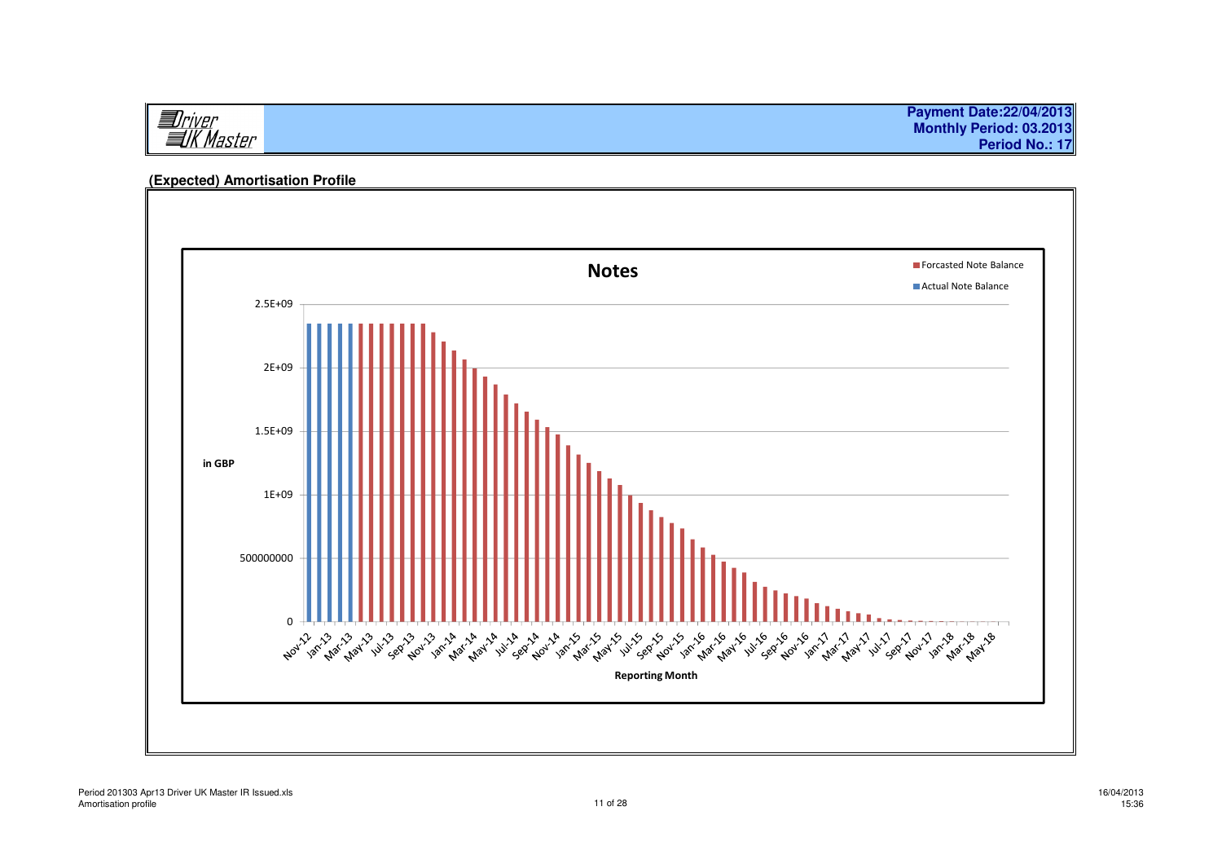**Payment Date:22/04/2013I**Driver<br>IIK Master **Monthly Period: 03.2013Period No.: 17**

# $\blacksquare$  and  $\blacksquare$  and  $\blacksquare$ 1E+091.5E+092E+092.5E+09in GBP**Forcasted Note Balance** Actual Note Balance0 500000000Reporting Month

# **(Expected) Amortisation Profile**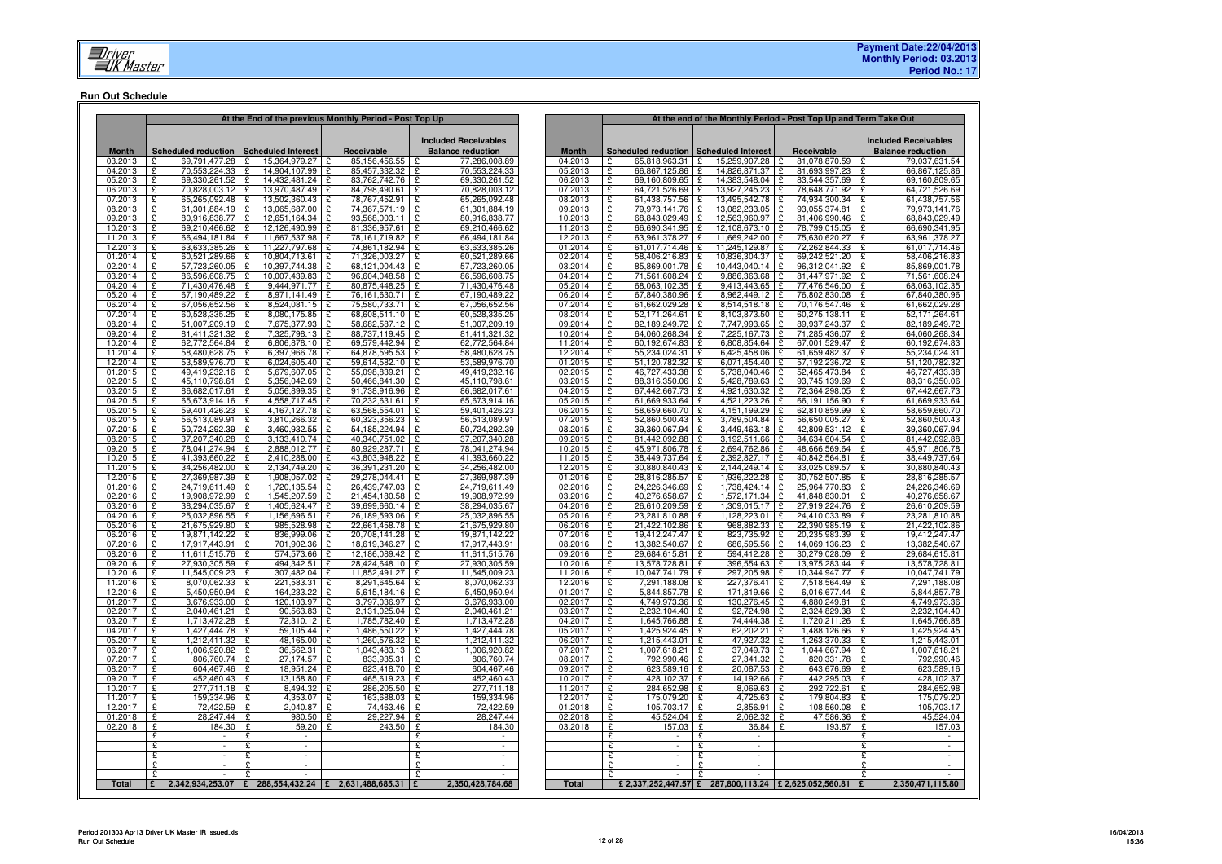#### **Run Out Schedule**

|                    |                                              |                                    | At the End of the previous Monthly Period - Post Top Up        |                                          |                    | At the end of the Monthly Period - Post Top Up and Term Take Out |                                                              |                                              |                                |  |  |  |
|--------------------|----------------------------------------------|------------------------------------|----------------------------------------------------------------|------------------------------------------|--------------------|------------------------------------------------------------------|--------------------------------------------------------------|----------------------------------------------|--------------------------------|--|--|--|
|                    |                                              |                                    |                                                                | <b>Included Receivables</b>              |                    |                                                                  |                                                              |                                              | <b>Included Receivables</b>    |  |  |  |
| <b>Month</b>       | Scheduled reduction   Scheduled Interest     |                                    | Receivable                                                     | <b>Balance reduction</b>                 | <b>Month</b>       | Scheduled reduction Scheduled Interest                           |                                                              | Receivable                                   | <b>Balance reduction</b>       |  |  |  |
| 03.2013            | 69.791.477.28 £<br>£                         | 15.364.979.27                      | 85.156.456.55<br>١£                                            | 77.286.008.89<br>£                       | 04.2013            | 65.818.963.31 £<br>£                                             | 15.259.907.28                                                | 81.078.870.59 £<br>$\mathbf{F}$              | 79.037.631.54                  |  |  |  |
| 04.2013            | 70,553,224.33<br>£                           | 14,904,107.99<br>£                 | 85,457,332.32<br>١£                                            | 70,553,224.33<br>£                       | 05.2013            | £<br>66,867,125.86                                               | £<br>14,826,871.37                                           | £<br>81,693,997.23 £                         | 66,867,125.86                  |  |  |  |
| 05.2013<br>06.2013 | ç<br>69,330,261.52 £<br>£<br>70,828,003.12 £ | 14,432,481.24 £<br>13,970,487.49 £ | 83,762,742.76<br>84,798,490.61                                 | 69,330,261.52<br>70,828,003.12           | 06.2013<br>07.2013 | £<br>69,160,809.65<br>£<br>64,721,526.69                         | £<br>14,383,548.04<br>13,927,245.23 £<br>£                   | £<br>83,544,357.69 £<br>78,648,771.92 £      | 69,160,809.65<br>64,721,526.69 |  |  |  |
| 07.2013            | 65,265,092.48<br>£                           | £<br>13,502,360.43                 | 78,767,452.91<br>Ι£                                            | 65,265,092.48                            | 08.2013            | £<br>61,438,757.56                                               | 13,495,542.78                                                | 74,934,300.34 £                              | 61,438,757.56                  |  |  |  |
| 08.2013            | £<br>61.301.884.19                           | 13,065,687.00<br>£                 | 74.367.571.19<br>١£                                            | 61.301.884.19                            | 09.2013            | £<br>79.973.141.76                                               | 13.082.233.05<br>$\mathbf{c}$                                | 93,055,374.81<br>ç                           | 79.973.141.76                  |  |  |  |
| 09.2013            | 80,916,838.77 £<br>£                         | 12,651,164.34 £                    | 93,568,003.11                                                  | 80,916,838.77                            | 10.2013            | £<br>68,843,029.49                                               | £<br>12,563,960.97                                           | 81,406,990.46 £<br>£                         | 68,843,029.49                  |  |  |  |
| 10.2013            | 69,210,466.62 £<br>£                         | 12,126,490.99 £                    | 81,336,957.61                                                  | 69,210,466.62<br>£                       | 11.2013            | £<br>66,690,341.95                                               | 12,108,673.10<br>£                                           | 78,799,015.05 £<br>£                         | 66,690,341.95                  |  |  |  |
| 11.2013<br>12.2013 | 66,494,181.84 £<br>£<br>£<br>63,633,385.26 £ | 11,667,537.98 £<br>11,227,797.68 £ | 78,161,719.82<br>74.861.182.94                                 | 66,494,181.84<br>63,633,385.26           | 12.2013<br>01.2014 | £<br>63,961,378.27<br>£<br>61,017,714.46                         | 11,669,242.00 £<br>£<br>11,245,129.87<br>£                   | 75,630,620.27 £<br>72,262,844.33 £           | 63,961,378.27<br>61,017,714.46 |  |  |  |
| 01.2014            | 60,521,289.66<br>£                           | 10.804.713.61<br>£                 | 71.326.003.27<br>١£                                            | 60.521.289.66                            | 02.2014            | £<br>58,406,216.83                                               | 10.836.304.37                                                | 69.242.521.20 £                              | 58,406,216.83                  |  |  |  |
| 02.2014            | £<br>57,723,260.05 £                         | 10,397,744.38 £                    | 68,121,004.43                                                  | 57,723,260.05                            | 03.2014            | 85,869,001.78<br>£                                               | 10,443,040.14 £<br>£                                         | 96,312,041.92 £                              | 85.869.001.78                  |  |  |  |
| 03.2014            | £<br>86,596,608.75 £                         | 10,007,439.83 £                    | 96,604,048.58                                                  | 86,596,608.75<br>£                       | 04.2014            | £<br>71,561,608.24                                               | 9,886,363.68 £<br>£                                          | 81,447,971.92 £                              | 71,561,608.24                  |  |  |  |
| 04.2014            | £<br>71,430,476.48 £                         | 9,444,971.77 £                     | 80,875,448.25                                                  | 71,430,476.48                            | 05.2014            | £<br>68,063,102.35                                               | £<br>$9,413,443.65$ £                                        | 77,476,546.00 £                              | 68,063,102.35                  |  |  |  |
| 05.2014            | 67,190,489.22 £<br>£                         | 8,971,141.49 £                     | 76,161,630.71                                                  | 67,190,489.22                            | 06.2014            | £<br>67,840,380.96                                               | $\mathbf{f}$<br>8,962,449.12                                 | 76,802,830.08 £<br>£                         | 67,840,380.96                  |  |  |  |
| 06.2014<br>07.2014 | 67,056,652.56<br>£<br>£<br>60,528,335.25 £   | 8,524,081.15<br>£<br>8,080,175.85  | 75,580,733.71<br>١£<br>68,608,511.10<br>Ι£                     | 67,056,652.56<br>60,528,335.25<br>£      | 07.2014<br>08.2014 | 61,662,029.28<br>£<br>£<br>52,171,264.61                         | 8,514,518.18<br>£<br>8,103,873.50                            | 70,176,547.46 £<br>£<br>£<br>60,275,138.11 £ | 61,662,029.28<br>52,171,264.61 |  |  |  |
| 08.2014            | £<br>51,007,209.19 £                         | 7,675,377.93 £                     | 58,682,587.12                                                  | 51,007,209.19<br>£                       | 09.2014            | £<br>82,189,249.72                                               | 7,747,993.65<br>£                                            | 89,937,243.37 £<br>£                         | 82,189,249.72                  |  |  |  |
| 09.2014            | 81,411,321.32 £<br>£                         | 7,325,798.13 £                     | 88,737,119.45                                                  | 81,411,321.32                            | 10.2014            | £<br>64,060,268.34                                               | 7,225,167.73 £<br>£                                          | 71,285,436.07 £                              | 64,060,268.34                  |  |  |  |
| 10.2014            | 62,772,564.84 £<br>£                         | 6,806,878.10 £                     | 69,579,442.94                                                  | 62,772,564.84                            | 11.2014            | £<br>60,192,674.83                                               | £<br>6,808,854.64                                            | 67,001,529.47 £<br>£                         | 60,192,674.83                  |  |  |  |
| 11.2014            | 58.480.628.75 £<br>ç                         | 6.397.966.78 £                     | 64.878.595.53                                                  | 58.480.628.75                            | 12.2014            | 55.234,024.31<br>£                                               | 6.425.458.06                                                 | 61.659.482.37 £<br>£                         | 55.234.024.31                  |  |  |  |
| 12.2014<br>01.2015 | £<br>53,589,976.70 £<br>49,419,232.16 £<br>£ | 6,024,605.40 £<br>5,679,607.05 £   | 59,614,582.10<br>55,098,839.21                                 | 53,589,976.70<br>49,419,232.16           | 01.2015<br>02.2015 | £<br>51,120,782.32<br>£<br>46,727,433.38                         | £<br>6,071,454.40<br>5,738,040.46<br>$\mathbf{f}$            | £<br>57,192,236.72 £<br>£<br>52,465,473.84 £ | 51,120,782.32<br>46,727,433.38 |  |  |  |
| 02.2015            | £<br>45,110,798.61 £                         | $5,356,042.69$ £                   | 50,466,841.30                                                  | 45,110,798.61                            | 03.2015            | £<br>88,316,350.06                                               | 5,428,789.63 £                                               | 93,745,139.69 £                              | 88,316,350.06                  |  |  |  |
| 03.2015            | £<br>86,682,017.61                           | £<br>5,056,899.35                  | ١£<br>91,738,916.96                                            | 86,682,017.61                            | 04.2015            | £<br>67,442,667.73                                               | 4,921,630.32<br>£                                            | £<br>72,364,298.05                           | 67,442,667.73<br>£             |  |  |  |
| 04.2015            | 65,673,914.16 £<br>£                         | 4,558,717.45 £                     | 70,232,631.61                                                  | 65,673,914.16                            | 05.2015            | 61,669,933.64<br>£                                               | 4,521,223.26<br>£                                            | 66,191,156.90 £<br>ç                         | 61,669,933.64                  |  |  |  |
| 05.2015            | £<br>59,401,426.23 £                         | 4,167,127.78 £                     | 63,568,554.01                                                  | 59,401,426.23                            | 06.2015            | £<br>58,659,660.70                                               | 4,151,199.29<br>£                                            | 62,810,859.99 £<br>£                         | 58,659,660.70                  |  |  |  |
| 06.2015            | 56,513,089.91 £<br>£                         | 3,810,266.32                       | 60,323,356.23<br>Ι£                                            | 56,513,089.91                            | 07.2015            | 52,860,500.43<br>£                                               | 3,789,504.84<br>£                                            | 56,650,005.27 £<br>£                         | 52,860,500.43                  |  |  |  |
| 07.2015            | 50,724,292.39 £<br>£                         | 3,460,932.55 £                     | 54, 185, 224. 94                                               | 50,724,292.39<br>£                       | 08.2015            | 39,360,067.94 £<br>£                                             | 3,449,463.18 £                                               | 42,809,531.12   £                            | 39,360,067.94                  |  |  |  |
| 08.2015<br>09.2015 | £<br>37.207.340.28 £<br>78,041,274.94 £<br>£ | $3.133.410.74$ £<br>2,888,012.77 £ | 40.340.751.02<br>80,929,287.71                                 | 37.207.340.28<br>78,041,274.94           | 09.2015<br>10.2015 | £<br>81,442,092.88 £<br>45,971,806.78 £<br>£                     | $3.192.511.66$   £<br>2,694,762.86                           | 84.634.604.54 £<br>48,666,569.64 £           | 81.442.092.88<br>45,971,806.78 |  |  |  |
| 10.2015            | £<br>41,393,660.22 £                         | 2,410,288.00                       | Γ£<br>43,803,948.22                                            | 41,393,660.22                            | 11.2015            | £<br>38,449,737.64                                               | £<br>2,392,827.17                                            | ç<br>40,842,564.81 £                         | 38,449,737.64                  |  |  |  |
| 11.2015            | £<br>34,256,482.00 £                         | 2,134,749.20 £                     | 36,391,231.20                                                  | 34,256,482.00                            | 12.2015            | £<br>30,880,840.43                                               | £<br>2,144,249.14                                            | 33,025,089.57 £                              | 30,880,840.43                  |  |  |  |
| 12.2015            | 27,369,987.39 £<br>£                         | 1,908,057.02                       | 29,278,044.41<br>Ι£                                            | 27,369,987.39                            | 01.2016            | 28,816,285.57<br>£                                               | 1,936,222.28 £                                               | 30,752,507.85 £                              | 28,816,285.57                  |  |  |  |
| 01.2016            | £<br>24,719,611.49 £                         | 1,720,135.54 £                     | 26,439,747.03                                                  | 24.719.611.49<br>£                       | 02.2016            | £<br>24,226,346.69                                               | 1.738.424.14<br>£                                            | 25,964,770.83 £<br>Ι£                        | 24,226,346.69                  |  |  |  |
| 02.2016<br>03.2016 | £<br>19,908,972.99 £<br>38,294,035.67 £<br>£ | 1,545,207.59 £<br>1,405,624.47     | 21,454,180.58<br>39,699,660.14<br>١£                           | 19,908,972.99<br>£<br>38,294,035.67<br>£ | 03.2016<br>04.2016 | £<br>40,276,658.67<br>£<br>26,610,209.59                         | £<br>1,572,171.34 £<br>1,309,015.17<br>£                     | 41,848,830.01 £<br>27,919,224.76 £<br>£      | 40,276,658.67<br>26,610,209.59 |  |  |  |
| 04.2016            | 25,032,896.55<br>£                           | 1,156,696.51<br>£                  | 26,189,593.06<br>Ι£                                            | 25,032,896.55                            | 05.2016            | 23,281,810.88<br>£                                               | 1,128,223.01<br>£                                            | 24,410,033.89 £<br>£                         | 23,281,810.88                  |  |  |  |
| 05.2016            | 21,675,929.80<br>£                           | 985,528.98 £<br>£                  | 22,661,458.78                                                  | 21,675,929.80                            | 06.2016            | £<br>21,422,102.86                                               | 968,882.33                                                   | 22,390,985.19 £                              | 21,422,102.86                  |  |  |  |
| 06.2016            | 19,871,142.22<br>£                           | 836,999.06 £<br>£                  | 20,708,141.28                                                  | 19,871,142.22<br>£                       | 07.2016            | £<br>19,412,247.47                                               | 823,735.92<br>£                                              | 20,235,983.39 £<br>Ι£                        | 19,412,247.47                  |  |  |  |
| 07.2016            | 17,917,443.91<br>ç                           | £<br>701,902.36 £                  | 18,619,346.27                                                  | 17,917,443.91                            | 08.2016            | £<br>13,382,540.67                                               | £<br>686,595.56                                              | £<br>14,069,136.23 £                         | 13,382,540.67                  |  |  |  |
| 08.2016<br>09.2016 | £<br>11,611,515.76 £<br>27,930,305.59<br>£   | 574,573.66 £<br>494,342.51 £<br>£  | 12,186,089.42<br>28,424,648.10                                 | 11,611,515.76<br>27.930.305.59           | 09.2016            | £<br>29,684,615.81<br>£                                          | 594,412.28<br>£<br>396,554.63 £<br>£                         | 30,279,028.09 £<br>£<br>13,975,283.44 £      | 29,684,615.81                  |  |  |  |
| 10.2016            | 11,545,009.23<br>£                           | £<br>307,482.04                    | 11,852,491.27<br>Ι£                                            | 11,545,009.23                            | 10.2016<br>11.2016 | 13,578,728.81<br>10,047,741.79<br>£                              | 297,205.98                                                   | 10,344,947.77                                | 13,578,728.81<br>10,047,741.79 |  |  |  |
| 11.2016            | £<br>8,070,062.33                            | 221,583.31<br>£                    | 8,291,645.64<br>Ι£                                             | 8,070,062.33<br>£                        | 12.2016            | £<br>7,291,188.08                                                | 227,376.41<br>£                                              | 7,518,564.49 £<br>Ι£                         | 7.291.188.08                   |  |  |  |
| 12.2016            | £<br>5,450,950.94 £                          | 164,233.22                         | 5,615,184.16<br>l £                                            | 5,450,950.94<br>ç                        | 01.2017            | £<br>5,844,857.78                                                | 171,819.66<br>£                                              | £<br>6,016,677.44 £                          | 5,844,857.78                   |  |  |  |
| 01.2017            | 3,676,933.00 £<br>£                          | 120,103.97 £                       | 3.797.036.97                                                   | 3,676,933.00                             | 02.2017            | 4,749,973.36 £<br>£                                              | 130,276.45                                                   | 4,880,249.81 £<br>Ι£                         | 4,749,973.36                   |  |  |  |
| 02.2017            | 2,040,461.21 £<br>£                          | 90,563.83 £                        | 2,131,025.04                                                   | 2,040,461.21                             | 03.2017            | 2,232,104.40 £<br>£                                              | 92,724.98 £                                                  | 2,324,829.38 £                               | 2,232,104.40                   |  |  |  |
| 03.2017<br>04.2017 | £<br>1,713,472.28 £<br>£<br>1,427,444.78 £   | 72,310.12 £<br>59,105.44 £         | 1,785,782.40<br>1,486,550.22                                   | 1,713,472.28<br>1,427,444.78             | 04.2017<br>05.2017 | £<br>1,645,766.88 £<br>£<br>1,425,924.45 £                       | 74,444.38 £<br>62,202.21 £                                   | 1,720,211.26   £<br>1,488,126.66 £           | 1,645,766.88<br>1,425,924.45   |  |  |  |
| 05.2017            | ç<br>1,212,411.32 £                          | 48,165.00                          | £<br>1,260,576.32                                              | 1,212,411.32                             | 06.2017            | £<br>1,215,443.01   £                                            | 47,927.32 £                                                  | 1,263,370.33 £                               | 1,215,443.01                   |  |  |  |
| 06.2017            | £<br>1,006,920.82 £                          | 36,562.31 £                        | $1,043,483.13$ £                                               | 1,006,920.82                             | 07.2017            | £<br>1,007,618.21   £                                            | 37,049.73 £                                                  | 1,044,667.94   £                             | 1,007,618.21                   |  |  |  |
| 07.2017            | 806,760.74 £<br>£                            | 27,174.57                          | 833,935.31<br>Ι£                                               | 806,760.74<br>£                          | 08.2017            | £<br>792,990.46                                                  | 27,341.32<br>£                                               | 820,331.78 £<br>£                            | 792,990.46                     |  |  |  |
| 08.2017            | £<br>604,467.46                              | £<br>18,951.24                     | 623,418.70<br>Ι£                                               | 604,467.46<br>£                          | 09.2017            | £<br>623,589.16                                                  | $20,087.53$ £<br>£                                           | 643,676.69                                   | 623,589.16<br>£                |  |  |  |
| 09.2017            | 452,460.43 £<br>£<br>£<br>277.711.18 £       | 13,158.80 £                        | 465,619.23                                                     | 452,460.43<br>£<br>277,711.18            | 10.2017            | £<br>428,102.37<br>£                                             | £<br>14,192.66                                               | 442,295.03 £<br>£<br>£                       | 428,102.37                     |  |  |  |
| 10.2017<br>11.2017 | 159,334.96   £<br>£                          | 8,494.32<br>4,353.07 £             | 286,205.50<br>Ι£<br>163,688.03                                 | £<br>159,334.96<br>£                     | 11.2017<br>12.2017 | 284,652.98<br>175,079.20<br>£                                    | 8,069.63<br>£<br>$4,725.63$   £<br>£                         | 292,722.61 £<br>179,804.83 £                 | 284,652.98<br>175,079.20       |  |  |  |
| 12.2017            | £<br>72,422.59                               | £<br>2,040.87                      | Ι£<br>74,463.46                                                | 72,422.59<br>£                           | 01.2018            | £<br>105,703.17                                                  | £<br>$2,856.91$ £                                            | 108,560.08 £                                 | 105,703.17                     |  |  |  |
| 01.2018            | £<br>28.247.44                               | ç<br>980.50                        | 29.227.94<br>$\mathbf{F}$                                      | 28.247.44<br>£                           | 02.2018            | £<br>45.524.04                                                   | 2.062.32<br>$\mathbf{f}$                                     | 47,586.36<br>£                               | 45.524.04<br>$\mathbf{F}$      |  |  |  |
| 02.2018            | £<br>184.30                                  | £<br>59.20                         | £<br>243.50                                                    | £<br>184.30                              | 03.2018            | £<br>157.03                                                      | £<br>36.84                                                   | 193.87 £<br>£                                | 157.03                         |  |  |  |
|                    | £                                            | £<br>£                             |                                                                | £                                        |                    | £                                                                | £                                                            |                                              | £                              |  |  |  |
|                    | £<br>£                                       | $\sim$<br>£                        |                                                                | £<br>$\sim$<br>£                         |                    | £<br>£                                                           | £<br>in 1999.<br>£                                           |                                              | £<br>$\sim$<br>£               |  |  |  |
|                    | £                                            |                                    |                                                                | £                                        |                    | £                                                                | £                                                            |                                              | $\mathbf{c}$                   |  |  |  |
|                    | $\mathbf{f}$                                 | £                                  |                                                                |                                          |                    |                                                                  | $\mathbf{f}$                                                 |                                              | £                              |  |  |  |
| <b>Total</b>       | £                                            |                                    | $2,342,934,253.07$   £ 288,554,432.24   £ 2,631,488,685.31   £ | 2,350,428,784.68                         | Total              |                                                                  | £ 2,337,252,447.57 £ 287,800,113.24   £ 2,625,052,560.81   £ |                                              | 2,350,471,115.80               |  |  |  |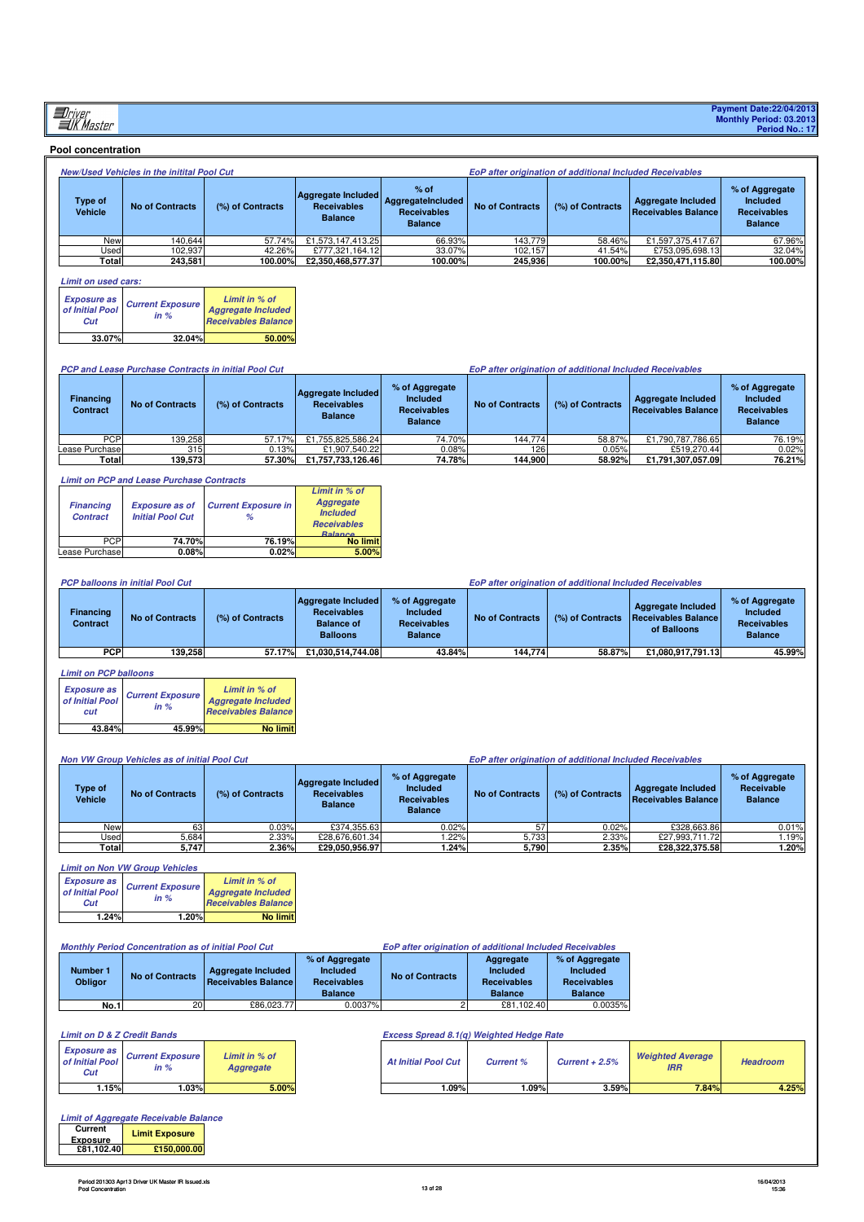## **Pool concentration**

|                           | New/Used Vehicles in the initital Pool Cut |                  |                                                            |                                                                            | EoP after origination of additional Included Receivables |                  |                                           |                                                                           |  |  |
|---------------------------|--------------------------------------------|------------------|------------------------------------------------------------|----------------------------------------------------------------------------|----------------------------------------------------------|------------------|-------------------------------------------|---------------------------------------------------------------------------|--|--|
| Type of<br><b>Vehicle</b> | <b>No of Contracts</b>                     | (%) of Contracts | Aggregate Included<br><b>Receivables</b><br><b>Balance</b> | $%$ of<br><b>AggregateIncluded</b><br><b>Receivables</b><br><b>Balance</b> | <b>No of Contracts</b>                                   | (%) of Contracts | Aggregate Included<br>Receivables Balance | % of Aggregate<br><b>Included</b><br><b>Receivables</b><br><b>Balance</b> |  |  |
| New                       | 140.644                                    | 57.74%           | £1,573,147,413.25                                          | 66.93%                                                                     | 143,779                                                  | 58.46%           | £1.597.375.417.67                         | 67.96%                                                                    |  |  |
| Used                      | 102.937                                    | 42.26%           | £777.321.164.12                                            | 33.07%                                                                     | 102.157                                                  | 41.54%           | £753.095.698.13                           | 32.04%                                                                    |  |  |
| Total                     | 243.581                                    | 100.00%          | £2.350.468.577.37                                          | 100.00%                                                                    | 245.936                                                  | 100.00%          | £2.350.471.115.80                         | 100.00%                                                                   |  |  |

# **Limit on used cars:**

| <b>Exposure as<br/>of Initial Pool</b><br>Cut | <b>Current Exposure</b><br>in $%$ | Limit in % of<br><b>Aggregate Included</b><br><b>Receivables Balance</b> |
|-----------------------------------------------|-----------------------------------|--------------------------------------------------------------------------|
| 33.07%                                        | 32.04%                            | 50.00%                                                                   |

| <b>PCP and Lease Purchase Contracts in initial Pool Cut</b> |            |                        |                  | <b>EoP after origination of additional Included Receivables</b> |                                                                           |                        |                  |                                                  |                                                                           |
|-------------------------------------------------------------|------------|------------------------|------------------|-----------------------------------------------------------------|---------------------------------------------------------------------------|------------------------|------------------|--------------------------------------------------|---------------------------------------------------------------------------|
| <b>Financing</b><br><b>Contract</b>                         |            | <b>No of Contracts</b> | (%) of Contracts | Aggregate Included<br><b>Receivables</b><br><b>Balance</b>      | % of Aggregate<br><b>Included</b><br><b>Receivables</b><br><b>Balance</b> | <b>No of Contracts</b> | (%) of Contracts | Aggregate Included<br><b>Receivables Balance</b> | % of Aggregate<br><b>Included</b><br><b>Receivables</b><br><b>Balance</b> |
|                                                             | <b>PCP</b> | 139,258                | 57.17%           | £1.755.825.586.24                                               | 74.70%                                                                    | 144.774                | 58.87%           | £1.790.787.786.65                                | 76.19%                                                                    |
| Lease Purchase                                              |            | 315                    | 0.13%            | £1.907.540.22                                                   | 0.08%                                                                     | 126                    | 0.05%            | £519,270,44                                      | 0.02%                                                                     |
|                                                             | Total      | 139.573                | 57.30%           | £1,757,733,126.46                                               | 74.78%                                                                    | 144.900                | 58.92%           | £1,791,307,057.09                                | 76.21%                                                                    |

### **Limit on PCP and Lease Purchase Contracts**

| <b>Financing</b><br><b>Contract</b> | <b>Exposure as of</b><br><b>Initial Pool Cut</b> | <b>Current Exposure in</b><br>% | Limit in % of<br><b>Aggregate</b><br><b>Included</b><br><b>Receivables</b><br><b>Ralance</b> |
|-------------------------------------|--------------------------------------------------|---------------------------------|----------------------------------------------------------------------------------------------|
| <b>PCP</b>                          | 74.70%                                           | 76.19%                          | <b>No limit</b>                                                                              |
| Lease Purchase                      | 0.08%                                            | 0.02%                           | 5.00%                                                                                        |

|                       | <b>PCP balloons in initial Pool Cut</b><br><b>EoP after origination of additional Included Receivables</b> |                  |                                                                                  |                                                                           |                        |                  |                                                                        |                                                                           |
|-----------------------|------------------------------------------------------------------------------------------------------------|------------------|----------------------------------------------------------------------------------|---------------------------------------------------------------------------|------------------------|------------------|------------------------------------------------------------------------|---------------------------------------------------------------------------|
| Financing<br>Contract | <b>No of Contracts</b>                                                                                     | (%) of Contracts | Aggregate Included<br><b>Receivables</b><br><b>Balance of</b><br><b>Balloons</b> | % of Aggregate<br><b>Included</b><br><b>Receivables</b><br><b>Balance</b> | <b>No of Contracts</b> | (%) of Contracts | <b>Aggregate Included</b><br><b>Receivables Balance</b><br>of Balloons | % of Aggregate<br><b>Included</b><br><b>Receivables</b><br><b>Balance</b> |
| <b>PCP</b>            | 139.258                                                                                                    | 57.17%           | £1,030,514,744.08                                                                | 43.84%                                                                    | 144.774                | 58.87%           | £1.080.917.791.13                                                      | 45.99%                                                                    |

## **Limit on PCP balloons**

| <b>Exposure as</b><br>of Initial Pool<br>cut | <b>Current Exposure</b><br>in $%$ | Limit in % of<br><b>Aggregate Included</b><br><b>Receivables Balance</b> |
|----------------------------------------------|-----------------------------------|--------------------------------------------------------------------------|
| 43.84%                                       | 45.99%                            | <b>No limit</b>                                                          |

#### **Non VW Group Vehicles as of initial Pool Cut EoP after origination of additional Included Receivables**

| <b>Type of</b><br><b>Vehicle</b> | <b>No of Contracts</b> | (%) of Contracts | <b>Aggregate Included</b><br><b>Receivables</b><br><b>Balance</b> | % of Aggregate<br><b>Included</b><br><b>Receivables</b><br><b>Balance</b> | <b>No of Contracts</b> | (%) of Contracts | Aggregate Included<br>Receivables Balance | % of Aggregate<br>Receivable<br><b>Balance</b> |
|----------------------------------|------------------------|------------------|-------------------------------------------------------------------|---------------------------------------------------------------------------|------------------------|------------------|-------------------------------------------|------------------------------------------------|
| New                              | 63                     | 0.03%            | £374.355.63                                                       | 0.02%                                                                     | 57                     | 0.02%            | £328.663.86                               | 0.01%                                          |
| Used                             | 5.684                  | 2.33%            | £28.676.601.34                                                    | .22%                                                                      | 5,733                  | 2.33%            | £27.993.711.72                            | .19%                                           |
| Total                            | 5,747                  | 2.36%            | £29.050.956.97                                                    | .24%                                                                      | 5,790                  | 2.35%            | £28,322,375.58                            | 1.20%                                          |

| <b>Limit on Non VW Group Vehicles</b>               |                                   |                                                                          |  |  |  |  |  |  |  |
|-----------------------------------------------------|-----------------------------------|--------------------------------------------------------------------------|--|--|--|--|--|--|--|
| <b>Exposure as</b><br>of <i>Initial</i> Pool<br>Cut | <b>Current Exposure</b><br>in $%$ | Limit in % of<br><b>Aggregate Included</b><br><b>Receivables Balance</b> |  |  |  |  |  |  |  |
| 1.24%                                               | 1.20%                             | <b>No limit</b>                                                          |  |  |  |  |  |  |  |

|                            | <b>Monthly Period Concentration as of initial Pool Cut</b> |                                                  | <b>EoP after origination of additional Included Receivables</b>           |                 |                                                               |                                                                    |
|----------------------------|------------------------------------------------------------|--------------------------------------------------|---------------------------------------------------------------------------|-----------------|---------------------------------------------------------------|--------------------------------------------------------------------|
| Number 1<br><b>Obligor</b> | <b>No of Contracts</b>                                     | Aggregate Included<br><b>Receivables Balance</b> | % of Aggregate<br><b>Included</b><br><b>Receivables</b><br><b>Balance</b> | No of Contracts | Aggregate<br>Included<br><b>Receivables</b><br><b>Balance</b> | % of Aggregate<br>Included<br><b>Receivables</b><br><b>Balance</b> |
| <b>No.1</b>                | <b>20</b>                                                  | £86.023.77                                       | 0.0037%                                                                   |                 | £81.102.40                                                    | 0.0035%                                                            |

### **Limit on D & Z Credit Bands**

| of Initial Pool<br>Cut | Exposure as Current Exposure<br>in % | Limit in % of<br>Aggregate | <b>At Initial Pool Cut</b> | <b>Current %</b> | $Current + 2.5%$ | <b>Weighted Average</b><br><b>IRR</b> | <b>Headroom</b> |
|------------------------|--------------------------------------|----------------------------|----------------------------|------------------|------------------|---------------------------------------|-----------------|
| 1.15%                  | .03%                                 | 5.00%                      | .09%                       | .09%             | 3.59%            | 7.84%                                 | 4.25%           |

|                           | <b>Excess Spread 8.1(g) Weighted Hedge Rate</b> |           |                   |                                |                 |
|---------------------------|-------------------------------------------------|-----------|-------------------|--------------------------------|-----------------|
| imit in % of<br>Aggregate | <b>At Initial Pool Cut</b>                      | Current % | $Current + 2.5\%$ | <b>Weighted Average</b><br>IRR | <b>Headroom</b> |

|                     | <b>Limit of Aggregate Receivable Balance</b> |  |
|---------------------|----------------------------------------------|--|
| Current<br>Exposure | <b>Limit Exposure</b>                        |  |
| £81.102.40          | £150,000.00                                  |  |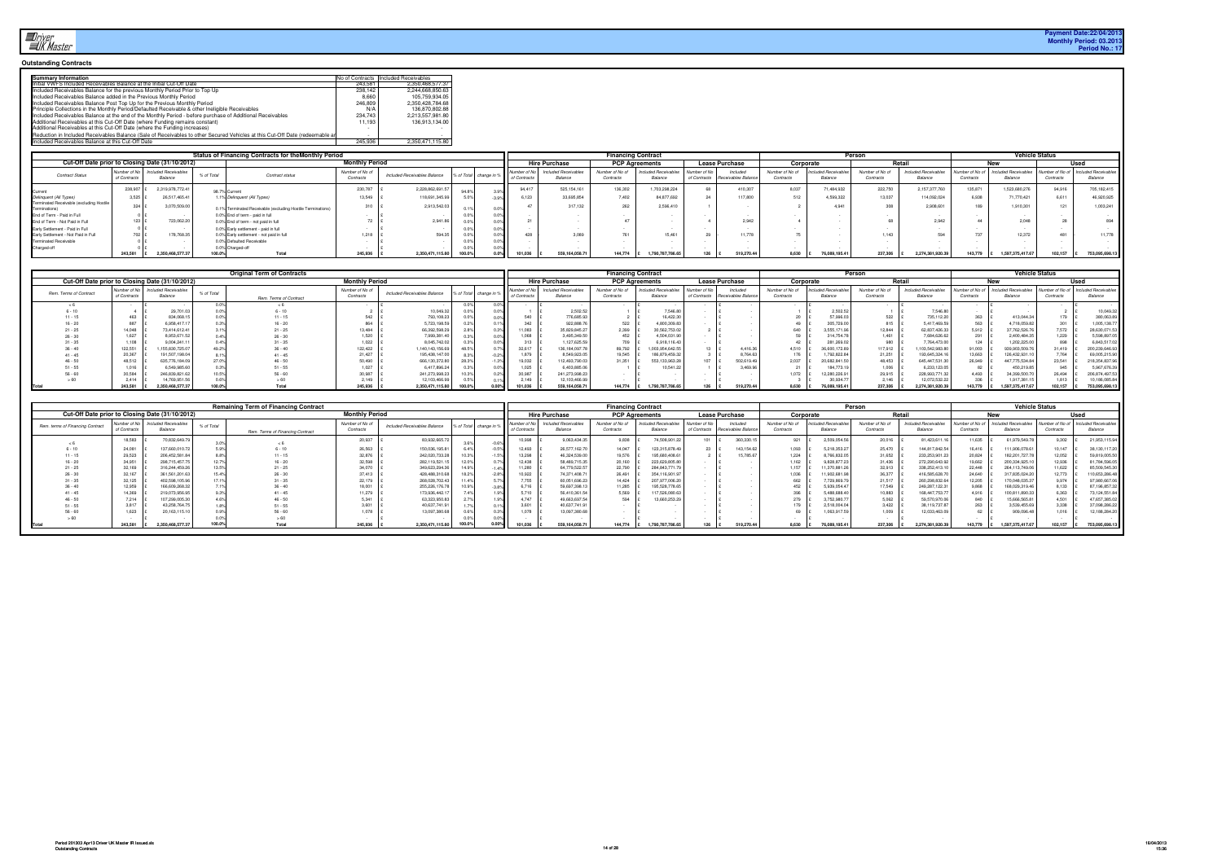#### **Outstanding Contracts**

| <b>Summary Information</b>                                                                                                   |         | No of Contracts Included Receivables |
|------------------------------------------------------------------------------------------------------------------------------|---------|--------------------------------------|
| Initial VWFS Included Receivables Balance at the Initial Cut-Off Date                                                        | 243.581 | 2.350.468.577.37                     |
| Included Receivables Balance for the previous Monthly Period Prior to Top Up                                                 | 238.142 | 2.244.668.850.63                     |
| Included Receivables Balance added in the Previous Monthly Period                                                            | 8.660   | 105.759.934.05                       |
| Included Receivables Balance Post Top Up for the Previous Monthly Period                                                     | 246,809 | 2,350,428,784.68                     |
| Principle Collections in the Monthly Period/Defaulted Receivable & other Ineligible Receivables                              | N/A     | 136.870.802.88                       |
| Included Receivables Balance at the end of the Monthly Period - before purchase of Additional Receivables                    | 234,743 | 2.213.557.981.80                     |
| Additional Receivables at this Cut-Off Date (where Funding remains constant)                                                 | 11.193  | 136.913.134.00                       |
| Additional Receivables at this Cut-Off Date (where the Funding increases)                                                    |         |                                      |
| Reduction in Included Receivables Balance (Sale of Receivables to other Secured Vehicles at this Cut-Off Date (redeemable an |         |                                      |
| Included Receivables Balance at this Cut-Off Date                                                                            | 245,936 | 2.350.471.115.80                     |

|                                                           |                            |                                 |            | Status of Financing Contracts for theMonthly Period         |                              |                              |        |                        |                            |                                 | <b>Financing Contract</b>    |                                |                              |                                 |                              |                              | Person                       |                                 |           | <b>Vehicle Status</b>                           |           |                                                 |
|-----------------------------------------------------------|----------------------------|---------------------------------|------------|-------------------------------------------------------------|------------------------------|------------------------------|--------|------------------------|----------------------------|---------------------------------|------------------------------|--------------------------------|------------------------------|---------------------------------|------------------------------|------------------------------|------------------------------|---------------------------------|-----------|-------------------------------------------------|-----------|-------------------------------------------------|
| Cut-Off Date prior to Closing Date (31/10/2012)           |                            |                                 |            |                                                             | <b>Monthly Period</b>        |                              |        |                        |                            | <b>Hire Purchase</b>            |                              | <b>PCP Agreements</b>          |                              | <b>Lease Purchase</b>           |                              | Corporate                    |                              | <b>Retail</b>                   |           |                                                 |           | Used                                            |
| <b>Contract Status</b>                                    | Number of N<br>of Contract | Included Receivables<br>Balance | % of Total | Contract status                                             | Number of No of<br>Contracts | Included Receivables Balance |        | % of Total change in % | Number of No<br>of Contrac | Included Receivables<br>Balance | Number of No of<br>Contracts | Included Receivable<br>Balance | Number of No<br>of Contracts | Included<br>Receivables Balance | Number of No of<br>Contracts | cluded Receivable<br>Balance | Number of No of<br>Contracts | Included Receivables<br>Balance | Contracts | Number of No of Included Receivables<br>Balance | Contracts | Number of No of Included Receivable:<br>Balance |
|                                                           | 238.907                    | 2,319,978,772.4                 |            | 98.7% Current                                               | 230.787                      | 2.228.862.691.5              | 94.8   |                        | 94.41                      | 525, 154, 161                   | 136,302                      | 1,703,298,224                  |                              | 410.307                         | 8,037                        | 1.484.932                    | 222,750                      | 2,157,377,760                   | 135.871   | 1.523.680.276                                   | 94.916    | 705,182,415                                     |
| Delinquent (All Types)                                    | 3,525                      | 26,517,465.41                   |            | 1.1% Delinquent (All Types)                                 | 3,549                        | 118,691,345.9                |        |                        | 6,123                      | 33.695.854                      | 7.402                        | 84,877,69                      |                              | 117,800                         | 512                          | 4.599.32                     | 13,037                       | 114,092,024                     | 6.938     | 71,770.421                                      | 6.611     | 46,920,925                                      |
| Terminated Receivable (excluding Hostile<br>Terminations) | 324 I                      | 3,070,509.0                     |            | 0.1% Terminated Receivable (excluding Hostile Terminations) | 310                          | 2.913.542.                   |        |                        |                            | 317.132                         | 262                          | 2.596.41                       |                              |                                 |                              | 4.941                        | 308                          | 2.908.601                       |           | 1.910.301                                       |           | 1,003,241                                       |
| End of Term - Paid in Full                                |                            |                                 |            | 0.0% End of term - paid in full                             |                              |                              |        |                        |                            |                                 |                              |                                |                              |                                 |                              |                              |                              |                                 |           |                                                 |           |                                                 |
| End of Term - Not Paid in Full                            |                            | 723,062.20                      |            | 0.0% End of term - not paid in full                         |                              | 2.941.                       |        |                        |                            |                                 |                              |                                |                              | 2.942                           |                              |                              |                              | 2.942                           |           | 2,048                                           |           |                                                 |
| Early Settlement - Paid in Full                           |                            |                                 |            | 0.0% Early settlement - paid in full                        |                              |                              |        |                        |                            |                                 |                              |                                |                              |                                 |                              |                              |                              |                                 |           |                                                 |           |                                                 |
| Early Settlement - Not Paid in Full                       |                            | 178,768.3                       |            | 0.0% Early settlement - not paid in full                    | 1.218                        | 594                          |        |                        |                            | 3.089                           |                              | 15.461                         |                              | 11.778                          |                              |                              | 1 1 4 3                      |                                 | $-2$      | 12.372                                          |           | 11,778                                          |
| <b>Terminated Receivable</b>                              |                            |                                 |            | 0.0% Defaulted Receivable                                   |                              |                              |        |                        |                            |                                 |                              |                                |                              |                                 |                              |                              |                              |                                 |           |                                                 |           |                                                 |
| Charged-off                                               |                            |                                 |            | 0.0% Charged-off                                            |                              |                              |        |                        |                            |                                 |                              |                                |                              |                                 |                              |                              |                              |                                 |           |                                                 |           |                                                 |
|                                                           | 243.581                    | 2.350.468.577.3                 |            | Total                                                       | 245.936                      | 2.350.471.115.80             | 100.09 | $0.0\%$                | 101.036                    | 559.164.058.7                   | 144,774                      | 1.790.787.786.65               |                              | 519,270.44                      | $8.630$ £                    | 76.089.195.41                | 237.306                      | 2.274.381.920.39                | 143.779   | 1.597.375.417.67                                | 102.157   | 753,095,698.13                                  |

|                        |                            |                                                 |            | <b>Original Term of Contracts</b> |                              |                              |                      |                           |                                        | <b>Financing Contract</b>    |                                 |             |                                             |                             |                               | Person                       |                                      |                             | <b>Vehicle Status</b>         |                              |                              |
|------------------------|----------------------------|-------------------------------------------------|------------|-----------------------------------|------------------------------|------------------------------|----------------------|---------------------------|----------------------------------------|------------------------------|---------------------------------|-------------|---------------------------------------------|-----------------------------|-------------------------------|------------------------------|--------------------------------------|-----------------------------|-------------------------------|------------------------------|------------------------------|
|                        |                            | Cut-Off Date prior to Closing Date (31/10/2012) |            |                                   | <b>Monthly Period</b>        |                              |                      |                           | <b>Hire Purchase</b>                   |                              | <b>PCP Agreements</b>           |             | <b>Lease Purchase</b>                       | Corporate                   |                               |                              | Retai                                |                             | New                           |                              | Used                         |
| Rem. Terms of Contract | Number of No<br>of Contrac | Included Receivables<br>Balance                 | % of Total | Rem. Terms of Contract            | Number of No of<br>Contracts | Included Receivables Balance | % of Total change in | Number of<br>of Contracts | <b>Included Receivables</b><br>Balance | Number of No of<br>Contracts | Included Receivables<br>Balance | Number of N | Include<br>of Contracts Receivables Balance | Number of No o<br>Contracts | cluded Receivables<br>Balance | Number of No of<br>Contracts | <b>cluded Receivables</b><br>Balance | lumber of No c<br>Contract. | cluded Receivables<br>Balance | Number of No of<br>Contracts | ncluded Receivabl<br>Balance |
|                        |                            |                                                 |            |                                   |                              |                              |                      |                           |                                        |                              |                                 |             |                                             |                             |                               |                              |                                      |                             |                               |                              |                              |
|                        |                            | 29,701                                          |            | $6 - 10$                          |                              | 10,049.32                    | 0.0% II              |                           | 2,502.5                                |                              | 7,546.8                         |             |                                             |                             | 2,502.52                      |                              | 7,546.8                              |                             |                               |                              | 10,049.3.                    |
|                        | 46.                        | 834,068.                                        |            | $11 - 15$                         | 542                          | 793,108.23                   |                      | 540                       | 776,685.9                              |                              | 6,422.3                         |             |                                             |                             | 57,996.03                     |                              | 735,112.2                            | 363                         | 413,044.3                     |                              | 380,063.89                   |
|                        | 887                        | 6,958,417.                                      |            | $16 - 20$                         | 864                          | 5,723,198.5                  |                      | 342                       | 922,888.                               | 522                          | 4,800,309.8                     |             |                                             |                             | 305,729.00                    |                              | 5,417,469.5                          | 563                         | 1,718,059.8                   |                              | 1,005,138.7                  |
|                        | 14.048                     | 73.414.612.4                                    |            | 21 - 25                           | 13.484                       | 66,392,598.29                | 0.3%                 | 1,083                     | 35.829.845.2                           | 2,399                        | 30,562,753.02                   |             |                                             | 640                         | 3,555,171.96                  | 12.844                       | 62,837,426.3                         | 5.912                       | 37,762,526.7                  | .572                         | 28,630,071.53                |
| $26 - 30$              | 1,627                      | 8,953,671.5                                     |            | $26 - 30$                         | 1,520                        | 7,999,381.4                  | $0.0\%$              | 1,068                     | 3,495,349.5                            |                              | 4,504,031.9                     |             |                                             |                             | 314,754.78                    | 1,461                        | 7,684,626.6                          | 291                         | 2,400,484.3                   | .,229                        | 5,598,897.0                  |
|                        |                            | 9.004.241                                       |            |                                   | 1,022                        | 8.045.742.02                 | 0.0% II              | 313                       | 1.127.625.5                            | 709                          | 6.918.116.43                    |             |                                             |                             | 281,269.0                     |                              | 764,473.0                            | 124                         | 1,202,225.0                   | 898                          | 6,843,517.02                 |
|                        | 122,551                    | .155.830.725.                                   |            | $36 - 40$                         | 122,422                      | 1,140,143,156.69             |                      | 32,617                    | 136, 184, 097.7                        | 89,792                       | .003.954.642.5                  |             | 4.416.36                                    | 4.510                       | 36,600,172.89                 | 117,912                      | 1,103,542,983.6.                     | 91.003                      | 939.903.509.7                 | 31.419                       | 200,239,646.9                |
|                        | 20,367                     | 191.507.198.0                                   |            | $41 - 45$                         | 21.427                       | 195,438,147.00               | $-0.2%$              | 1,879                     | 8.549.923.0                            | 19.545                       | 186,879,459.32                  |             | 8.764.6                                     | 176                         | 1,792,822.8                   | 21,251                       | 193.645.324                          | 13.663                      | 126,432,931.1                 | .764                         | 69,005,215.90                |
|                        | 48,512                     | 635.776.184.0                                   |            | $46 - 50$                         | 60.490                       | 666,130,372.80               | .3%                  | 9.032                     | 12.493.790.0                           | 31.351                       | 553.133.963.2                   |             | 502.619.4                                   | 2,037                       | 20.682.841.                   | 48.453                       | 645,447,531.3                        | 26.949                      | 447,775,534.8                 |                              | 218,354,837.96               |
|                        | 1,016                      | 6,549,985                                       |            |                                   | .027                         | 6,417,896.24                 | 0.0% I               | 1,025                     | 6,403,885.0                            |                              | 10.541.2                        |             | 3,469.9                                     |                             | 184,773.1                     | 1,006                        | 6,233,123                            |                             | 450,219.8                     |                              | 5,967,676.39                 |
|                        | 30,584                     | 246.839.821.6                                   |            | $56 - 60$                         | 30.987                       | 241,273,998.23               | 2%                   | 30.987                    | 241,273,998.2                          |                              |                                 |             |                                             | 1.072                       | 12,280,226.9                  | 29.915                       | 228.993.771.                         | 4.493                       | 34.399.500.                   | 26,494                       | 206,874,497.53               |
|                        | 2.414                      | 14,769,951.                                     |            |                                   | 2,149                        | 12,103,466.9                 |                      | 2.149                     | 12,103,466.9.                          |                              |                                 |             |                                             |                             | 30,934.7                      | 2.146                        | 12,072,532.                          | 336                         | 1,917,381.                    | 813                          | 10,186,085.84                |
| <b>Total</b>           |                            | 2.350.468.577.3                                 |            | Total                             | 245.936                      | 2,350,471,115.80             | 0.00%                |                           | 559,164,058.7                          | 144.774                      | .790.787.786.65                 |             | 519,270.4                                   | 8.630                       |                               | 237.306                      | 2.274.381.920.                       | 43.779                      | 1.597.375.417.67              | 102.157                      | 753.095.698.13               |

|                                  |                              |                                                 |            | <b>Remaining Term of Financing Contract</b> |                              |                              |                        |      |                        |                                        | <b>Financing Contract</b>    |                                           |                              |                                |                              |                              | Person                       |                                |                                    | <b>Vehicle Status</b>           |                             |                               |
|----------------------------------|------------------------------|-------------------------------------------------|------------|---------------------------------------------|------------------------------|------------------------------|------------------------|------|------------------------|----------------------------------------|------------------------------|-------------------------------------------|------------------------------|--------------------------------|------------------------------|------------------------------|------------------------------|--------------------------------|------------------------------------|---------------------------------|-----------------------------|-------------------------------|
|                                  |                              | Cut-Off Date prior to Closing Date (31/10/2012) |            |                                             | <b>Monthly Period</b>        |                              |                        |      |                        | <b>Hire Purchase</b>                   |                              | <b>PCP Agreements</b>                     |                              | <b>Lease Purchase</b>          |                              | Corporate                    |                              | <b>Retail</b>                  |                                    |                                 |                             | Used                          |
| Rem. terms of Financing Contract | Number of No<br>of Contracts | Included Receivables<br>Balance                 | % of Total | Rem. Terms of Financing Contract            | Number of No of<br>Contracts | Included Receivables Balance | % of Total change in 9 |      | Number<br>of Contracts | <b>Included Receivables</b><br>Balance | Number of No of<br>Contracts | cluded Receivable <sup>®</sup><br>Balance | Number of No<br>of Contracts | Included<br>Receivables Baland | Number of No of<br>Contracts | cluded Receivable<br>Balance | Number of No of<br>Contracts | Included Receivable<br>Balance | <b>Jumber of No o</b><br>Contracts | Included Receivables<br>Balance | Number of No o<br>Contracts | ncluded Beceivable<br>Balance |
|                                  | 18,583                       | 70.832.649.                                     |            |                                             | 20,937                       | 83,932,665.                  |                        |      | 0.998                  | 9.063.434.                             | 9,838                        | 74,508,901.2                              | $\sim$                       | 360.330.1                      | 92                           | 2.509.054.5                  | 20,01                        | 81.423.611.                    | 11,635                             | 61,979,549.7                    |                             | 21,953,115.94                 |
|                                  | 24,081                       | 137,660,010.7                                   |            | $6 - 10$                                    | 26.563                       | 150.036.195.8                | 6.4%                   |      | 12.493                 | 26.577.162.7                           | 14.047                       | 123,315,878.49                            |                              | 143.154.6                      | 1.093                        | 5.218.353.2                  | 25,470                       | 144,817,842.5                  | 16.416                             | 111,906,078.61                  | 10.147                      | 38,130,117.20                 |
|                                  | 29,523                       | 206,452,581.                                    |            | $11 - 15$                                   | 32,876                       | 242,020,733.28               |                        |      | 13,298                 | 46,324,539.0                           | 19,576                       | 195,680,408.61                            |                              | .5,785.6                       | 1,224                        | 8,766,832.0                  | 31,652                       | 233, 253, 901.2                | 20,824                             | 182,201,727.7                   | 12.052                      | 59,819,005.5                  |
|                                  | 34,951                       | 298,715,457.7                                   |            | $16 - 20$                                   | 32,598                       | 282,119,521.                 |                        |      | 12,438                 | 58,489,715.3                           | 20,160                       | 223,629,805.8                             |                              |                                | 1,162                        | 9,828,877.                   | 31,436                       | 272,290,643.9                  | 19,662                             | 200,334,925.1                   | 12,93                       | 81,784,596.0                  |
|                                  | 32,169                       | 316,244,459.2                                   |            | $21 - 25$                                   | 34,070                       | 349,623,294.                 | 14.9%                  |      | 11,280                 | 64.779.522.5                           | 22,790                       | 284.843.771                               |                              |                                | 1,157                        | 1,370,881.                   | 32,913                       | 338,252,413.1                  | 22,448                             | 264,113,749.06                  | 11,622                      | 85,509,545.30                 |
|                                  | 32,167                       | 361,561,201.6                                   |            | $26 - 30$                                   | 37.413                       | 428,488,310.6                | 18.2%                  |      | 10,922                 | 74.371.408.7                           | 26,491                       | 354, 116, 901.9                           |                              |                                | 1,036                        | 1,902,681.                   | 36,377                       | 416,585,628.                   | 24,640                             | 317,835,024.2                   | 12.773                      | 110,653,286.4Ł                |
|                                  | 32,125                       | 402.598.105.                                    |            |                                             | 22.179                       | 268,028,702.43               |                        |      | 7,755                  | 60.051.696.2                           | 14,424                       | 207.977.006.2                             |                              |                                | 662                          | 729,869.                     | 21,517                       | 260,298,832.6                  | 12,205                             | 170,048,035.3                   | 9.974                       | 97,980,667.06                 |
|                                  | 12,959                       | 166,609,268.3                                   |            | $36 - 40$                                   |                              | 255,226,176.7                | 10.9%                  |      | 6,716                  | 59,697,398.                            | 11,285                       | 195,528,778.6                             |                              |                                | 452                          | 5,939,054.4                  | 17,549                       | 249,287,122.3                  | 9.868                              | 168,029,319.4                   |                             | 87,196,857.3                  |
|                                  | 14,369                       | 219,073,956.9                                   |            | $41 - 45$                                   | 11,279                       | 173,936,442.1                |                        |      | 5,710                  | 56,410,361.5                           | 5.569                        | 117.526.080                               |                              |                                | 396                          | 5.488.688.                   | 10,883                       | 168,447,753.7                  | 4.916                              | 100,811,890.3                   | 6.363                       | 73,124,551.84                 |
|                                  | 7,214                        | 07,299,005.                                     |            | $46 - 50$                                   |                              | 63,323,950.                  |                        |      | 4.747                  | 49,663,697.5                           | 594                          | 13,660,253.                               |                              |                                | 279                          | 3,752,980.                   | 5,062                        | 59,570,970.06                  |                                    | 15,666,565.8                    | 4.501                       | 47,657,385.0                  |
|                                  | 3,817                        | 43,258,764.                                     |            | $51 - 55$                                   |                              | 40,637,741.                  |                        |      |                        | 40,637,741.9                           |                              |                                           |                              |                                | 179                          | 2,518,004.0                  | 3,422                        | 38, 119, 737.87                | 263                                | 3,539,455.6                     |                             | 37,098,286.22                 |
|                                  | 1,623                        | 20,163,115.                                     |            | $56 - 60$                                   | 1,078                        | 13.097.380.                  |                        |      | 1,078                  | 13,097,380.6                           |                              |                                           |                              |                                |                              | 1,063,917.5                  | 1,009                        | 12,033,463.09                  |                                    | 909,096.4                       |                             | 12,188,284.2                  |
|                                  |                              |                                                 |            |                                             |                              |                              |                        |      |                        |                                        |                              |                                           |                              |                                |                              |                              |                              |                                |                                    |                                 |                             |                               |
|                                  | 243.581                      | 2,350,468,577.3                                 |            | Total                                       | 245,936                      | 2,350,471,115.80             |                        | 0.00 | 101.036                | 559,164,058.7                          | 144,774                      | 1.790.787.786.65                          | 126                          | 519,270.4                      | 8.630                        | 76,089,195.                  | 237.306                      | 2.274.381.920.3                | 143.779                            | 1.597.375.417.67                | 102.157                     | 753,095,698.1                 |
|                                  |                              |                                                 |            |                                             |                              |                              |                        |      |                        |                                        |                              |                                           |                              |                                |                              |                              |                              |                                |                                    |                                 |                             |                               |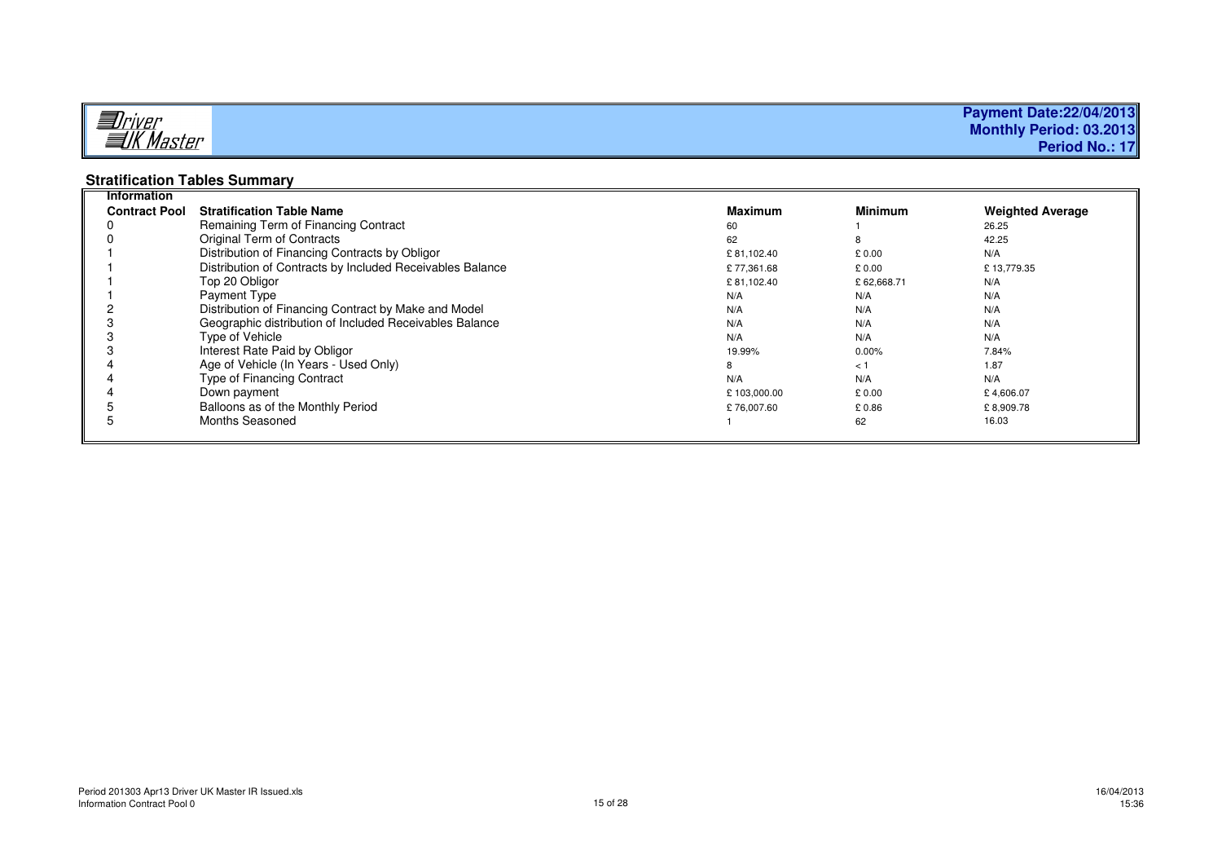| —                | <b>Payment Date:22/04/2013</b> |
|------------------|--------------------------------|
| <u> Alfiver</u>  | Monthly Period: 03.2013        |
| <b>IK Master</b> | Period No.: 17                 |

# **Stratification Tables Summary Information**

| <b>Contract Pool</b> | <b>Stratification Table Name</b>                          | <b>Maximum</b> | <b>Minimum</b> | <b>Weighted Average</b> |
|----------------------|-----------------------------------------------------------|----------------|----------------|-------------------------|
|                      | Remaining Term of Financing Contract                      | 60             |                | 26.25                   |
|                      | Original Term of Contracts                                | 62             |                | 42.25                   |
|                      | Distribution of Financing Contracts by Obligor            | £81,102.40     | £0.00          | N/A                     |
|                      | Distribution of Contracts by Included Receivables Balance | £77,361.68     | £ 0.00         | £13,779.35              |
|                      | Top 20 Obligor                                            | £81,102.40     | £62,668.71     | N/A                     |
|                      | Payment Type                                              | N/A            | N/A            | N/A                     |
|                      | Distribution of Financing Contract by Make and Model      | N/A            | N/A            | N/A                     |
|                      | Geographic distribution of Included Receivables Balance   | N/A            | N/A            | N/A                     |
|                      | Type of Vehicle                                           | N/A            | N/A            | N/A                     |
|                      | Interest Rate Paid by Obligor                             | 19.99%         | $0.00\%$       | 7.84%                   |
|                      | Age of Vehicle (In Years - Used Only)                     | 8              | < 1            | 1.87                    |
|                      | Type of Financing Contract                                | N/A            | N/A            | N/A                     |
|                      | Down payment                                              | £103,000.00    | £ 0.00         | £4,606.07               |
|                      | Balloons as of the Monthly Period                         | £76,007.60     | £0.86          | £8,909.78               |
|                      | Months Seasoned                                           |                | 62             | 16.03                   |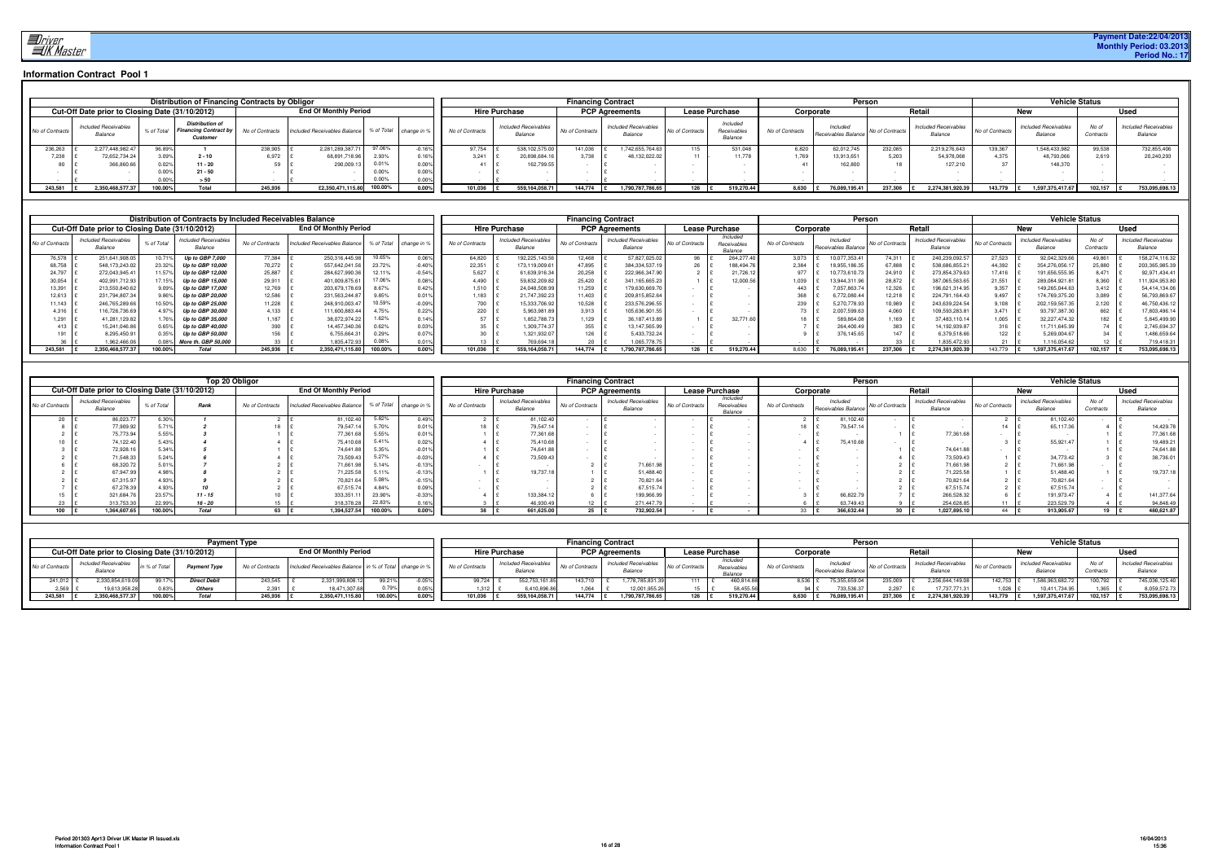

|                 |                                                      |            | <b>Distribution of Financing Contracts by Obligor</b>              |                 |                              |         |                        |                 |                                        |                 | <b>Financing Contract</b>              |                      |                                    |                 | Person                          |                 |                                        |                 |                                        | <b>Vehicle Status</b> |                                        |
|-----------------|------------------------------------------------------|------------|--------------------------------------------------------------------|-----------------|------------------------------|---------|------------------------|-----------------|----------------------------------------|-----------------|----------------------------------------|----------------------|------------------------------------|-----------------|---------------------------------|-----------------|----------------------------------------|-----------------|----------------------------------------|-----------------------|----------------------------------------|
|                 | Cut-Off Date prior to Closing Date (31/10/2012)      |            |                                                                    |                 | <b>End Of Monthly Period</b> |         |                        |                 | <b>Hire Purchase</b>                   |                 | <b>PCP Agreements</b>                  |                      | <b>Lease Purchase</b>              |                 | Corporate                       |                 | Retai                                  |                 | тег                                    |                       | <b>Usec</b>                            |
| No of Contracts | <b>Included Receivables</b><br><i><b>Balance</b></i> | % of Total | <b>Distribution of</b><br><b>Financing Contract by</b><br>Customer | lo of Contracts | Included Receivables Balance |         | % of Total change in % | No of Contracts | <b>Included Receivables</b><br>Balance | No of Contracts | <b>Included Receivables</b><br>Balance | No of Contracts      | Included<br>Receivables<br>Balance | No of Contracts | Included<br>Receivables Balance | No of Contracts | <b>Included Receivables</b><br>Balance | No of Contracts | <b>Included Receivables</b><br>Balance | No of<br>Contracts    | <b>Included Receivables</b><br>Balance |
| 236,263         | 2.277.448.982.4                                      | 96.89%     |                                                                    | 238.905         | 2.281.289.387.               | 97.06%  | 0.16%                  | 97,754          | 538,102,575.0                          | 141.036         | 1,742,655,764.63                       | $115 -$              | 531.048                            | 6,820           | 62,012,745                      | 232.085         | 2.219.276.643                          | 139.367         | 1,548,433,982                          | 99.538                | 732,855,406                            |
| 7,238           | 72,652,734.24                                        | 3.09%      | $2 - 10$                                                           | 6,972           | 68,891,718.96                |         |                        | 3.241           | 20,898,684.1                           | 3,738           | 48.132.022.02                          |                      | 11,778                             | .769            | 13.913.651                      | 5,203           | 54,978,068                             | 4.375           | 48,793,066                             | 2.619                 | 20,240,293                             |
| 80              | 366,860.66                                           |            | $11 - 20$                                                          |                 | 290,009.1                    |         |                        |                 | 162,799.5                              |                 |                                        |                      |                                    |                 | 162,800                         |                 | 127,210                                |                 | 148.370                                |                       |                                        |
|                 |                                                      | 0.00%      | $21 - 50$                                                          |                 |                              | 0.00%   |                        |                 |                                        |                 |                                        |                      |                                    |                 |                                 |                 |                                        |                 |                                        |                       |                                        |
|                 |                                                      | 0.00%      | > 50                                                               |                 |                              | 0.00%   | 0.00                   |                 |                                        |                 |                                        |                      |                                    |                 |                                 |                 |                                        |                 |                                        |                       |                                        |
| 243,581         | 2,350,468,577.37                                     | 100.00%    | Total                                                              | 245,936         | £2,350,471,115.80            | 100.00% | 0.00                   | 101.036         | 559.164.058.7                          | 144.774         | 1,790,787,786.65                       | $126$ $\frac{15}{2}$ | 519,270.44                         | $8,630$ $E$     | 76,089,195.41                   | 237.306         | 2.274.381.920.39                       | 143.779         | 1.597.375.417.                         | 102.157               | 753,095,698.13                         |

|                 |     |                                                 |            | Distribution of Contracts by Included Receivables Balance |                 |                              |            |           |                 |                                        | <b>Financing Contract</b> |                                        |                 |                                    |            |                 | Person                         |                |                                        |                 |                                        | <b>Vehicle Status</b> |                                        |
|-----------------|-----|-------------------------------------------------|------------|-----------------------------------------------------------|-----------------|------------------------------|------------|-----------|-----------------|----------------------------------------|---------------------------|----------------------------------------|-----------------|------------------------------------|------------|-----------------|--------------------------------|----------------|----------------------------------------|-----------------|----------------------------------------|-----------------------|----------------------------------------|
|                 |     | Cut-Off Date prior to Closing Date (31/10/2012) |            |                                                           |                 | <b>End Of Monthly Period</b> |            |           |                 | <b>Hire Purchase</b>                   |                           | <b>PCP Agreements</b>                  |                 | <b>Lease Purchase</b>              |            | Corporate       |                                |                | Retail                                 |                 | New                                    |                       | <b>Used</b>                            |
| No of Contracts |     | <b>Included Receivables</b><br>Balance          | % of Total | <b>Included Receivables</b><br>Balance                    | No of Contracts | ncluded Receivables Balance  | % of Total | change i  | No of Contracts | <b>Included Receivables</b><br>Balance | No of Contracts           | <b>Included Receivables</b><br>Balance | No of Contracts | Included<br>Receivables<br>Balance |            | No of Contracts | Included<br>Receivables Balanc | o of Contracts | <b>Included Receivables</b><br>Balance | No of Contracts | <b>Included Receivables</b><br>Balance | No of<br>Contracts    | <b>Included Receivables</b><br>Balance |
| 76,578          |     | 251,641,908.0                                   |            | <b>Up to GBP 7.000</b>                                    | 77,384          | 250,316,445.98               | 10.65%     | $0.06\%$  | 64,820          | 192,225,143.56                         | 12,468                    | 57,827,025.0                           | 96              |                                    | 264,277.4  | 3.073           | 10.077.353.4                   | 74,311         | 240,239,092.5                          | 27.523          | 92,042,329.66                          | 49,861                | 158,274,116.32                         |
| 68,758          |     | 548,173,243.0                                   | 23.32%     | Up to GBP 10,000                                          | 70,272          | 557,642,041.56               | 23.72%     | $-0.40\%$ | 22,351          | 173,119,009.61                         | 47,895                    | 384,334,537.1                          |                 |                                    | 188,494.7  | 2,384           | 18,955,186.3                   | 67,888         | 538,686,855.2                          | 44,392          | 354,276,056.1                          | 25,880                | 203,365,985.39                         |
| 24,797          |     | 272,043,945.41                                  | 1.57%      | Up to GBP 12,000                                          | 25,887          | 284,627,990.36               | 12.11%     |           | 5,627           | 61,639,916.34                          | 20,258                    | 222,966,347.90                         |                 |                                    | 21,726.1   | 977             |                                | 24,910         | 273,854,379.6                          | 17.416          | 191,656,555.95                         | 8.471                 | 92,971,434.41                          |
| 30,054          |     | 402,991,712.93                                  | 17.15%     | Up to GBP 15,000                                          | 29,911          | 401,009,875.61               | 7.06%      |           | 4,490           | 59,832,209.82                          | 25,420                    | 341, 165, 665. 23                      |                 |                                    | 12,000.    | 1,039           | 13.944.31                      | 28,872         | 387,065,563.6                          | 21,551          | 289,084,921.8                          | 8,360                 | 11,924,953.80                          |
| 13,391          |     | 213,550,840.6                                   | 9.09%      | Up to GBP 17,000                                          | 12,769          | 203,679,178.69               | 8.67%      |           | 1.510           | 24,048,508.99                          | 11,259                    | 179,630,669.7                          |                 |                                    |            | 443             | 057,863.7                      | 12,326         | 196,621,314.95                         | 9,357           | 149,265,044.63                         | 3,412                 | 54,414,134.06                          |
| 12,613          |     | 231,794,807.3                                   | 9.86%      | Up to GBP 20,000                                          | 12,586          | 231,563,244.87               | 9.85%      |           | 1,183           | 21,747,392.23                          | 11,403                    | 209,815,852.64                         |                 |                                    |            | 368             | 6,772,080.44                   | 12,218         | 224,791,164.43                         | 9.497           | 74,769,375.20                          | 3,089                 | 56,793,869.67                          |
| 11,143          |     | 246,765,289.6                                   | 10.50%     | Up to GBP 25,000                                          | 11,228          | 248,910,003.47               | 10.59%     | $0.09\%$  | 700             | 15,333,706.92                          | 10,528                    | 233,576,296.55                         |                 |                                    |            | 239             | 5,270,778.93                   | 10,989         | 243,639,224.54                         | 9,108           | 202,159,567.3                          | 2,120                 | 46,750,436.12                          |
| 4,316           |     | 116,726,736.6                                   | 4.97%      | Up to GBP 30,000                                          | 4,133           | 111.600.883.44               | 4.75%      | 0.22%     | 220             | 5.963.981.89                           | 3,913                     | 105.636.901.5                          |                 |                                    |            | 73              | 2,007,599.63                   | 4,060          | 109,593,283.8                          | 3.471           | 93,797,387.30                          | 662                   | 7,803,496.14                           |
| 1,291           |     | 41,281,129.82                                   |            | Up to GBP 35,000                                          | 1,187           | 38,072,974.22                | 1.62%      | 14%       |                 | 352,788.73                             | 1,129                     | 36, 187, 413.89                        |                 |                                    | 32,771.    |                 | 589,864.                       | 1,169          | 37,483,110.14                          | 1,005           | 32,227,474.32                          | 182                   | 5,845,499.90                           |
|                 | 413 | 15,241,046.86                                   | 0.65%      | Up to GBP 40,000                                          | 390             | 14,457,340.36                | 0.62%      |           |                 | .309,774.37                            | 355                       | 13,147,565.99                          |                 |                                    |            |                 | 264,400.4                      | 383            | 14,192,939.87                          | 316             | 11,711,645.99                          | 74 £                  | 2,745,694.37                           |
|                 |     | 8,295,450.91                                    | 0.35%      | Up to GBP 50,000                                          | 156             | 6,755,664.31                 | 0.29%      |           |                 | .321,932.07                            |                           | 5,433,732.24                           |                 |                                    |            |                 | 376,145.65                     | 147            | 6,379,518.66                           | 122             | 5,269,004.67                           |                       | 1,486,659.64                           |
|                 |     | 1,962,466.0                                     |            | More th. GBP 50,000                                       | 33              | 1,835,472.93                 | 0.08%      |           |                 | 769,694.18                             |                           | .065,778.7                             |                 |                                    |            |                 |                                |                | 1.835.472.9                            |                 | 116,054.62                             |                       | 719,418.31                             |
| 243.581         |     | 2.350.468.577.37                                | 100.00%    | Total                                                     | 245.936         | 2.350.471.115.80             | 100.00%    |           | 101.036         | 559.164.058.71                         | 144.774                   | 1.790.787.786.65                       | 126             |                                    | 519.270.44 | 8.630           | 76.089.195.4                   | 237.306        | 2,274,381,920.3                        | 143.779         | 1.597.375.417.67                       | 102.157               | 753,095,698.13                         |

|                 |     |                                                 |            |           | Top 20 Obligor  |                              |                              |         |                        |                 |                                        | <b>Financing Contract</b> |                                        |                 |                                    |                 |                                 | Person          |                                        |                 | <b>Vehicle Status</b>                  |                    |                                        |
|-----------------|-----|-------------------------------------------------|------------|-----------|-----------------|------------------------------|------------------------------|---------|------------------------|-----------------|----------------------------------------|---------------------------|----------------------------------------|-----------------|------------------------------------|-----------------|---------------------------------|-----------------|----------------------------------------|-----------------|----------------------------------------|--------------------|----------------------------------------|
|                 |     | Cut-Off Date prior to Closing Date (31/10/2012) |            |           |                 |                              | <b>End Of Monthly Period</b> |         |                        |                 | <b>Hire Purchase</b>                   |                           | <b>PCP Agreements</b>                  |                 | <b>Lease Purchase</b>              |                 | Corporate                       |                 | Retail                                 |                 | New                                    |                    | <b>Used</b>                            |
| No of Contracts |     | <b>Included Receivables</b><br>Balance          | % of Total | Rank      | No of Contracts | Included Receivables Balance |                              |         | % of Total change in ? | No of Contracts | <b>Included Receivables</b><br>Balance | No of Contracts           | <b>Included Receivables</b><br>Balance | No of Contracts | Included<br>Receivables<br>Balance | No of Contracts | Included<br>Receivables Balance | No of Contracts | <b>Included Receivables</b><br>Balance | No of Contracts | <b>Included Receivables</b><br>Balance | No of<br>Contracts | <b>Included Receivables</b><br>Balance |
|                 |     | 86,023.7                                        | 3.30%      |           |                 |                              | 81,102.40                    | 5.82%   |                        |                 | 81,102.40                              |                           |                                        |                 |                                    |                 | 81,102.40                       |                 |                                        |                 | 81,102.40                              |                    |                                        |
|                 |     | 77,909.92                                       | 5.71%      |           |                 |                              | 79,547.14                    | 5.70%   |                        |                 | 79,547.14                              |                           |                                        |                 |                                    |                 | 79,547.14                       |                 |                                        |                 | 65,117.3                               |                    | 14,429.78                              |
|                 |     | 75,773.94                                       | 5.55%      |           |                 |                              | 77,361.68                    | 5.55%   |                        |                 | 77,361.68                              |                           |                                        |                 |                                    |                 |                                 |                 | 77,361.6                               |                 |                                        |                    | 77,361.68                              |
|                 |     | 74,122.40                                       | 5.43%      |           |                 |                              | 75,410.68                    | 5.41%   | U.UZ7                  |                 | 75,410.68                              |                           |                                        |                 |                                    |                 | 75,410.6                        |                 |                                        |                 | 55.921.47                              |                    | 19,489.21                              |
|                 |     | 72,928.16                                       | 5.34%      |           |                 |                              | 74,641.88                    | 5.35%   | ∙v.∪ i                 |                 | 74,641.88                              |                           |                                        |                 |                                    |                 |                                 |                 | 74,641.8                               |                 |                                        |                    | 74,641.88                              |
|                 |     | 71,548.33                                       | 5.24%      |           |                 |                              | 73,509.43                    | 5.27%   | u.ua                   |                 | 73,509.43                              |                           |                                        |                 |                                    |                 |                                 |                 | 73,509.43                              |                 | 34,773.42                              |                    | 38,736.01                              |
|                 |     | 68,320.72                                       | 5.01%      |           |                 |                              | 71,661.98                    | 5.14%   |                        |                 |                                        |                           | 71,661.98                              |                 |                                    |                 |                                 |                 | 71,661.98                              |                 | 71,661.9                               |                    |                                        |
|                 |     | 67,947.99                                       |            |           |                 |                              | 71,225.58                    | 5.11%   |                        |                 | 19,737.1                               |                           | 51,488.40                              |                 |                                    |                 |                                 |                 | 71,225.58                              |                 | 51,488.40                              |                    | 19,737.18                              |
|                 |     | 67,315.97                                       | 4.93%      |           |                 |                              | 70,821.64                    | 5.08%   |                        |                 |                                        |                           | 70,821.64                              |                 |                                    |                 |                                 |                 | 70,821.64                              |                 | 70,821.64                              |                    |                                        |
|                 |     | 67,278.39                                       | 4.93%      |           |                 |                              | 67,515.74                    | 4.84%   |                        |                 |                                        |                           | 67,515.74                              |                 |                                    |                 |                                 |                 | 67,515.74                              |                 | 67,515.74                              |                    |                                        |
|                 |     | 321,684.7                                       | 23.57%     | $11 - 15$ |                 |                              | 333,351.1                    | 23.90%  |                        |                 | 133,384.1                              |                           | 199,966.9                              |                 |                                    |                 | 66,822.7                        |                 | 266,528.3                              |                 | 191,973.47                             |                    | 141,377.64                             |
|                 |     | 313,753.3                                       | 22.99%     | $16 - 20$ |                 |                              | 318,378.28                   | 22.83%  |                        |                 | 46,930.49                              |                           | 271,447.7                              |                 |                                    |                 | 63.749.43                       |                 | 254,628.8                              |                 | 223,529.7                              |                    | 94,848.49                              |
|                 | 100 | 1,364,607.65                                    | 100.00%    | Total     | 63              |                              | 1,394,527.54                 | 100.00% | 0.00%                  |                 | 661,625.00                             | $25$ $E$                  | 732,902.54                             |                 |                                    |                 | 366,632.44                      | 30 E            | 1,027,895.10                           |                 | 913,905.67                             | 19 £               | 480,621.87                             |

|                 |                                                 |          | <b>Payment Type</b> |                |                                   |         |       |                 |                                        |                 | <b>Financing Contract</b>              |                 |                                         |                    | Person                          |                 |                                 |                 | <b>Vehicle Status</b>           |         |                                |
|-----------------|-------------------------------------------------|----------|---------------------|----------------|-----------------------------------|---------|-------|-----------------|----------------------------------------|-----------------|----------------------------------------|-----------------|-----------------------------------------|--------------------|---------------------------------|-----------------|---------------------------------|-----------------|---------------------------------|---------|--------------------------------|
|                 | Cut-Off Date prior to Closing Date (31/10/2012) |          |                     |                | <b>End Of Monthly Period</b>      |         |       |                 | <b>Hire Purchase</b>                   |                 | <b>PCP Agreements</b>                  |                 | <b>Lease Purchase</b>                   | Corporate          |                                 |                 | Retail                          |                 | New                             |         | <b>Used</b>                    |
| No of Contracts | Included Receivables<br>Balance                 | % of Tot | Payment Type        | No of Contrau. | included Receivables Balance Inc. |         |       | No of Contracts | <b>Included Receivables</b><br>Balance | No of Contracts | <b>Included Receivables</b><br>Balance | No of Contracts | Included<br><i>Receivable</i><br>Balanc | No of Contracts    | Included<br>Receivables Balance | lo of Contracts | Included Receivables<br>Balance | No of Contracts | Included Receivables<br>Balance |         | Included Receivable<br>Balance |
| 241,012         | 2,330,854,619.09                                | 99.179   | Direct Deb          | 243,545        | 2,331,999,808.1                   | 99.21%  |       | 99,724          | 552,753,161.                           | 143,710         | 778,785,831.39                         | 111             | 460,814.8                               | $8,536$ $\sqrt{5}$ | 5,355,659.                      | 235,009         | 2.256.644.149.08                |                 | 1.586.963.682.                  | 100,792 | 745,036,125.4                  |
| 2.569           | 19,613,958.28                                   | J.83%    | <b>Others</b>       |                | 18,471,307.68                     | 0.79%   |       | 1.312           | 6,410,896.8                            | 064             | 12,001,955.26                          |                 | 58,455.                                 |                    | 733,536.3                       |                 | 7.737.771.31                    |                 | 10.411.734.95                   | 365     | 8.059.572.73                   |
| 243.581         | 2.350.468.577.37                                | 100.00%  | Total               | 245.936        | 2,350,471,115.80                  | 100.00% | 0.00% | 101.036         | 559.164.058.                           | 144.774         | 1,790,787,786.65                       | 126             | 519.270.44                              | 8.630              | 76 089 195                      | 237.306         | 2,274,381,920.39                | 143.779         | 1.597.375.417.67                | 102.157 | 753,095,698.13                 |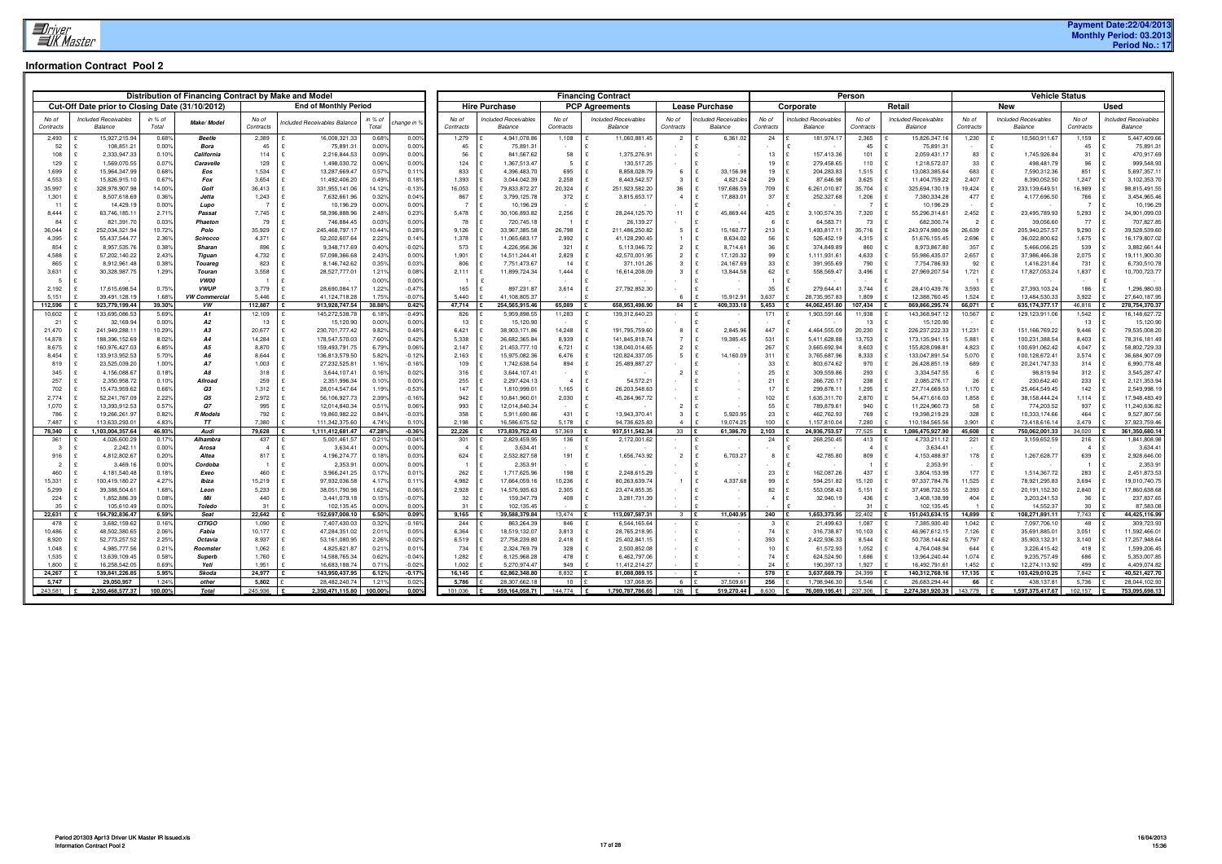# **Payment Date:22/04/2013 Monthly Period: 03.2013 Period No.: 17**

|                 |                                                 |                | Distribution of Financing Contract by Make and Model |                         |                                  |                                        |                       |                                |                               | <b>Financing Contract</b>             |                                  |                       |                |                              | Person                  |                                      |                 | <b>Vehicle Status</b>            |                       |                                           |
|-----------------|-------------------------------------------------|----------------|------------------------------------------------------|-------------------------|----------------------------------|----------------------------------------|-----------------------|--------------------------------|-------------------------------|---------------------------------------|----------------------------------|-----------------------|----------------|------------------------------|-------------------------|--------------------------------------|-----------------|----------------------------------|-----------------------|-------------------------------------------|
|                 | Cut-Off Date prior to Closing Date (31/10/2012) |                |                                                      |                         | <b>End of Monthly Period</b>     |                                        |                       | <b>Hire Purchase</b>           |                               | <b>PCP Agreements</b>                 |                                  | <b>Lease Purchase</b> |                | Corporate                    |                         | Retail                               |                 | New                              |                       | <b>Used</b>                               |
| No of           | Included Receivables                            | in % of        |                                                      | No of                   | ncluded Receivables Balance      | n % of                                 | No of                 | Included Receivables           | No of                         | Included Receivables                  | No of                            | ncluded Receivable    | No of          | <b>Included Receivables</b>  | No of                   | <b>Included Receivables</b>          | No of           | <b>Included Receivables</b>      | No of                 | <b>Included Receivables</b>               |
| Contracts       | <b>Balance</b>                                  | Total          | Make/Model                                           | Contracts               |                                  | change in 9<br>Total                   | Contracts             | Balance                        | Contracts                     | Balance                               | Contracts                        | Balance               | Contracts      | Balance                      | Contracts               | <b>Balance</b>                       | Contracts       | Balance                          | Contracts             | Balance                                   |
| 2,493           | 15,927,215.94<br>108,851.21                     | 0.68%          | Beetle                                               | 2,389                   | 16,008,321.33                    | 0.00%<br>0.68%                         | 1,279                 | 4,941,078.86                   | 1,108                         | 11,060,881.45<br>$\mathbf{f}$         |                                  | 6,361.0               | 24             | 181,974.1                    | 2,365                   | 15,826,347.1                         | 1,230           | 10,560,911.67                    | 1,159                 | 5,447,409.66<br>75,891.3                  |
| 52<br>108       | 2,333,947.33                                    | 0.00%<br>0.10% | Bora<br>California                                   | 45<br>114               | 75,891.3<br>2,216,844.53         | 0.00%<br>0.00%<br>0.00%<br>0.09%       | 45<br>56              | 75,891.31<br>841,567.62        | 58                            | 1,375,276.91<br>∣£                    |                                  |                       | 13             | 157,413.36                   | 45<br>101               | 75,891.3<br>2,059,431.1              | 83              | 1,745,926.84                     | 45<br>31              | 470,917.69                                |
| 129             | 1,569,070.55<br>$\mathbf{f}$                    | 0.07%          | Caravelle                                            | 129                     | 1,498,030.72                     | 0.06%<br>0.00%                         | 124                   | 1,367,513.47                   | $5\overline{5}$               | E<br>130,517.25                       | $\sim$                           |                       | 19             | 279,458.65                   | 110                     | 1,218,572.07<br>l £                  | 33              | 498,481.79                       | 96                    | 999,548.93<br>$\mathbf{f}$                |
| 1,699           | 15,964,347.99                                   | 0.68%          | Eos                                                  | 1,534                   | 13,287,669.47                    | 0.11%<br>0.57%                         | 833                   | 4,396,483.70                   | 695                           | l £<br>8,858,028.79                   | -6                               | 33,156.98             | 19             | 204,283.83                   | 1,515                   | 13,083,385.64                        | 683             | 7,590,312.36                     | 851                   | 5,697,357.1                               |
| 4,553           | 15,826,915.10                                   | 0.67%          | Fox                                                  | 3,654                   | 11,492,406.20                    | 0.18%<br>0.49%                         | 1,393                 | 3,044,042.39                   | 2,258                         | ∣£<br>8,443,542.57                    |                                  | 4,821.24              | 29             | 87,646.98                    | 3.625                   | 11,404,759.22                        | 2,407           | 8,390,052.50                     | 1.247                 | 3,102,353.70                              |
| 35,997          | 328,978,907.98                                  | 14.00%         | Golf                                                 | 36,413                  | 331,955,141.06                   | $-0.13%$<br>14.12%                     | 16,053                | 79,833,872.27                  | 20,324                        | l £<br>251,923,582.20                 | 36                               | 197,686.5             | 709            | 6,261,010.87                 | 35,704                  | 325,694,130.1                        | 19,424          | 233, 139, 649.51                 | 16,989                | 98,815,491.55                             |
| 1,301<br>11     | 8,507,618.69<br>£                               | 0.36%<br>0.00% | Jetta                                                | 1,243<br>$\overline{7}$ | 7,632,661.96                     | 0.04%<br>0.32%<br>0.00%<br>0.00%       | 867<br>$\overline{7}$ | 3,799,125.78                   | 372                           | 3,815,653.17<br>l £<br>$\mathbf{f}$   | $\overline{4}$                   | 17,883.0              | 37             | 252,327.68                   | 1,206<br>$\overline{7}$ | 7,380,334.28                         | 477             | 4,177,696.50                     | 766<br>$\overline{7}$ | 3,454,965.46<br>10,196.29<br>$\mathbf{f}$ |
| 8,444           | 14,429.19<br>63,746,185.1                       | 2.71%          | Lupo<br>Passat                                       | 7,745                   | 10,196.29<br>58,396,888.96       | 2.48%<br>0.23%                         | 5,478                 | 10,196.29<br>30,106,893.82     | 2,256                         | l £<br>28,244,125.70                  | 11                               | 45,869.44             | 425            | 3,100,574.35                 | 7,320                   | 10,196.29<br>55,296,314.6            | 2,452           | 23,495,789.93                    | 5,293                 | 34,901,099.03                             |
| 84              | 821,391.70                                      | 0.03%          | Phaeton                                              | 79                      | 746,884.45                       | 0.03%<br>0.00%                         | 78                    | 720,745.18                     | $\overline{1}$                | l £<br>26,139.27                      |                                  |                       |                | 64,583.71                    | 73                      | 682,300.7                            | $\overline{2}$  | 39,056.60                        | 77                    | 707,827.85                                |
| 36,044          | 252,034,321.94                                  | 10.72%         | Polo                                                 | 35,929                  | 245,468,797.17                   | 0.28%<br>10.44%                        | 9,126                 | 33,967,385.58                  | 26,798                        | E<br>211,486,250.82                   | 5                                | 15,160.77             | 213            | 1,493,817.11                 | 35,716                  | 243,974,980.06                       | 26,639          | 205,940,257.57                   | 9,290                 | 39,528,539.60                             |
| 4,395           | 55,437,544.77                                   | 2.36%          | <b>Scirocco</b>                                      | 4,371                   | 52,202,607.64                    | 2.22%<br>0.14%                         | 1,378                 | 11,065,683.1                   | 2,992                         | ∣£<br>41,128,290.45                   |                                  | 8,634.02              | 56             | 526,452.19                   | 4,315                   | 51,676,155.45                        | 2,696           | 36,022,800.62                    | 1,675                 | $\mathbf{f}$<br>16,179,807.02             |
| 854             | 8,957,535.76                                    | 0.38%          | Sharan                                               | 896                     | 9,348,717.69                     | $-0.02%$<br>0.40%                      | 573                   | 4,226,956.36                   | 321                           | l £<br>5,113,046.72                   | 2                                | 8,714.61              | 36             | 374,849.89                   | 860                     | 8,973,867.80                         | 357             | 5,466,056.25                     | 539                   | 3,882,661.44<br>$\mathbf{F}$              |
| 4,588           | 57,202,140.22                                   | 2.43%          | Tiguan                                               | 4,732                   | 57,098,366.68                    | 2.43%<br>0.00%                         | 1,901                 | 14,511,244.41                  | 2,829                         | l £<br>42,570,001.95                  | $\overline{2}$                   | 17,120.32             | 99             | 1,111,931.61                 | 4,633                   | 55,986,435.0                         | 2,657           | 37,986,466.38                    | 2,075                 | 19,111,900.30                             |
| 865             | 8,912,961.48<br>$\mathbf{c}$                    | 0.38%          | <b>Touareg</b>                                       | 823                     | 8,146,742.62                     | 0.35%<br>0.03%                         | 806                   | 7,751,473.67                   | 14                            | l £<br>371,101.26                     | $\mathcal{R}$                    | 24,167.69             | 33             | 391,955.69                   | 790                     | 7,754,786.93                         | 92              | 1,416,231.84                     | 731                   | 6,730,510.78<br>$\mathbf{c}$              |
| 3,631           | 30,328,987.75                                   | 1.29%          | Touran<br><b>VW00</b>                                | 3,558                   | 28,527,777.01                    | 1.21%<br>0.08%<br>0.00%<br>0.00%       | 2,111                 | 11,899,724.34                  | 1,444                         | 16,614,208.09<br>l £<br>$\mathbf{f}$  |                                  | 13,844.58             | 62             | 558,569.47                   | 3,496                   | 27,969,207.54<br>ΙP                  | 1,721           | 17,827,053.24                    | 1,837                 | 10,700,723.77                             |
| 2,192           | 17,615,698.54                                   | 0.75%          | <b>VWUP</b>                                          | 3,779                   | 28,690,084.17                    | 1.22%<br>$-0.47%$                      | 165                   | 897,231.87                     | 3,614                         | Ι£<br>27,792,852.30                   |                                  |                       | 35             | 279,644.41                   | 3,744                   | 28,410,439.76                        | 3,593           | 27,393,103.24                    | 186                   | 1,296,980.93                              |
| 5,151           | 39,491,128.19                                   | 1.68%          | <b>VW Commercial</b>                                 | 5,446                   | 41,124,718.28                    | $-0.07%$<br>1.75%                      | 5,440                 | 41.108.805.37                  |                               |                                       |                                  | 15,912.9              | 3,637          | 28,735,957.83                | 1.809                   | 12,388,760.45                        | 1.524           | 13,484,530.33                    | 3,922                 | 27,640,187.95                             |
| 112.596         | 923,779,199.44                                  | 39.30%         | vw                                                   | 112.887                 | 913.928.747.54                   | 38.88%<br>0.42%                        | 47,714                | 254.565.915.46                 | 65.089                        | 658.953.498.90                        | 84                               | 409.333.18            | 5,453          | 44.062.451.80                | 107.434                 | 869,866,295.74                       | 66.071          | 635, 174, 377. 17                | 46.816                | 278,754,370.37                            |
| 10,602          | 133,695,086.53                                  | 5.69%          | A1                                                   | 12,109                  | 145,272,538.78                   | $-0.49%$<br>6.18%                      | 826                   | 5,959,898.55                   | 11,283                        | 139,312,640.23<br>Ι£                  |                                  |                       | 171            | 1,903,591.66                 | 11,938                  | 143,368,947.1                        | 10,567          | 129,123,911.06                   | 1,542                 | 16, 148, 627. 72                          |
| 21              | 32,169.94                                       | 0.00%          | A2                                                   | 13                      | 15,120.90                        | 0.00%<br>0.00%                         | 13                    | 15,120.90                      |                               | l £                                   |                                  |                       |                |                              | 13                      | 15,120.90                            |                 |                                  | 13                    | 15,120.90                                 |
| 21,470          | 241,949,288.1                                   | 10.29%         | A3                                                   | 20,677                  | 230,701,777.42                   | 0.48%<br>9.82%                         | 6,421                 | 38,903,171.86                  | 14,248                        | Ι£<br>191,795,759.60                  | -8                               | 2,845.96              | 447            | 4,464,555.09                 | 20,230                  | 226,237,222.33                       | 11,231          | 151, 166, 769. 22                | 9,446                 | 79,535,008.20                             |
| 14,878          | 188,396,152.69                                  | 8.02%<br>6.85% | <b>A4</b><br>A5                                      | 14,284                  | 178,547,570.03                   | 7.60%<br>0.42%<br>0.06%                | 5,338                 | 36,682,365.84                  | 8,939                         | l £<br>141,845,818.74<br>l £          |                                  | 19,385.45             | 531<br>267     | 5,411,628.88                 | 13,753                  | 173,135,941.1                        | 5,881<br>4,823  | 100,231,388.54                   | 8,403<br>4.047        | 78,316,181.49<br>58,802,729.33            |
| 8,675<br>8,454  | 160,976,427.03<br>£<br>133,913,952.53           | 5.70%          | A6                                                   | 8,870<br>8,644          | 159,493,791.75<br>136,813,579.50 | 6.79%<br>5.82%<br>$-0.12%$             | 2,147<br>2,163        | 21,453,777.10<br>15,975,082.36 | 6,721<br>6,476                | 138,040,014.65<br>E<br>120,824,337.05 | $\overline{2}$<br>5 <sup>5</sup> | 14,160.09             | 311            | 3,665,692.94<br>3,765,687.96 | 8,603<br>8,333          | 155,828,098.8<br>133,047,891.54      | 5,070           | 100,691,062.42<br>100,128,672.41 | 3,574                 | E<br>36,684,907.09<br>E                   |
| 819             | 23,525,039.20                                   | 1.00%          | <b>A7</b>                                            | 1,003                   | 27,232,525.81                    | 1.16%<br>$-0.16%$                      | 109                   | 1,742,638.54                   | 894                           | ∣£<br>25,489,887.27                   |                                  |                       | 33             | 803,674.62                   | 970                     | 26,428,851.1                         | 689             | 20,241,747.33                    | 314                   | 6,990,778.48                              |
| 345             | £<br>4,156,088.67                               | 0.18%          | <b>A8</b>                                            | 318                     | 3,644,107.41                     | 0.02%<br>0.16%                         | 316                   | 3,644,107.41                   |                               | l £                                   | 2                                | $\sim$                | 25             | 309,559.86                   | 293                     | 3,334,547.55                         | 6               | 98,819.94                        | 312                   | 3,545,287.47                              |
| 257             | $\mathbf{f}$<br>2,350,958.72                    | 0.10%          | Allroad                                              | 259                     | 2,351,996.34                     | 0.00%<br>0.10%                         | 255                   | 2,297,424.13                   | $\overline{4}$                | E<br>54,572.21                        |                                  |                       | 21             | 266,720.17                   | 238                     | 2,085,276.1                          | 26              | 230,642.40                       | 233                   | 2,121,353.94                              |
| 702             | 15,473,959.62<br>£                              | 0.66%          | Q3                                                   | 1,312                   | 28,014,547.64                    | $-0.53%$<br>1.19%                      | 147                   | 1,810,999.01                   | 1,165                         | ∣£<br>26,203,548.63                   |                                  | $\sim$                | 17             | 299,878.11                   | 1,295                   | 27,714,669.53                        | 1,170           | 25,464,549.45                    | 142                   | 2,549,998.19<br>$\mathbf{F}$              |
| 2,774           | 52,241,767.09<br>£                              | 2.22%          | Q5                                                   | 2,972                   | 56,106,927.73                    | 2.39%<br>$-0.16%$                      | 942                   | 10,841,960.01                  | 2,030                         | E<br>45,264,967.72                    |                                  | $\sim$                | 102            | 1,635,311.70                 | 2,870                   | 54,471,616.03<br>∣ £                 | 1,858           | 38, 158, 444. 24                 | 1,114                 | 17,948,483.49<br>$\mathbf{F}$             |
| 1,070           | £<br>13,393,912.53                              | 0.57%          | <b>O7</b>                                            | 995                     | 12,014,840.34                    | 0.51%<br>0.06%                         | 993                   | 12,014,840.34                  |                               | $\mathbf{f}$                          | $\overline{2}$                   |                       | 55             | 789,879.61                   | 940                     | 11,224,960.73                        | 58              | 774,203.52                       | 937                   | 11,240,636.82<br>$\mathbf{f}$             |
| 786<br>7,487    | 19,266,261.97<br>£<br>113,633,293.0             | 0.82%<br>4.83% | <b>R</b> Models<br>T                                 | 792<br>7,380            | 19,860,982.22<br>111,342,375.60  | 0.84%<br>$-0.03%$<br>4.74%<br>0.10%    | 358                   | 5,911,690.86<br>16,586,675.52  | 431<br>5,178                  | Ι£<br>13.943.370.41<br>94,736,625.83  | $\mathbf{3}$                     | 5,920.95<br>19,074.2  | 23<br>100      | 462,762.93<br>1,157,810.04   | 769                     | 19,398,219.29                        | 328             | 10,333,174.66                    | 464<br>3,479          | 9,527,807.56<br>37,923,759.46             |
| 78.340          | 1,103,004,357.64                                | 46.93%         | Audi                                                 | 79,628                  | 1,111,412,681.47                 | 47.28%<br>$-0.36%$                     | 2,198<br>22,226       | 173,839,752.43                 | 57,369                        | 937.511.542.34                        | 33                               | 61,386.70             | 2,103          | 24,936,753.57                | 7,280<br>77,525         | 110,184,565.56<br>1,086,475,927.90   | 3,901<br>45.608 | 73,418,616.1<br>750,062,001.33   | 34.020                | 361,350,680.14                            |
| 361             | 4,026,600.29                                    | 0.17%          | Alhambra                                             | 437                     | 5,001,461.57                     | 0.21%<br>$-0.04%$                      | 301                   | 2,829,459.95                   | 136                           | 2,172,001.62                          |                                  |                       | 24             | 268,250.45                   | 413                     | 4,733,211.1                          | 221             | 3,159,652.59                     | 216                   | 1,841,808.98                              |
| $\mathbf{3}$    | 2,242.1                                         | 0.00%          | Arosa                                                | $\overline{4}$          | 3,634.41                         | 0.00%<br>0.00%                         | $\overline{4}$        | 3,634.41                       |                               |                                       |                                  |                       |                |                              | $\overline{4}$          | 3,634.4                              |                 |                                  | $\overline{4}$        | 3,634.4                                   |
| 916             | 4,812,802.67                                    | 0.20%          | Altea                                                | 817                     | 4,196,274.77                     | 0.03%<br>0.18%                         | 624                   | 2,532,827.58                   | 191                           | l £<br>1,656,743.92                   | $\overline{2}$                   | 6,703.27              | -8             | 42,785.80                    | 809                     | 4,153,488.97                         | 178             | 1,267,628.77                     | 639                   | 2,928,646.00                              |
| $\overline{2}$  | 3,469.16                                        | 0.00%          | Cordoba                                              | $\overline{1}$          | 2,353.9                          | 0.00%<br>0.00%                         | $\overline{1}$        | 2,353.91                       |                               | £                                     |                                  |                       |                |                              | $\overline{1}$          | 2,353.9                              |                 |                                  |                       | 2,353.9                                   |
| 460             | 4,181,540.48                                    | 0.18%          | Exeo                                                 | 460                     | 3,966,241.25                     | 0.01%<br>0.17%                         | 262                   | 1,717,625.96                   | 198                           | ∣£<br>2,248,615.29                    |                                  |                       | 23             | 162,087.26                   | 437                     | 3,804,153.99                         | 177             | 1,514,367.72                     | 283                   | 2,451,873.53                              |
| 15,331          | 100,419,180.27<br>£                             | 4.27%          | Ibiza                                                | 15,219                  | 97,932,036.58                    | 4.17%<br>0.11%                         | 4,982                 | 17,664,059.16                  | 10,236                        | 80,263,639.74<br>l £<br>∣£            |                                  | 4,337.68              | 99<br>82       | 594,251.82                   | 15,120                  | 97,337,784.76<br>I £                 | 11,525          | 78,921,295.83                    | 3,694                 | 19,010,740.75<br>$\mathbf{f}$             |
| 5,299<br>224    | 39,388,504.61<br>1.852.886.39<br>£              | 1.68%<br>0.08% | Leon<br>Mii                                          | 5,233<br>440            | 38,051,790.98<br>3,441,079.18    | 1.62%<br>0.06%<br>$-0.07%$<br>0.15%    | 2,928<br>32           | 14,576,935.63<br>159,347.79    | 2,305<br>408                  | 23,474,855.35<br>E<br>3,281,731.39    | $\sim$                           |                       | $\overline{4}$ | 553,058.43<br>32,940.19      | 5,151<br>436            | 37,498,732.55<br>3,408,138.99<br>l £ | 2,393<br>404    | 20,191,152.30<br>3,203,241.53    | 2,840<br>36           | 17,860,638.68<br>237,837.65               |
| 35              | 105,610.49                                      | 0.00%          | Toledo                                               | 31                      | 102,135.45                       | 0.00%<br>0.00%                         | 31                    | 102,135.45                     |                               |                                       |                                  |                       |                |                              | 31                      | 102,135.4                            |                 | 14,552.37                        | 30                    | 87,583.08                                 |
| 22,631          | 154.792.836.47                                  | 6.59%          | Seat                                                 | 22,642                  | 152.697.008.10                   | 6.50%<br>0.09%                         | 9,165                 | 39.588.379.84                  | 13.474                        | 113.097.587.31                        | $3^{\circ}$                      | 11,040.95             | 240            | 1,653,373.95                 | 22,402                  | 151,043,634.15                       | 14,899          | 108,271,891.11                   | 7,743                 | 44,425,116.99                             |
| 478             | 3,682,159.62                                    | 0.16%          | <b>CITIGO</b>                                        | 1,090                   | 7,407,430.03                     | $-0.16%$<br>0.32%                      | 244                   | 863,264.39                     | 846                           | 6,544,165.64                          |                                  |                       | $\mathbf{3}$   | 21,499.63                    | 1,087                   | 7,385,930.40                         | 1,042           | 7,097,706.10                     | 48                    | 309,723.93                                |
| 10,486          | 48,502,380.65                                   | 2.06%          | Fabia                                                | 10,177                  | 47,284,351.02                    | 2.01%<br>0.05%                         | 6,364                 | 18,519,132.07                  | 3,813                         | ∣£<br>28,765,218.95                   |                                  |                       | 74             | 316,738.87                   | 10,103                  | 46,967,612.15                        | 7,126           | 35,691,885.01                    | 3,051                 | 11,592,466.0                              |
| 8,920           | 52,773,257.52                                   | 2.25%          | Octavia                                              | 8,937                   | 53,161,080.95                    | 2.26%<br>$-0.02%$                      | 6,519                 | 27,758,239.80                  | 2,418                         | Ι£<br>25,402,841.15                   | $\sim$                           |                       | 393            | 2,422,936.33                 | 8,544                   | 50,738,144.62                        | 5,797           | 35,903,132.31                    | 3,140                 | 17,257,948.64                             |
| 1,048           | £<br>4,985,777.56                               | 0.21%          | Roomster                                             | 1,062                   | 4,825,621.87                     | 0.21%<br>0.01%                         | 734                   | 2,324,769.79                   | 328                           | E<br>2,500,852.08                     | $\sim$                           |                       | 10             | 61,572.93                    | 1,052                   | 4,764,048.94                         | 644             | 3,226,415.42                     | 418                   | 1,599,206.45<br>$\mathbf{f}$              |
| 1,535           | 13,639,109.45                                   | 0.58%          | Superb                                               | 1,760                   | 14,588,765.34                    | 0.62%<br>$-0.04%$                      | 1,282                 | 8,125,968.28                   | 478                           | l £<br>6,462,797.06                   |                                  | $\sim$                | 74             | 624,524.90                   | 1,686                   | 13,964,240.44                        | 1,074           | 9,235,757.49                     | 686                   | 5,353,007.85                              |
| 1,800<br>24,267 | 16,258,542.05<br>139,841,226.85                 | 0.69%<br>5.95% | Yeti<br>Skoda                                        | 1,951<br>24,977         | 16.683.188.74<br>143,950,437.95  | 0.71%<br>$-0.02%$<br>6.12%<br>$-0.17%$ | 1,002<br>16,145       | 5,270,974.47<br>62.862.348.80  | 949<br>$8.832 \quad \text{E}$ | 11.412.214.27<br>81.088.089.15        |                                  |                       | 24<br>578      | 190,397.13<br>3,637,669.79   | 1,927<br>24,399         | 16,492,791.61<br>140,312,768.16      | 1,452<br>17,135 | 12,274,113.92<br>103,429,010.25  | 499<br>7,842          | 4,409,074.82<br>40,521,427.70             |
| 5.747           | 29.050.957                                      | 1.24%          | other                                                | 5,802                   | 28.482.240.74                    | 0.02%<br>1.21%                         | 5,786                 | 28.307.662.18                  | 10 £                          | 137.068.95                            | 6                                | 37,509.6              | 256            | 1.798.946.3                  | 5,546                   | 26.683.294.4                         | 66              | 438,137.8                        | 5,736                 | 28,044,102.93                             |
| 243,581         | 2,350,468,577.37                                | 100.00%        | Total                                                | 245,936                 | 2.350.471.115.80                 | 0.00%<br>100.00%                       | 101,036               | 559,164,058.71                 | 144,774                       | 1,790,787,786.65                      | 126                              | 519.270.44            | 8.630          | 76,089,195.41                | 237,306                 | 2,274,381,920.39                     | 143,779         | 1.597.375.417.67                 | 102.157               | 753,095,698.13                            |
|                 |                                                 |                |                                                      |                         |                                  |                                        |                       |                                |                               |                                       |                                  |                       |                |                              |                         |                                      |                 |                                  |                       |                                           |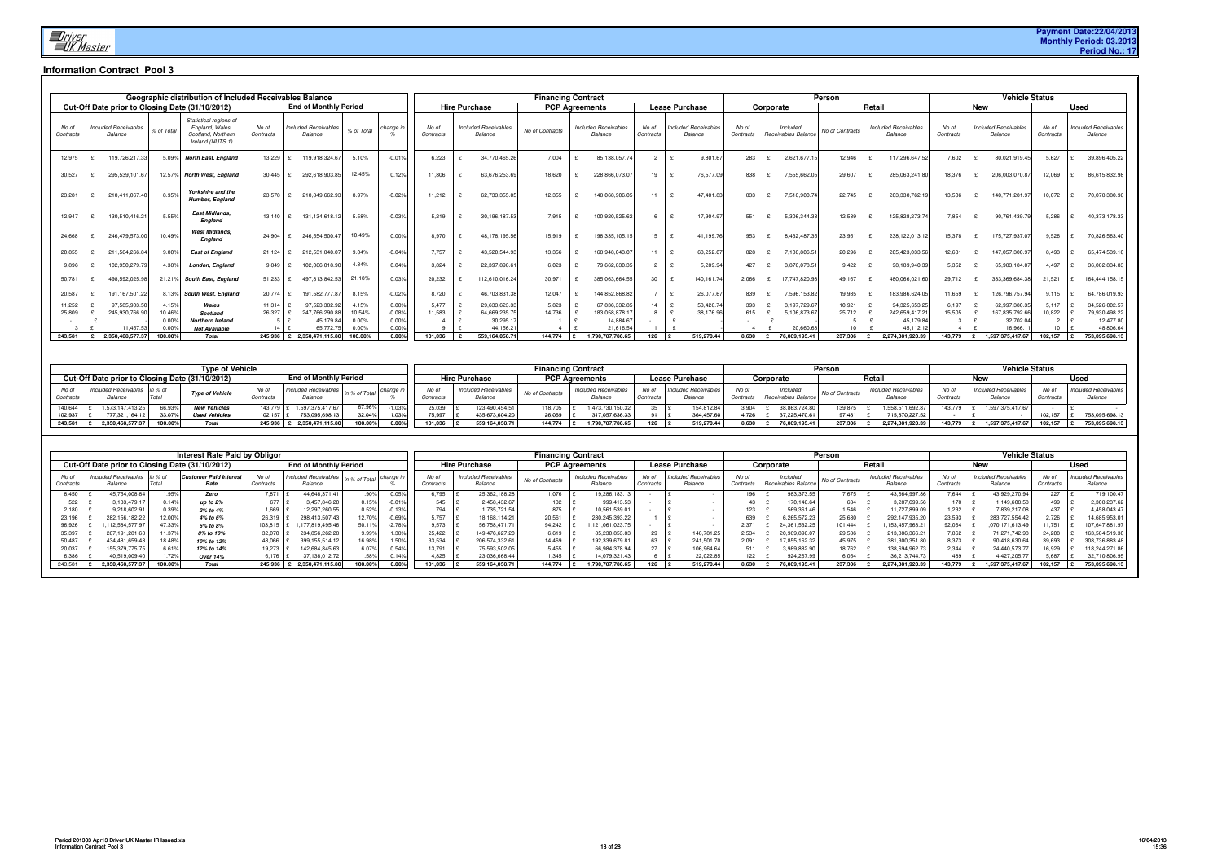|                    |                                        |                | Geographic distribution of Included Receivables Balance                             |                    |                                        |           |          |                    |                      |                                        |                 | <b>Financing Contract</b>              |                    |                                        |                    |           |                                 | Person          |        |                                        |                    |            | <b>Vehicle Status</b>                  |                    |             |                                        |
|--------------------|----------------------------------------|----------------|-------------------------------------------------------------------------------------|--------------------|----------------------------------------|-----------|----------|--------------------|----------------------|----------------------------------------|-----------------|----------------------------------------|--------------------|----------------------------------------|--------------------|-----------|---------------------------------|-----------------|--------|----------------------------------------|--------------------|------------|----------------------------------------|--------------------|-------------|----------------------------------------|
|                    |                                        |                | Cut-Off Date prior to Closing Date (31/10/2012)                                     |                    | <b>End of Monthly Period</b>           |           |          |                    | <b>Hire Purchase</b> |                                        |                 | <b>PCP Agreements</b>                  |                    | <b>Lease Purchase</b>                  |                    | Corporate |                                 |                 | Retail |                                        |                    | <b>New</b> |                                        |                    | <b>Used</b> |                                        |
| No of<br>Contracts | <b>Included Receivables</b><br>Balance | % of Total     | Statistical regions of<br>England, Wales,<br>Scotland, Northern<br>Ireland (NUTS 1) | No of<br>Contracts | <b>Included Receivables</b><br>Balance | % of Tota | change i | No of<br>Contracts |                      | <b>Included Receivables</b><br>Balance | No of Contracts | <b>Included Receivables</b><br>Balance | No of<br>Contracts | <b>Included Receivables</b><br>Balance | No of<br>Contracts |           | Included<br>Receivables Balance | No of Contract: |        | <b>Included Receivables</b><br>Balance | No of<br>Contracts |            | <b>Included Receivables</b><br>Balance | No of<br>Contracts |             | <b>Included Receivables</b><br>Balance |
| 12.975             | 119,726,217.33                         | 5.09%          | <b>North East, England</b>                                                          | 13.229             | 119,918,324.6                          | 5.10%     | $-0.01%$ | 6.223              |                      | 34,770,465.26                          | 7.004           | 85,138,057.                            |                    | 9.801.67                               | 283                |           | 2,621,677.1                     | 12,946          |        | 117.296.647.52                         | 7.602              |            | 80,021,919.45                          | 5.627              |             | 39,896,405.22                          |
| 30,527             | 295,539,101.67                         | 12.57%         | <b>North West, England</b>                                                          | 30,445             | 292,618,903.8                          | 12.45%    | 0.12%    | 11,806             |                      | 63,676,253.69                          | 18,620          | 228,866,073.07                         | 19                 | 76,577.09                              | 838                |           | 7,555,662.05                    | 29,607          |        | 285,063,241.80                         | 18,376             |            | 206,003,070.87                         | 12,069             |             | 86,615,832.98                          |
| 23,281             | 210,411,067.40                         | 8.95%          | Yorkshire and the<br>Humber. England                                                | 23,578             | 210,849,662.93                         | 8.97%     | $-0.02%$ | 11.212             |                      | 62,733,355.05                          | 12,355          | 148,068,906.05                         | 11                 | 47.401.83                              | 833                |           | 7,518,900.74                    | 22,745          |        | 203,330,762.19                         | 13,506             |            | 140,771,281.97                         | 10,072             |             | 70,078,380.96                          |
| 12,947             | 130,510,416.21                         | 5.55%          | <b>East Midlands.</b><br><b>England</b>                                             | 13.140             | 131,134,618.12                         | 5.58%     | $-0.03%$ | 5,219              |                      | 30,196,187.53                          | 7.915           | 100,920,525.62                         | 6                  | 17,904.9                               | 551                |           | 5,306,344.38                    | 12,589          |        | 125,828,273.74                         | 7,854              |            | 90,761,439.7                           | 5,286              |             | 40,373,178.33                          |
| 24,668             | 246,479,573.00                         | 10.49%         | <b>West Midlands.</b><br><b>England</b>                                             | 24.904             | 246,554,500.47                         | 10.49%    | 0.00%    | 8.970              |                      | 48,178,195.56                          | 15,919          | 198,335,105.15                         | 15                 | 41,199.76                              | 953                |           | 8,432,487.35                    | 23,951          |        | 238,122,013.12                         | 15,378             |            | 175,727,937.07                         | 9,526              |             | 70,826,563.40                          |
| 20,855             | 211,564,266.84                         | 9.00%          | <b>East of England</b>                                                              | 21.124             | 212,531,840.0                          | 9.04%     | $-0.04%$ | 7.757              |                      | 43,520,544.93                          | 13,356          | 168,948,043.07                         | 11                 | 63,252.07                              | 828                |           | 7,108,806.                      | 20,296          |        | 205,423,033.56                         | 12,631             |            | 147,057,300.97                         | 8,493              |             | 65,474,539.10                          |
| 9,896              | 102,950,279.79                         | 4.38%          | London, England                                                                     | 9.849              | 102,066,018.90                         | 4.34%     | 0.04%    | 3,824              |                      | 22,397,898.61                          | 6,023           | 79,662,830.3                           | $\overline{2}$     | 5,289.94                               | 427                |           | 3,876,078.5                     | 9,422           |        | 98,189,940.39                          | 5,352              |            | 65,983,184.07                          | 4,497              |             | 36,082,834.83                          |
| 50,781             | 498,592,025.98                         | 21.21%         | South East, England                                                                 | 51,233             | 497,813,842.53                         | 21.18%    | 0.03%    | 20,232             |                      | 112,610,016.24                         | 30,971          | 385,063,664.55                         | 30                 | 140,161.74                             | 2,066              |           | 17,747,820.93                   | 49,167          |        | 480,066,021.60                         | 29,712             |            | 333,369,684.38                         | 21,521             |             | 164,444,158.15                         |
| 20,587             | 191.167.501.22                         | 8.13%          | South West, England                                                                 | 20.774             | 191.582.777.87                         | 8.15%     | $-0.02%$ | 8.720              |                      | 46,703,831.38                          | 12,047          | 144.852.868.82                         |                    | 26,077.67                              | 839                |           | 7,596,153.82                    | 19,935          |        | 183,986,624.05                         | 11,659             |            | 126,796,757.94                         | 9,115              |             | 64,786,019.93                          |
| 11,252             | 97.585.903.50                          | 4.15%          | Wales                                                                               | 11.314             | 97.523.382.92                          | 4.15%     | 0.00%    | 5.477              |                      | 29.633.623.33                          | 5,823           | 67.836.332.8                           | 14                 | 53.426.7                               | 393                |           | 3,197,729.67                    | 10,921          |        | 94.325.653.25                          | 6.197              |            | 62.997.380.35                          | 5.117              |             | 34,526,002.57                          |
| 25,809             | 245,930,766.90                         | 10.46%         | Scotland                                                                            | 26.327             | 247.766.290.8                          | 10.54%    | $-0.08%$ | 11.583             |                      | 64.669.235.7                           | 14.736          | 183.058.878.1                          |                    | 38,176.96                              | 615                |           | 5,106,873.6                     | 25.712          |        | 242.659.417.2                          | 15.505             |            | 167.835.792.66                         | 10.822             |             | 79,930,498.22                          |
|                    |                                        | 0.00           | <b>Northern Ireland</b>                                                             |                    | 45.179.84                              | 0.00%     | 0.00%    |                    |                      | 30,295.                                |                 | 14.884.6                               |                    |                                        |                    |           |                                 |                 |        | 45.179.84                              |                    |            | 32.702.04                              |                    |             | 12,477.80                              |
|                    | 11.457.53                              | $0.00^{\circ}$ | <b>Not Available</b>                                                                |                    | 65,772.                                | 0.00%     | 0.00%    |                    |                      | 44.156.21                              |                 | 21.616.5                               |                    |                                        |                    |           | 20.660.6                        |                 |        | 45.112.1                               |                    |            | 16.966.1                               |                    |             | 48,806.64                              |
| 243,581            | 2.350.468.577.37                       | 100.00%        | Total                                                                               | 245.936            | 2.350.471.115.80                       | 100.00%   | $0.00\%$ | 101.036            |                      | 559.164.058.71                         | 144.774         | 1.790.787.786.65                       | 126                | 519.270.44                             | 8,630              |           | 76.089.195.41                   | 237.306         |        | 2.274.381.920.39                       | 143.779            |            | 1.597.375.417.67                       | 102.157            |             | 753,095,698.13                         |

|                    |                                                 |         | <b>Type of Vehicle</b> |                    |                                 |               |           |         |                                        | <b>Financing Contract</b> |                                 |                |                             |                    |                                 | Persor          |                           |                   | <b>Vehicle Status</b>           |                    |                                        |
|--------------------|-------------------------------------------------|---------|------------------------|--------------------|---------------------------------|---------------|-----------|---------|----------------------------------------|---------------------------|---------------------------------|----------------|-----------------------------|--------------------|---------------------------------|-----------------|---------------------------|-------------------|---------------------------------|--------------------|----------------------------------------|
|                    | Cut-Off Date prior to Closing Date (31/10/2012) |         |                        |                    | <b>End of Monthly Period</b>    |               |           |         | <b>Hire Purchase</b>                   |                           | <b>PCP Agreements</b>           |                | Lease Purchase              |                    | Corporate                       |                 | Retai                     |                   | New                             |                    | <b>Used</b>                            |
| No of<br>Contracts | Included Receivables in % of<br>Balance         | Total   | <b>Type of Vehicle</b> | No o.<br>Contracts | Included Receivables<br>Balance | in % of Total |           | No ا    | <b>Included Receivables</b><br>Balance | No of Contracts           | Included Receivables<br>Balance | ۸Ιο<br>Contrac | Included Receiva<br>Balance | No of<br>Contracts | Included<br>Receivables Balance | No of Contract. | Included Recei<br>Balance | No o<br>Contracts | Included Receivables<br>Balance | No of<br>Contracts | <b>Included Receivables</b><br>Balance |
| 140,644            | 1.573.147.413.25                                | 66.93%  | <b>New Vehicles</b>    | 143.779            | 1.597.375.417.6                 | 67.96%        | .03%      |         | 123.490.454.51                         | 118.705                   | 1.473.730.150.32                |                | 154.812.8                   | 3.904              | 38.863.724.8                    | 139.875         | 1.558.511.692.87          | 143,779           | 1.597.375.417.67                |                    |                                        |
| 102,937            | 777,321,164.12                                  | 33.07   | <b>Used Vehicles</b>   | 102,157            | 753,095,698.1                   | 32.04%        | U3%<br>uu | 75,997  | 435,673,604.20                         | 26.069                    | 317,057,636.3                   |                | 364,457.6                   |                    | 37,225,470.61                   | 97,431          | 715,870,227.52            |                   |                                 | 102,157            | 753,095,698.1                          |
|                    | 2.350.468.577.37                                | 100.00% | <b>Total</b>           | 245.93             | 2,350,471,115.80                | 100.00%       | $0.00\%$  | 101.036 | 559.164.058.71                         | 144,774                   | .790.787.786.65                 |                | 519.270.44                  | 8.630              | 76.089.195.41                   | 237.306         | 2.274.381.920.39          | 143,779           | 1.597.375.417.67                | 102.157            | 753,095,698.13                         |

|                    |                                                 |         | <b>Interest Rate Paid by Obligor</b> |                    |                                        |              |          |           |                                        |                 | <b>Financing Contract</b>                     |                  |                                        |                    |                                | Person          |                                       |                    | <b>Vehicle Status</b>                  |                    |                                        |
|--------------------|-------------------------------------------------|---------|--------------------------------------|--------------------|----------------------------------------|--------------|----------|-----------|----------------------------------------|-----------------|-----------------------------------------------|------------------|----------------------------------------|--------------------|--------------------------------|-----------------|---------------------------------------|--------------------|----------------------------------------|--------------------|----------------------------------------|
|                    | Cut-Off Date prior to Closing Date (31/10/2012) |         |                                      |                    | <b>End of Monthly Period</b>           |              |          |           | <b>Hire Purchase</b>                   |                 | <b>PCP Agreements</b>                         |                  | <b>Lease Purchase</b>                  |                    | Corporate                      |                 | Retail                                |                    | <b>New</b>                             |                    | Used                                   |
| No c'<br>Contracts | Included Receivables<br>Balance                 |         | Customer Paid Interes<br>Rate        | No of<br>Contracts | <b>Included Receivables</b><br>Balance | n % of Total | :hange   | Contracts | <b>Included Receivables</b><br>Balance | No of Contracts | <b>Included Receivables</b><br><i>Balance</i> | No of<br>Contrac | <b>Included Receivables</b><br>Balance | No of<br>Contract. | Included<br>Receivables Balanc | No of Contracts | <b>Included Receivable</b><br>Balance | No of<br>Contracts | <b>Included Receivables</b><br>Balance | No of<br>Contracts | <b>Included Receivables</b><br>Balance |
| 8.450              | 45,754,008.84                                   | 1.95%   | Zero                                 | 7.871              | 44.648.371.41                          | 1.90%        |          | .795      | 25,362,188.28                          | 1.076           | 19,286,183.1                                  |                  |                                        | 196                | 983,373.55                     | 7,675           | 43,664,997.8b                         | 7.644              | 43,929,270.94                          | 227                | 719,100.47                             |
| 522                | 3,183,479.1                                     | 0.14%   | up to $2%$                           |                    | 3,457,846.20                           | 0.15%        | $-0.01%$ | 545       | 2,458,432.67                           | 132             | 999,413.53                                    |                  |                                        |                    | 170,146.64                     | 634             | 3,287,699.56                          |                    | 149,608.58                             | 499                | 2,308,237.62                           |
| 2.180              | 9.218.602.91                                    | 0.399   | 2% to 4%                             | 1.669              | 12.297.260.55                          | 0.52%        |          | 794       | 1,735,721.54                           | 875             | 10,561,539.0                                  |                  |                                        | 123                | 569,361.46                     | 1,546           | 11.727.899.09                         | 1.232              | 7,839,217.08                           | 437                | 4,458,043.47                           |
| 23,196             | 282.156.182.22                                  | 12.00%  | 4% to 6%                             | 26,319             | 298,413,507.43                         | 12.70%       | 0.69%    | .757      | 18, 168, 114. 21                       | 20,561          | 280,245,393.22                                |                  |                                        |                    | 6,265,572.23                   | 25,680          | 292,147,935.20                        | 23,593             | 283.727.554.42                         | 2.726              | 14,685,953.01                          |
| 96,926             | 112.584.577.9                                   | 47.33%  | 6% to 8%                             | 103.815            | 177.819.495.46                         | 50.11%       | $-2.78$  | 3.573     | 56,758,471.7                           | 94.242          | 121,061,023.7                                 |                  |                                        | 2,37'              | 24,361,532.25                  | 101.444         | 1,153,457,963.2                       | 92.064             | 171.613.49                             | 11.751             | 107,647,881.97                         |
| 35,39              | 267, 191, 281. 68                               | 11.379  | 8% to 10%                            | 32,070             | 234,856,262.28                         | 9.99%        | 1.38%    | 25,422    | 149,476,627.20                         | 6,619           | 85,230,853.83                                 |                  | 148,781.25                             | 2,534              | 20,969,896.0                   | 29,536          | 213,886,366.2                         | 7,862              | 1,271,742.98                           | 24,208             | 163,584,519.30                         |
| 50,487             | 434.481.659.43                                  | 18.48%  | 10% to 12%                           | 48,066             | 399, 155, 514. 12                      | 16.989       | 1.50%    | 33,534    | 206,574,332.61                         | 14.469          | 192,339,679.8                                 |                  | 241,501.70                             | 2.091              | 17,855,162.32                  | 45,975          | 381,300,351.80                        | 8,373              | 90,418,630.64                          | 39,693             | 308,736,883.48                         |
| 20,03              | 155.379.775.75                                  | 6.61    | 12% to 14%                           | 19.273             | 142.684.845.63                         | 6.07%        | 0.54%    | 704       | 75.593.502.05                          | 5,455           | 66,984,378.9                                  | $\sim$           | 106.964.64                             | 511                | 3.989.882.90                   | 18,762          | 138.694.962.73                        | 2.344              | 24,440,573.7                           | 16.929             | 118,244,271.86                         |
| 6.386              | 40.519.009.40                                   |         | <b>Over 14%</b>                      | 6.176              | 37.138.012.7                           | 1.58%        | 0.14%    | 4.825     | 23.036.668.44                          | 1.345           | 14.079.321.43                                 |                  | 22.022.85                              |                    | 924,267.99                     | 6.054           | 36.213.744.73                         |                    | 4.427.205.7                            | 5.687              | 32,710,806.95                          |
| 243,581            | 2.350.468.577.37                                | 100.00% | <b>Total</b>                         | 245.936            | 2.350.471.115.80                       | 100.00%      |          | 101.036   | 559,164,058.71                         | 144.774         |                                               | 126              | 519.270.44                             | 8.630              | 76.089.195.4                   | 237.306         | 2.274.381.920.39                      | 143.779            | .597.375.417.67                        | 102.157            | 753,095,698.13                         |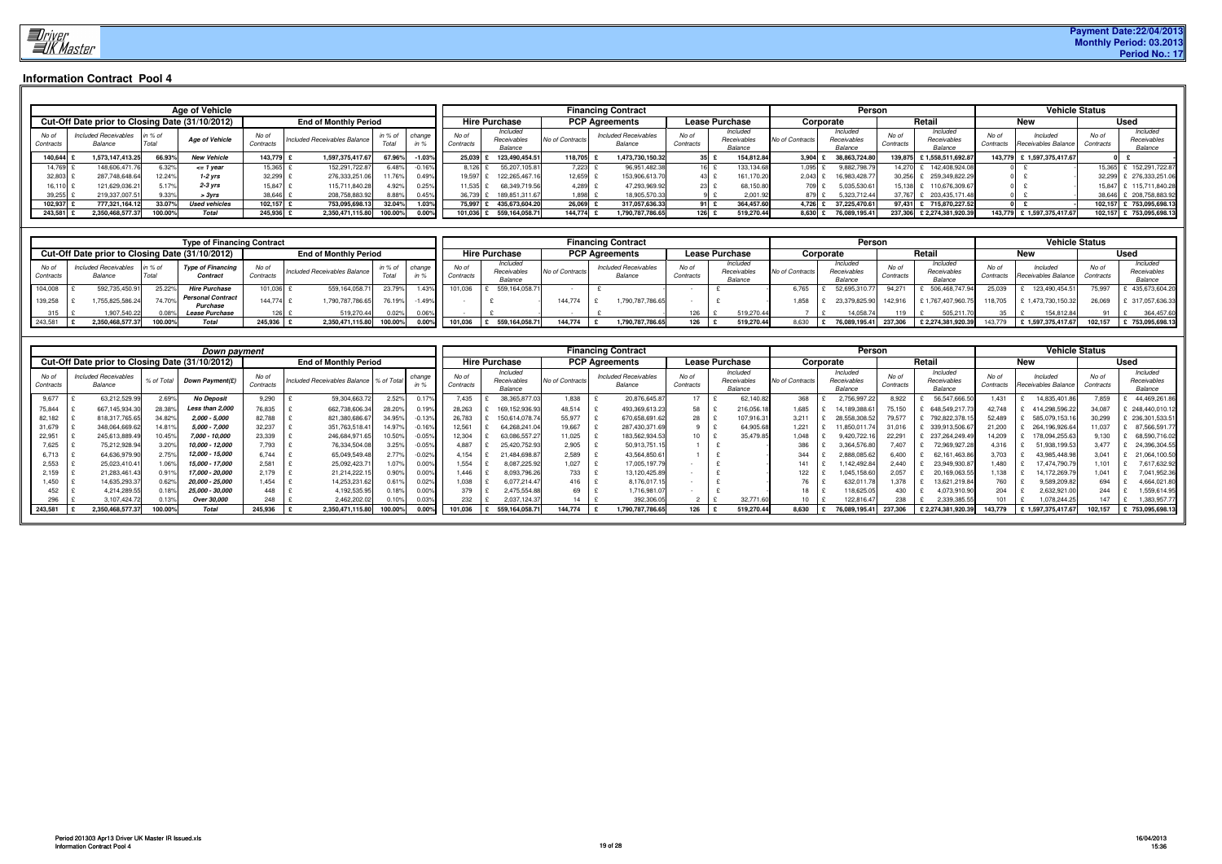

|                    |                                                 |                    | <b>Age of Vehicle</b> |                    |                              |                         |       |                    |                                    |                 | <b>Financing Contract</b>              |                    |                                    |            |                 | <b>Person</b>                      |                    |                                    |                   | <b>Vehicle Status</b>           |                    |                                    |
|--------------------|-------------------------------------------------|--------------------|-----------------------|--------------------|------------------------------|-------------------------|-------|--------------------|------------------------------------|-----------------|----------------------------------------|--------------------|------------------------------------|------------|-----------------|------------------------------------|--------------------|------------------------------------|-------------------|---------------------------------|--------------------|------------------------------------|
|                    | Cut-Off Date prior to Closing Date (31/10/2012) |                    |                       |                    | <b>End of Monthly Period</b> |                         |       |                    | <b>Hire Purchase</b>               |                 | <b>PCP Agreements</b>                  |                    | <b>Lease Purchase</b>              |            |                 | Corporate                          |                    | Retail                             |                   | New                             |                    | <b>Used</b>                        |
| No of<br>Contracts | <b>Included Receivables</b><br>Balance          | in $%$ of<br>Total | <b>Age of Vehicle</b> | No of<br>Contracts | Included Receivables Balance | in % of change<br>Total |       | No of<br>Contracts | Included<br>Receivables<br>Balance | No of Contracts | <b>Included Receivables</b><br>Balance | No of<br>Contracts | Included<br>Receivables<br>Balance |            | No of Contract: | Included<br>Receivables<br>Balance | No of<br>Contracts | Included<br>Receivables<br>Balance | No o<br>Contracts | Included<br>Receivables Balance | No of<br>Contracts | Included<br>Receivables<br>Balance |
| 140,644            | 1.573.147.413.25                                | 66.93%             | <b>New Vehicle</b>    | 143.779            | 1.597.375.417.6              | 67.96%                  | 1.03% | 25.039             | 123.490.454.51                     | 118,705         | 1,473,730,150.32                       | $35 \pm$           |                                    | 154,812.84 | 3.904           | 38,863,724.80                      | 139.875            | £1,558,511,692.87                  | 143.779           | £ 1,597,375,417.67              |                    |                                    |
| 14,769             | 148,606,471.                                    | 6.32%              | $\leq$ 1 year         | 15,365             | 152,291,722.87               | 6.48%                   |       |                    | 55,207,105.8                       | 7,223           | 96,951,482.38                          | 16                 |                                    | 133,134.6  | 1,095           | 9,882,798.7                        | 14.270             | 142,408,924.08                     |                   |                                 | 15.365             | 152,291,722.8                      |
| 32.803             | 287.748.648.64                                  | 12.24%             | $1-2$ yrs             | 32.299             | 276,333,251.06               | 11.76%                  | 0.49% | 19.597             | 122.265.467.16                     | 12,659          | 153,906,613.70                         | 43.                |                                    | 161,170.20 | 2.043           | 16.983.428.7                       | 30.256             | 259.349.822.29                     |                   |                                 | 32.299             | 276.333.251.06                     |
| 16.110             | 121.629.036.21                                  | 5.17%              | $2-3$ vrs             | 15.847             | 115,711,840.28               | 4.92%                   | 0.25% | 11.535             | 68.349.719.56                      | 4.289           | 47,293,969.92                          | 23                 |                                    | 68,150.80  | 7091            | 5.035.530.61                       | 15.138             | 110.676.309.67                     |                   |                                 | 15.847             | 115.711.840.28                     |
| 39,255             | 219,337,007.51                                  | 9.33%              | > 3vrs                | 38,646             | 208,758,883.92               | 8.88%                   | 0.45% | 36,739             | 189,851,311.67                     | 1,898           | 18,905,570.33                          |                    |                                    | 2,001.9    |                 | 5,323,712.44                       |                    | 203,435,171.48                     |                   |                                 | 38.646             | 208,758,883.92                     |
| 102,937            | 777,321,164.12                                  | 33.07%             | <b>Used vehicles</b>  | 102.157            | 753,095,698.1                | 32.04%                  |       | 75.99              | 435.673.604.20                     | 26,069          | 317.057.636.33                         | 91E                |                                    | 364,457.60 | 4.726           | 37.225.470.6                       | 97.431             | 715.870.227.52                     |                   |                                 | 102.157            | 753,095,698.1                      |
| 243,581            | 2,350,468,577.37                                | 100.00%            | Total                 | 245,936            | 2,350,471,115.80             | 100.00%                 | 0.00% | 101.036            | 559,164,058.71                     | 144,774         | 1,790,787,786.65                       | $126$ £            |                                    | 519,270.44 | 8,630           | 76,089,195.41                      | 237.306            | £2,274,381,920.39                  | 143,779           | £ 1,597,375,417.67              | 102,157            | 753,095,698.1                      |

|                    |                                                 |                  | <b>Type of Financing Contract</b>    |                    |                              |         |          |                    |                                   |                 | <b>Financing Contract</b>              |                    |                                    |             | Persor                             |                    |                                    |           |                                 | <b>Vehicle Status</b> |                                    |
|--------------------|-------------------------------------------------|------------------|--------------------------------------|--------------------|------------------------------|---------|----------|--------------------|-----------------------------------|-----------------|----------------------------------------|--------------------|------------------------------------|-------------|------------------------------------|--------------------|------------------------------------|-----------|---------------------------------|-----------------------|------------------------------------|
|                    | Cut-Off Date prior to Closing Date (31/10/2012) |                  |                                      |                    | <b>End of Monthly Period</b> |         |          |                    | <b>Hire Purchase</b>              |                 | <b>PCP Agreements</b>                  |                    | <b>Lease Purchase</b>              |             | Corporate                          |                    | Retai                              |           |                                 |                       | <b>Used</b>                        |
| No of<br>Contracts | Included Receivables<br>Balance                 | in % of<br>Total | <b>Type of Financing</b><br>Contract | No of<br>Contracts | Included Receivables Balance | in % of | change   | No of<br>Contracts | Included<br>Receivable<br>Balance | No of Contract. | <b>Included Receivables</b><br>Balance | No of<br>Contracts | Included<br>Receivables<br>Balance | of Contract | Included<br>Receivables<br>Balance | No of<br>Contracts | Included<br>Receivables<br>Balance | Contracts | Included<br>Receivables Balance | No of<br>Contracts    | Included<br>Receivables<br>Balance |
| 104,008            | 592.735.450.91                                  | 25.22%           | <b>Hire Purchase</b>                 | 101.036            | 559, 164, 058.7              | 23.79%  |          | 101,036            | 559.164.058.71                    |                 |                                        |                    |                                    | 6,765       | 52.695.310.77                      | 94,27              | 506.468.747.94                     | 25.039    | 123,490,454.51                  | 75.997                | 435,673,604.20                     |
| 139,258            | ,755,825,586.24                                 | 74.70%           | Personal Contract<br>Purchase        | 144.774            | 1,790,787,786.65             | 76.19%  | 1.49%    |                    |                                   | 144.774         | ,790,787,786.65                        |                    |                                    | .858        | 23,379,825.9                       | 142,916            | £1,767,407,960.7                   | 18,705    | <sup>€</sup> 1,473,730,150.3≿   | 26,069                | £ 317,057,636.33                   |
|                    | 907,540.22                                      |                  | <b>Lease Purchase</b>                | 1261               | 519,270.44                   | 0.02%   | $0.06\%$ |                    |                                   |                 |                                        |                    | 519,270.44                         |             | 14,058.74                          |                    | 505,211.70                         |           | 154,812.84                      |                       | 364,457.60                         |
| 243,581            | 2,350,468,577.37                                | 100.00%          | <b>Total</b>                         | 245,936            | 2,350,471,115.80             | 100.00% |          | 101,036            | 559,164,058.7                     | 144,774         | 1,790,787,786.65                       | 126                | 519,270.44                         | 8,630       | 76,089,195.41                      | 237,306            | £2,274,381,920.39                  | 143,779   | £1,597,375,417.67               | 102.157               | 753,095,698.13                     |

|                   |                                                 |              | Down payment      |                    |                              |                |                 |                    |                                    |                 | <b>Financing Contract</b>              |                    |                                    |                          | Persor                             |                    |                                    |                    | <b>Vehicle Status</b>           |                    |                                    |
|-------------------|-------------------------------------------------|--------------|-------------------|--------------------|------------------------------|----------------|-----------------|--------------------|------------------------------------|-----------------|----------------------------------------|--------------------|------------------------------------|--------------------------|------------------------------------|--------------------|------------------------------------|--------------------|---------------------------------|--------------------|------------------------------------|
|                   | Cut-Off Date prior to Closing Date (31/10/2012) |              |                   |                    | <b>End of Monthly Period</b> |                |                 |                    | <b>Hire Purchase</b>               |                 | <b>PCP Agreements</b>                  |                    | Lease Purchase                     |                          | Corporate                          |                    | Retai                              |                    | <b>New</b>                      |                    | <b>Used</b>                        |
| No of<br>Contract | <b>Included Receivables</b><br>Balance          | % of Total   | Down Payment(£)   | No of<br>Contract. | Included Receivables Balance | % of Total     | chano           | No of<br>Contracts | Included<br>Receivables<br>Balance | No of Contract. | <b>Included Receivables</b><br>Balance | No of<br>Contracts | Included<br>Receivables<br>Balance | No of Contract           | Included<br>Receivables<br>Balance | No of<br>Contracts | Included<br>Receivables<br>Balance | No of<br>Contracts | Included<br>Receivables Balance | No of<br>Contracts | Included<br>Receivables<br>Balance |
| 9,677             | 63,212,529.9                                    | 2.69%        | <b>No Deposit</b> | 9.290              | 59,304,663.7                 | 2.52%          |                 | 7.435              | 38,365,877.0                       | 1,838           | 20,876,645.8                           | 17                 | 62,140.82                          | 368                      | 2,756,997.22                       | 8.922              | 56,547,666.                        | .431               | 14,835,401.8                    | 7,859              | 44,469,261.8                       |
| 75,844            | 667, 145, 934.3                                 | 28.38%       | Less than 2,000   | 76,835             | 662,738,606.3                |                | 19%             | 28,26              | 169, 152, 936.9                    | 48,514          | 493,369,613.23                         | 58                 | 216,056.1                          | 1,685                    |                                    | 75,150             | 648,549,217                        | 42.748             | 414,298,596.22                  | 34.087             | 248,440,010.1                      |
| 82,182            | 818,317,765.6                                   | 34.82%       | $2,000 - 5,000$   | 82,788             | 821,380,686.                 |                |                 | 26,783             | 150,614,078.7                      | 55,977          | 670,658,691.62                         | 28                 | 107,916.3                          | 3,211                    |                                    | 79,577             | 792,822,378                        | 52.489             | 585,079,153.1                   | 30,299             | 236,301,533.5                      |
| 31,679            | 348,064,669.62                                  | 14.81%       | 5,000 - 7,000     | 32,237             | 351,763,518.4                | 14.97          | $-0.16%$        | 12,56              | 64,268,241.0                       | 19,667          | 287,430,371.69                         |                    | 64,905.6                           | 1,221                    | 1,850,011.                         | 31,016             | 339,913,506.                       | 21,200             | 264,196,926.6                   | 11,037             | 87,566,591.                        |
| 22,951            | 245,613,889.4                                   | 10.45%       | 7,000 - 10,000    | 23,339             | 246,684,971.65               | 10.50%         | $-0.05^{\circ}$ | 12,304             | 63,086,557.27                      | 11,025          | 183,562,934.53                         | 10                 | 35,479.85                          | 1,048                    | 9,420,722.                         | 22,29              | 237,264,249.4                      | 14,209             | 178,094,255.6                   | 9,130              | 68,590,716.0                       |
| 7,625             | 75,212,928.9                                    | 3.20%        | 10,000 - 12,000   | 7,793              | 76,334,504.08                | 3.25%          | $-0.05%$        | 4,887              | 25,420,752.9                       | 2,905           | 50,913,751.1                           |                    |                                    | 386                      | 3,364,576.8                        | 7,407              | 72,969,927.2                       | 4.316              | 51,938,199.5                    | 3.477              | 24,396,304.5                       |
|                   | 64,636,979.9                                    | 2.75%        | 12,000 - 15,000   | 6,744              | 65,049,549.48                | $2.77^{\circ}$ | $-0.02%$        | 4.154              | 21,484,698.87                      | 2,589           | 43,564,850.61                          |                    |                                    | 344                      | 2,888,085.62                       | 6.400              | 62,161,463.8                       | 3.703              | 43,985,448.9                    | $3,04^{\circ}$     | 21,064,100.50                      |
| 2,553             | 25,023,410.41                                   | 1.06%        | 15,000 - 17,000   | 2,581              | 25,092,423.1                 | 1.07%          | 0.00%           | 1.554              | 8,087,225.92                       | 1,027           | 17,005,197.7                           |                    |                                    | 141                      | 142.492.8                          | 2.440              | 23,949,930.                        | .480               | 17,474,790.7                    | 1.101              | 7,617,632.92                       |
| 2,159             | 21,283,461.43                                   | 0.91%        | 17,000 - 20,000   | 2,179              | 21,214,222.1                 | $0.90^\circ$   | 0.00%           | 1.446              | 8,093,796.26                       | 733             | 13,120,425.89                          |                    |                                    | 122                      | 1.045.158.6                        | 2,05               | 20,169,063.5                       | .138               | 14,172,269.7                    | 1,041              | 7,041,952.3                        |
| 1,450             | 14,635,293.37                                   | 0.62%        | 20,000 - 25,000   | 1,454              | 14,253,231.62                | 1.61°          | 0.02%           | 1.038              | 6,077,214.47                       | 416             | 8,176,017.                             |                    |                                    | $\overline{\phantom{a}}$ | 632.011.                           | .378               | 13,621,219.8                       | 760                | 9,589,209.82                    | 694                | 4,664,021.8                        |
| 452               | 4,214,289.5                                     | 0.18%        | 25,000 - 30,000   |                    | 4,192,535.9                  | .18%           | $0.00\%$        |                    | 2,475,554.88                       | 69              | 1,716,981.0,                           |                    |                                    |                          | 18,625.                            |                    | 4,073,910.9                        | 204                | 2,632,921.                      | 244                | 1,559,614.9                        |
|                   | 3.107.424.72                                    | 1.13%        | Over 30,000       | 248                | 2.462.202.02                 |                |                 |                    | 2.037.124.3                        |                 | 392,306.05                             |                    | 32.771.f                           |                          | 22.816.4                           |                    | 2.339.385.5                        | 101                | 1.078.244.25                    |                    | 1,383,957.                         |
|                   | 2,350,468,577.37                                | $0.00^\circ$ | Total             | 245,936            | 2,350,471,                   |                |                 |                    | 559,164,058.                       | 44,774          | ,790,787,786.65                        | 126                | 519,270.4                          | 8,630                    | 76,089,195.41                      | 237,306            |                                    | 143,779            |                                 | 102,157            | 753,095,698.1                      |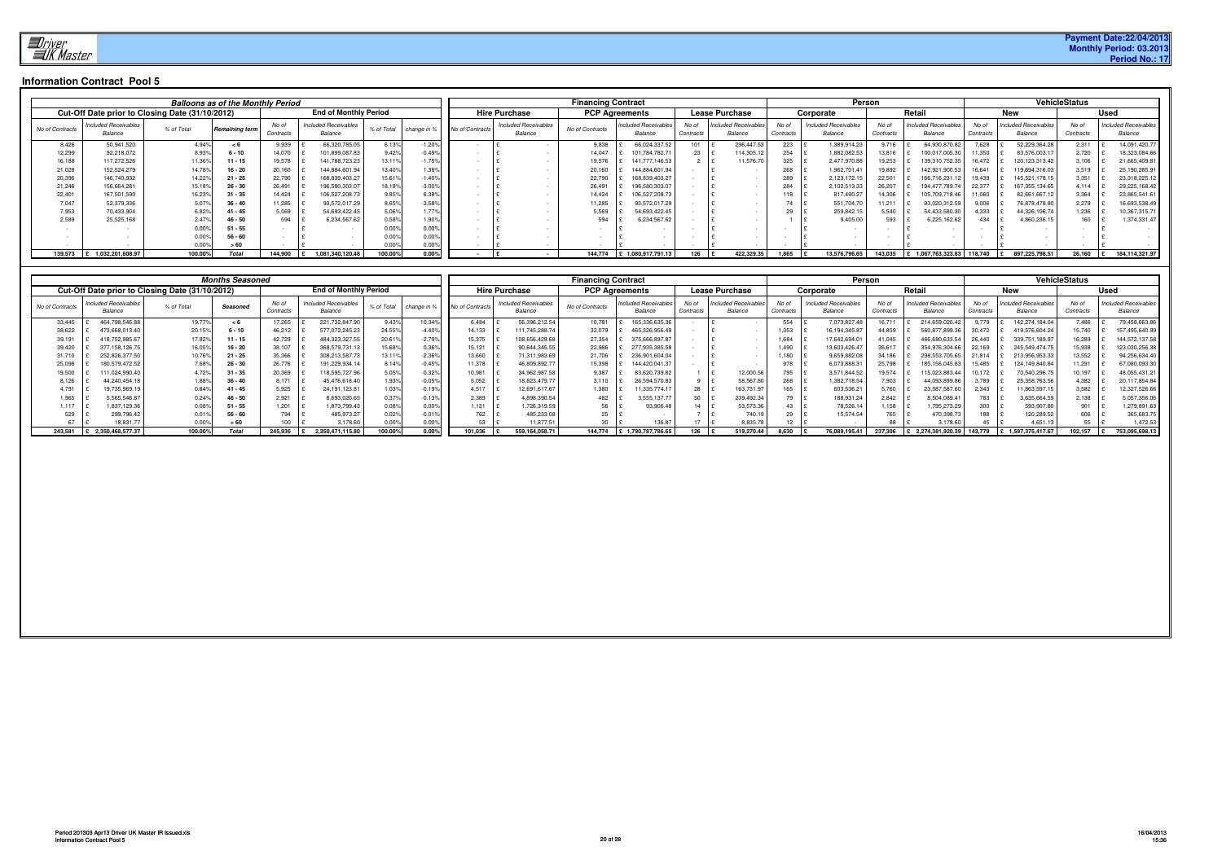**Payment Date:22/04/2013 Monthly Period: 03.2013 Period No.: 17**

|                 |                                        |                                                 | <b>Balloons as of the Monthly Period</b> |                    |                                        |                        |                 |                 |                                        | <b>Financing Contract</b> |                                        |                   |                                |                   |                                 | Person             |                                        |                    |                                        | <b>VehicleStatus</b> |                                        |
|-----------------|----------------------------------------|-------------------------------------------------|------------------------------------------|--------------------|----------------------------------------|------------------------|-----------------|-----------------|----------------------------------------|---------------------------|----------------------------------------|-------------------|--------------------------------|-------------------|---------------------------------|--------------------|----------------------------------------|--------------------|----------------------------------------|----------------------|----------------------------------------|
|                 |                                        | Cut-Off Date prior to Closing Date (31/10/2012) |                                          |                    | <b>End of Monthly Period</b>           |                        |                 |                 | <b>Hire Purchase</b>                   | <b>PCP Agreements</b>     |                                        |                   | <b>Lease Purchase</b>          |                   | Corporate                       |                    | Retai.                                 |                    | <b>New</b>                             |                      | <b>Used</b>                            |
| No of Contracts | <b>Included Receivables</b><br>Balance | % of Total                                      | Remaining term                           | No of<br>Contracts | <b>Included Receivables</b><br>Balance | % of Total change in % |                 | No of Contracts | <b>Included Receivables</b><br>Balance | No of Contracts           | <b>Included Receivables</b><br>Balance | No of<br>Contract | ncluded Receivables<br>Balance | No o<br>Contracts | Included Receivables<br>Balance | No of<br>Contracts | <b>Included Receivables</b><br>Balance | No of<br>Contracts | <b>Included Receivables</b><br>Balance | No of<br>Contracts   | <b>Included Receivables</b><br>Balance |
| 8.426           | 50,941,520                             | 4.94%                                           |                                          | 9,939              | 66,320,785.05                          | 6.13%                  | $-1.20^{\circ}$ |                 |                                        | 9,838                     | 66,024,337.52                          | 101               | 296,447.53                     | 223               | 1,389,914.23                    | 9.716              | 64,930,870.82                          | 7.628              | 52,229,364.28                          | 2,311                | 14,091,420.7                           |
| 12,299          | 92,218,072                             | 8.93%                                           | $6 - 10$                                 | 14.070             | 101,899,087.83                         | 9.42%                  | $-0.49%$        |                 |                                        | 14,047                    | 101.784.782.71                         | 23                | 114,305.1                      | 254               | 1,882,082.53                    | 13,816             | 100,017,005.30                         | 11.350             | 83,576,003.1                           | 2,720                | 18,323,084.66                          |
| 16,188          | 117,272,526                            | 11.36%                                          |                                          | 19,578             | 141,788,723.23                         | 13.11%                 | $-1.759$        |                 |                                        | 19,576                    | 141.777.146.53                         |                   | 11,576.7                       | 325               | 2,477,970.88                    | 19,253             | 139,310,752.35                         | 16.472             | 120,123,313.42                         | 3,106                | 21,665,409.8                           |
| 21,028          | 152,524,279                            | 14.78%                                          | $16 - 20$                                | 20,160             | 144,884,601.94                         | 13.40%                 | 1.38%           |                 |                                        | 20,160                    | 144,884,601.94                         |                   |                                | 268               | 1,962,701.41                    | 19,892             | 142,921,900.53                         |                    | 119,694,316.03                         | 3,519                | 25,190,285.9                           |
| 20,396          | 146,740,932                            | 14.22%                                          | $21 - 25$                                | 22,790             | 168,839,403.27                         | 15.61%                 | 1.40%           |                 |                                        | 22,790                    | 168.839.403.27                         |                   |                                | 289               | 2,123,172.15                    | 22,501             | 166,716,231.12                         | 19.439             | 145,521,178.15                         | 3,351                | 23,318,225.1                           |
| 21,246          | 156,664,281                            | 15.18%                                          | $26 - 30$                                | 26,491             | 196,580,303.07                         | 18.18%                 | $-3.00%$        |                 |                                        | 26,491                    | 196.580.303.07                         |                   |                                | 284               | 2,102,513.33                    | 26,207             | 194.477.789.7                          |                    | 167, 355, 134.65                       | 4.114                | 29,225,168.42                          |
| 22,40           | 167,501,590                            | 16.23%                                          | $-35$                                    | 14.424             | 106,527,208.7                          | 9.85%                  | 6.38%           |                 |                                        | 14.424                    | 106,527,208.7                          |                   |                                | 18                | 817,490.27                      | 14.306             | 105,709,718.46                         | 11,060             | 82,661,667.12                          | 3,364                | 23,865,541.61                          |
| 7,047           | 52,379,336                             | 5.07%                                           | $36 - 40$                                | 11,285             | 93,572,017.29                          | 8.65%                  | $-3.58%$        |                 |                                        | 11,285                    | 93,572,017.29                          |                   |                                |                   | 551,704.70                      | 11,211             | 93,020,312.59                          | 9,006              | 76,878,478.80                          | 2,279                | 16,693,538.49                          |
| 7,953           | 70,433,904                             | 6.82%                                           | $-45$                                    | 5.569              | 54,693,422.45                          | 5.06%                  | 1.77%           |                 |                                        | 5,569                     | 54,693,422.45                          |                   |                                |                   | 259,842.15                      | 5,540              | 54,433,580.30                          | 1,333              | 44,326,106.74                          | 1,236                | 10,367,315.7                           |
| 2,589           | 25,525,168                             | 2.47°                                           | $46 - 50$                                | 594                | 6,234,567.62                           | 0.58%                  | 1.90%           |                 |                                        | 594                       | 3,234,567.62                           |                   |                                |                   | 9,405.00                        | 593                | 6,225,162.62                           |                    | 1,860,236.15                           | 160                  | 1,374,331.47                           |
|                 |                                        | 0.00%                                           | - 55                                     |                    |                                        |                        | 0.00%           |                 |                                        |                           |                                        |                   |                                |                   |                                 |                    |                                        |                    |                                        |                      |                                        |
|                 |                                        | 0.00%                                           | $56 - 60$                                |                    |                                        |                        | 0.00%           |                 |                                        |                           |                                        |                   |                                |                   |                                 |                    |                                        |                    |                                        |                      |                                        |
|                 |                                        | 0.00                                            |                                          |                    |                                        |                        | $0.00^{\circ}$  |                 |                                        |                           |                                        |                   |                                |                   |                                 |                    |                                        |                    |                                        |                      |                                        |
| 139.573         | 1,032,201,608.97                       | 100.00%                                         | <b>Total</b>                             | 144.900            | 1,081,340,120.48                       | 100.00%                | 0.00%           |                 |                                        | 144.774                   | £1,080,917,791.13                      | 126               | 422.329.35                     | 1.865             | 13,576,796.65                   | 143.035            | £ 1,067,763,323.83                     | 118,740            | 897,225,798.51                         | 26,160               | 184,114,321.97                         |

|                                                        | 0.007<br>0.00%<br>0.00% | ິນ - ນິນ<br>$56 - 60$<br>> 60 | l £                          |                                  | 0.007<br>0.00%<br>0.00% | v.vv<br>0.00%<br>0.00% |                  |                                      |                           |                                  |                      | Ι£<br>$\sim$                        | $\sim$         | $\sim$                        |                  | £                                       |                  |                                  |                      |                                 |
|--------------------------------------------------------|-------------------------|-------------------------------|------------------------------|----------------------------------|-------------------------|------------------------|------------------|--------------------------------------|---------------------------|----------------------------------|----------------------|-------------------------------------|----------------|-------------------------------|------------------|-----------------------------------------|------------------|----------------------------------|----------------------|---------------------------------|
| 139,573 £ 1,032,201,608.97                             | 100.00%                 | Total                         |                              | 144,900 £ 1,081,340,120.48       | 100.00%                 | $0.00\%$               | $\sim$           | £<br>$\sim$ $-$                      |                           | 144,774 £ 1,080,917,791.13       | 126 £                | 422,329.35                          | $1,865$   £    | 13,576,796.65                 |                  | 143,035 £ 1,067,763,323.83              | 118,740          | £ 897,225,798.51                 | 26,160 E             | 184,114,321.97                  |
|                                                        |                         |                               |                              |                                  |                         |                        |                  |                                      |                           |                                  |                      |                                     |                |                               |                  |                                         |                  |                                  |                      |                                 |
| Cut-Off Date prior to Closing Date (31/10/2012)        |                         | <b>Months Seasoned</b>        |                              | <b>End of Monthly Period</b>     |                         |                        |                  | <b>Hire Purchase</b>                 | <b>Financing Contract</b> | <b>PCP Agreements</b>            |                      | <b>Lease Purchase</b>               |                | Corporate                     | Person           | Retail                                  |                  | <b>New</b>                       | <b>VehicleStatus</b> | <b>Used</b>                     |
| ncluded Receivables                                    |                         |                               | No of                        | <b>Included Receivables</b>      |                         |                        |                  | <b>Included Receivables</b>          |                           | Included Receivables             | No of                | Included Receivable.                | No of          | <b>Included Receivables</b>   | No of            | Included Receivables                    | No of            | Included Receivables             | No of                | <b>Included Receivables</b>     |
| No of Contracts<br>Balance                             | % of Total              | Seasoned                      | Contracts                    | Balance                          | % of Total              | change in %            | No of Contracts  | Balance                              | No of Contracts           | Balance                          | Contracts            | Balance                             | Contracts      | Balance                       | Contracts        | Balance                                 | Contracts        | Balance                          | Contracts            | Balance                         |
| 464,798,546.88<br>33,445<br>38,622<br>473,668,013.40   | 19.77%<br>20.15%        | < 6<br>$6 - 10$               | 17,265<br>46,212             | 221,732,847.90<br>577,072,245.23 | 9.43%<br>24.55%         | 10.34%<br>$-4.40%$     | 6,484<br>14,133  | 56,396,212.54<br>111,745,288.74      | 10,781<br>32,079          | 165,336,635.36<br>465,326,956.49 |                      | $\sim$                              | 554<br>1,353   | 7,073,827.48<br>16,194,345.87 | 16,711<br>44,859 | 214,659,020.42<br>560,877,899.36        | 9,779<br>30,472  | 142,274,184.04<br>419,576,604.24 | 7,486<br>15,740      | 79,458,663.86<br>157,495,640.99 |
| 39,191<br>418,752,985.67                               | 17.82%<br>16.05%        | $11 - 15$                     | 42,729<br>38,107             | 484,323,327.55<br>368,579,731.13 | 20.61%                  | $-2.79%$<br>0.36%      | 15,375           | 108,656,429.68<br>£                  | 27,354                    | 375,666,897.87                   |                      | l £<br>$\sim$<br>l £<br>$\sim$      | 1,684          | 17,642,694.01                 | 41,045<br>36,617 | 466,680,633.54<br>£                     | 26,440           | 339,751,189.97                   | 16,289               | 144,572,137.58                  |
| 39,420<br>377, 158, 126.75<br>31,710<br>252,826,377.50 | 10.76%                  | $16 - 20$<br>$21 - 25$        | 35,366                       | 308,213,587.73                   | 15.68%<br>13.11%        | $-2.36%$               | 15,121<br>13,660 | 90,644,345.55<br>71,311,983.69       | 22,986<br>21,706          | 277,935,385.58<br>236,901,604.04 |                      | l £<br>$\sim$                       | 1,490<br>1,180 | 13,603,426.47<br>9,659,882.08 | 34,186           | 354,976,304.66<br>298,553,705.65<br>∣£  | 22,169<br>21,814 | 245,549,474.75<br>213,956,953.33 | 15,938<br>13,552     | 123,030,256.38<br>94,256,634.40 |
| 25,098<br>180,579,472.52<br>19,500<br>111,024,990.40   | 7.68%<br>4.72%          | $26 - 30$<br>$31 - 35$        | 26,776<br>20,369             | 191,229,934.14<br>118,595,727.96 | 8.14%<br>5.05%          | $-0.45%$<br>$-0.32%$   | 11,378<br>10,981 | 46,809,892.77<br>£<br>34,962,987.58  | 15,398<br>9,387           | 144,420,041.37<br>83,620,739.82  | $1 \quad \mathbf{E}$ | l £<br>12,000.56                    | 978<br>795     | 6,073,888.31<br>3,571,844.52  | 25,798<br>19,574 | 185, 156, 045.83<br>115,023,883.44<br>£ | 15,485<br>10,172 | 124,149,840.84<br>70,540,296.75  | 11,291<br>10,197     | 67,080,093.30<br>48,055,431.21  |
| 44,240,454.18<br>8,126                                 | 1.88%                   | $36 - 40$                     | 8,171                        | 45,476,618.40                    | 1.93%                   | $-0.05%$               | 5,052            | 18,823,479.77                        | 3,110                     | 26,594,570.83                    | $9$ $\epsilon$       | 58,567.80                           | 268            | 1,382,718.54                  | 7,903            | 44,093,899.86<br>£                      | 3,789            | 25,358,763.56                    | 4,382                | 20,117,854.84                   |
| 4,791<br>19,735,969.19<br>5,565,546.87<br>1,965        | 0.84%<br>0.24%          | 41 - 45<br>$46 - 50$          | 5,925<br>l £<br>2,921<br>l £ | 24,191,123.81<br>8,693,020.65    | 1.03%<br>0.37%          | $-0.19%$<br>$-0.13%$   | 4,517<br>2,389   | 12,691,617.67<br>£<br>4,898,390.54   | 1,380<br>482              | 11,335,774.17<br>3,555,137.77    | 28<br>50             | 163,731.97<br>E<br>Ι£<br>239,492.34 | 165<br>79      | 603,536.21<br>188,931.24      | 5,760<br>2,842   | 23,587,587.60<br>£<br>8,504,089.41<br>£ | 2,343<br>783     | 11,863,597.15<br>3,635,664.59    | 3,582<br>2,138       | 12,327,526.66<br>5,057,356.06   |
| 1,117<br>1,837,129.36<br>529<br>299,796.42             | 0.08%<br>0.01%          | $51 - 55$<br>$56 - 60$        | 1,201<br>l £<br>794          | 1,873,799.43<br>485,973.27       | 0.08%<br>0.02%          | 0.00%<br>$-0.01%$      | 1,131<br>762     | 1,726,319.59<br>£<br>485,233.08<br>£ | 56<br>25                  | 93,906.48                        | $14$ £<br>7 £        | 53,573.36<br>740.19                 | 43<br>29       | 78,526.14<br>15,574.54        | 1,158<br>765     | 1,795,273.29<br>£<br>470,398.73<br>£    | 300<br>188       | 593,907.80<br>£<br>120,289.52    | 901<br>606           | 1,279,891.63<br>365,683.75      |
| 67<br>18,831.77                                        | 0.00%                   | > 60                          | 100                          | 3,178.60                         | 0.00%                   | 0.00%                  | 53               | 11,877.51                            | 30                        | 136.87                           | 17                   | 8,835.78                            | 12             |                               | 88               | 3,178.60                                | 45               | 4,651.13                         | 55                   | 1,472.53                        |
| £ 2,350,468,577.37<br>243,581                          | 100.00%                 | <b>Total</b>                  | 245,936                      | £ 2,350,471,115.80               | 100.00%                 | 0.00%                  | 101,036          | 559,164,058.71                       |                           | 144,774 £ 1,790,787,786.65       | $126$ £              | 519,270.44                          | 8,630          | 76,089,195.41                 | 237,306          | £ 2,274,381,920.39                      | 143,779          | £ 1,597,375,417.67               | 102,157 £            | 753,095,698.13                  |
|                                                        |                         |                               |                              |                                  |                         |                        |                  |                                      |                           |                                  |                      |                                     |                |                               |                  |                                         |                  |                                  |                      |                                 |
| Period 201303 Apr13 Driver UK Master IR Issued.xls     |                         |                               |                              |                                  |                         |                        |                  |                                      |                           |                                  |                      |                                     |                |                               |                  |                                         |                  |                                  |                      | 16/04/201                       |
| Information Contract Pool 5                            |                         |                               |                              |                                  |                         |                        |                  |                                      | 20 of 28                  |                                  |                      |                                     |                |                               |                  |                                         |                  |                                  |                      | 15:3                            |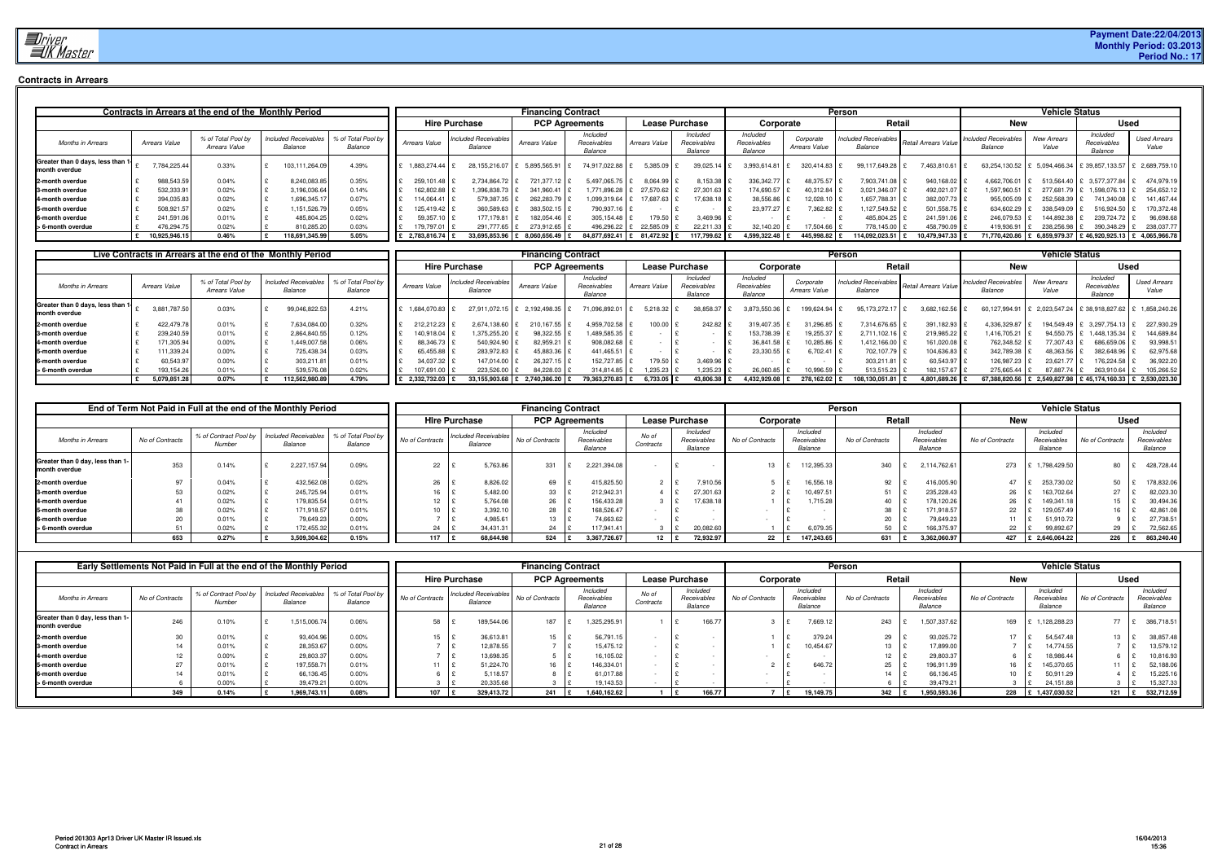

# **Contracts in Arrears**

|                                                    |                                                                                                |               | Contracts in Arrears at the end of the Monthly Period |                |                                        |                |                                    | <b>Financing Contract</b> |                                    |                                    |                            |                                                          |            | Person                                 |                             |                                    | <b>Vehicle Status</b> |                                                             |              |
|----------------------------------------------------|------------------------------------------------------------------------------------------------|---------------|-------------------------------------------------------|----------------|----------------------------------------|----------------|------------------------------------|---------------------------|------------------------------------|------------------------------------|----------------------------|----------------------------------------------------------|------------|----------------------------------------|-----------------------------|------------------------------------|-----------------------|-------------------------------------------------------------|--------------|
|                                                    |                                                                                                |               |                                                       |                |                                        |                | <b>Hire Purchase</b>               |                           | <b>PCP Agreements</b>              |                                    | <b>Lease Purchase</b>      | Corporate                                                |            | Retail                                 |                             | New                                |                       | <b>Used</b>                                                 |              |
| <b>Months in Arrears</b>                           | % of Total Pool by<br><b>Included Receivables</b><br>Arrears Value<br>Balance<br>Arrears Value |               | % of Total Pool by<br>Balance                         | Arrears Value  | <b>Included Receivables</b><br>Balance | Arrears Value  | Included<br>Receivables<br>Balance | <b>Arrears Value</b>      | Included<br>Receivables<br>Balance | Included<br>Receivables<br>Balance | Corporate<br>Arrears Value | Included Receivables Retail Arrears Value I""<br>Balance |            | <b>Included Receivables</b><br>Balance | <b>New Arrears</b><br>Value | Included<br>Receivables<br>Balance | <b>Used Arrears</b>   |                                                             |              |
| Greater than 0 days, less than 1-<br>month overdue |                                                                                                | 7,784,225.44  | 0.33%                                                 | 103,111,264.09 | 4.39%                                  | 1.883.274.44 £ | 28,155,216.07                      | 5,895,565.91              | 74.917.022.88                      | 5,385.09                           | 39,025.14                  | 3,993,614.81                                             | 320.414.83 | 99,117,649.28 \$                       | 7,463,810.61 £              |                                    |                       | 63,254,130.52 £ 5,094,466.34 £ 39,857,133.57 £ 2,689,759.10 |              |
| 2-month overdue                                    |                                                                                                | 988,543.59    | 0.04%                                                 | 8,240,083.85   | 0.35%                                  | 259.101.48     | 2,734,864.72                       | 721,377.12                | 5,497,065.7                        | 8,064.99                           | 8,153.38 £                 | 336,342.77                                               | 48,375.57  | 7,903,741.08 \$                        | 940,168.02 £                | 4.662.706.01 £                     | 513,564.40 \$         | 3.577.377.84                                                | 474,979.19   |
| 3-month overdue                                    |                                                                                                | 532,333.9     | 0.02%                                                 | 3,196,036.64   | 0.14%                                  | 162.802.88     | 1,396,838.73                       | 341,960.41                | .771.896.28                        | 27,570.62                          | 27,301.63 \$               | 174,690.57                                               | 40.312.84  | 3,021,346.07                           | 492,021.07                  | 1.597.960.51                       | 277,681.79            | 1,598,076.13                                                | 254,652.12   |
| 4-month overdue                                    |                                                                                                | 394,035.83    | 0.02%                                                 | 1,696,345.17   | 0.07%                                  | 114,064.41     | 579,387.35                         | 262,283.79                | 099,319.64 £                       | 17,687.63                          | 17,638.18 ±                | 38,556.86                                                | 12,028.10  | 1,657,788.31                           | 382,007.73                  | 955,005.09                         | 252,568.39            | 741,340.08                                                  | 141,467.44   |
| 5-month overdue                                    |                                                                                                | 508,921.57    | 0.02%                                                 | 1,151,526.79   | 0.05%                                  | 125.419.42     | 360,589.63                         | 383,502.15                | 790,937.16 £                       |                                    |                            | 23.977.27                                                | 7,362.82   | 1.127.549.52                           | 501,558.75                  | 634,602.29                         | 338,549.09            | 516,924.50                                                  | 170.372.48   |
| 6-month overdue                                    |                                                                                                | 241,591.06    | 0.01%                                                 | 485,804.25     | 0.02%                                  | 59,357.10      | 177,179.81                         | 182,054.46                | 305,154.48                         | 179.50                             | 3,469.96                   |                                                          |            | 485,804.25                             | 241,591.06 \$               | 246,079.53                         | 144,892.38            | 239,724.72                                                  | 96,698.68    |
| > 6-month overdue                                  |                                                                                                | 476,294.7     | $0.02\%$                                              | 810,285.20     | 0.03%                                  | 179,797.0      | 291.777.65                         | 273.912.65 \$             | 496.296.22 \$                      | 22.585.09                          | 22.211.33                  | 32,140.20                                                | 17.504.66  | 778.145.00 \$                          | 458,790.09                  | 419.936.91                         | 238.256.98            | 390,348.29                                                  | 238.037.77   |
|                                                    |                                                                                                | 10,925,946.15 | 0.46%                                                 | 118,691,345.99 | 5.05%                                  | 2,783,816.74   | 33,695,853.96                      | 8,060,656.49              | 84,877,692.41                      | 81,472.92                          | 117,799.62                 | 4,599,322.48                                             | 445,998.82 | 114,092,023.51                         | 10,479,947.33               | 71,770,420.86 £                    | 6,859,979.37          | 246,920,925.13                                              | 4,065,966.78 |

|                                                   |               | Live Contracts in Arrears at the end of the Monthly Period |                                 |               |                               |                |                                        | <b>Financing Contract</b>      |                                    |                      |                                    |                                    |                                   | <b>Person</b>                                              |                |                                        | <b>Vehicle Status</b>        |                                                      |                     |
|---------------------------------------------------|---------------|------------------------------------------------------------|---------------------------------|---------------|-------------------------------|----------------|----------------------------------------|--------------------------------|------------------------------------|----------------------|------------------------------------|------------------------------------|-----------------------------------|------------------------------------------------------------|----------------|----------------------------------------|------------------------------|------------------------------------------------------|---------------------|
|                                                   |               |                                                            |                                 |               |                               |                | <b>Hire Purchase</b>                   | <b>PCP Agreements</b>          |                                    |                      | Lease Purchase                     | Corporate                          |                                   | <b>Retail</b>                                              |                | New                                    |                              |                                                      | Used                |
| <b>Months in Arrears</b>                          | Arrears Value | % of Total Pool by<br>Arrears Value                        | Included Receivables<br>Balance |               | % of Total Pool by<br>Balance | Arrears Value  | <b>Included Receivables</b><br>Balance | <b>Arrears Value</b>           | Included<br>Receivables<br>Balance | <b>Arrears Value</b> | Included<br>Receivables<br>Balance | Included<br>Receivables<br>Balance | Corporate<br><b>Arrears Value</b> | I Included Receivables Retail Arrears Value I""<br>Balance |                | <b>Included Receivables</b><br>Balance | <b>New Arrears</b><br>Value  | Included<br>Receivables<br>Balance                   | <b>Used Arrears</b> |
| Greater than 0 days, less than 1<br>month overdue | 3,881,787.50  | 0.03%                                                      |                                 | 99,046,822.53 | 4.21%                         | 1,684,070.83 £ |                                        | 27,911,072.15   £ 2,192,498.35 | 71,096,892.01                      | $5,218.32$   \$      | 38,858.37 £                        | 3,873,550.36                       | 199,624.94                        | 95,173,272.17 \$                                           | 3,682,162.56 £ |                                        |                              | 60,127,994.91   £ 2,023,547.24   £ 38,918,827.62   £ | 1,858,240.26        |
| 2-month overdue                                   | 422,479.7     | 0.01%                                                      |                                 | 7,634,084.00  | 0.32%                         | 212.212.23 £   | 2,674,138.60                           | 210,167.55                     | 4,959,702.58                       | $100.00$ \$          | 242.82                             | 319,407.35                         | 31.296.85                         | 7,314,676.65                                               | 391,182.93 \$  | 4,336,329.87                           |                              | 194,549.49 £ 3,297,754.13 £                          | 227,930.29          |
| 3-month overdue                                   | 239,240.59    | 0.01%                                                      |                                 | 2,864,840.55  | 0.12%                         | 140,918.04     | 1,375,255.20                           | 98,322.55                      | 1,489,585.35                       |                      |                                    | 153,738.39                         | 19,255.37                         | 2,711,102.16                                               | 219,985.22     | 1,416,705.21                           | 94,550.75 £                  | 1,448,135.34                                         | 144,689.84          |
| 4-month overdue                                   | 171,305.9     | 0.00%                                                      |                                 | 1,449,007.58  | 0.06%                         | 88.346.73      | 540,924.90                             | 82,959.21                      | 908,082.68                         |                      |                                    | 36,841.58                          | 10.285.86                         | 1,412,166.00                                               | 161,020.08     | 762,348.52                             | 77.307.43                    | 686,659.06                                           | 93,998.51           |
| 5-month overdue                                   | 111,339.2     | $0.00\%$                                                   |                                 | 725,438.34    | 0.03%                         | 65,455.88      | 283,972.83                             | 45,883.36                      | 441,465.51                         |                      |                                    | 23,330.55                          | 6,702.41                          | 702,107.79 \                                               | 104,636.83     | 342,789.38                             | 48,363.56                    | 382,648.96                                           | 62,975.68           |
| 6-month overdue                                   | 60.543.9      | 0.00%                                                      |                                 | 303,211.81    | 0.01%                         | 34,037.32 £    | 147,014.00                             | 26,327.15                      | 152,727.85                         | 79.50                | 3,469.96                           |                                    |                                   | 303.211.81   9                                             | 60,543.97      | 126,987.23 \$                          | 23.621.77                    | 176,224.58                                           | 36.922.20           |
| > 6-month overdue                                 | 193,154.26    | 0.01%                                                      |                                 | 539,576.08    | 0.02%                         | 107,691.00 \$  | 223,526.00                             | 84,228.03                      | 314.814.85                         | 1,235.23             | 1,235.23                           | 26,060.85                          | 10,996.59                         | 513,515.23                                                 | 182, 157.67    | 275,665.44 £                           | 87,887.74                    | 263,910.64                                           | 105,266.52          |
|                                                   | 5,079,851.28  | $0.07\%$                                                   |                                 | 12,562,980.89 | 4.79%                         | 2.332.732.03   | 33.155.903.68                          | 2.740.386.20                   | 79.363.270.83                      | 6,733.05             | 43,806.38                          | 1.432.929.08                       | 278.162.02                        | 108.130.051.81                                             | 4.801.689.26   |                                        | 67,388,820.56 £ 2,549,827.98 | $E$ 45.174.160.33                                    | 2.530.023.30        |

|                                                   |                 | End of Term Not Paid in Full at the end of the Monthly Period |                                        |                               |                 |                                        | <b>Financing Contract</b> |                                    |                    |                                    |                 |                                    | Person          |                                    |                 | <b>Vehicle Status</b>              |                 |                                    |
|---------------------------------------------------|-----------------|---------------------------------------------------------------|----------------------------------------|-------------------------------|-----------------|----------------------------------------|---------------------------|------------------------------------|--------------------|------------------------------------|-----------------|------------------------------------|-----------------|------------------------------------|-----------------|------------------------------------|-----------------|------------------------------------|
|                                                   |                 |                                                               |                                        |                               |                 | <b>Hire Purchase</b>                   |                           | <b>PCP Agreements</b>              |                    | <b>Lease Purchase</b>              | Corporate       |                                    | Retail          |                                    | <b>New</b>      |                                    |                 | <b>Used</b>                        |
| <b>Months in Arrears</b>                          | No of Contracts | % of Contract Pool by<br>Number                               | <b>Included Receivables</b><br>Balance | % of Total Pool by<br>Balance | No of Contracts | <b>Included Receivables</b><br>Balance | No of Contracts           | Included<br>Receivables<br>Balance | No of<br>Contracts | Included<br>Receivables<br>Balance | No of Contracts | Included<br>Receivables<br>Balance | No of Contracts | Included<br>Receivables<br>Balance | No of Contracts | Included<br>Receivables<br>Balance | No of Contracts | Included<br>Receivables<br>Balance |
| Greater than 0 day, less than 1-<br>month overdue | 353             | 0.14%                                                         | 2,227,157.94                           | 0.09%                         | 22              | 5,763.86                               | 331                       | 2,221,394.08                       |                    |                                    |                 | 112,395.33                         | 340             | 2,114,762.61                       | 273             | £ 1,798,429.50                     | 80              | 428,728.44                         |
| 2-month overdue                                   | $\sim$          | 0.04%                                                         | 432,562.0                              | 0.02%                         | 26              | 8,826.02                               | 69                        | 415,825.50                         |                    | 7,910.56                           |                 | 16,556.18                          | 92              | 416,005.90                         |                 | 253,730.02                         | 50              | 78,832.06                          |
| 3-month overdue                                   |                 | 0.02%                                                         | 245,725.94                             | 0.01%                         |                 | 5,482.00                               | 33                        | 212,942.31                         |                    | 27,301.63                          |                 | 10,497.5                           |                 | 235,228.43                         | 26              | 163,702.64                         | 27              | 82,023.30                          |
| 4-month overdue                                   |                 | 0.02%                                                         | 179,835.54                             | 0.01%                         | 12              | 5,764.08                               | 26                        | 156,433.28                         |                    | 17,638.18                          |                 | 1.715.28                           |                 | 178,120.26                         |                 | 149.341.18                         | 15              | 30,494.36                          |
| 5-month overdue                                   |                 | 0.02%                                                         | 171,918.57                             | 0.01%                         | 1 <sub>0</sub>  | 3,392.10                               | 28                        | 168,526.47                         |                    |                                    |                 |                                    |                 | 171,918.57                         | 22              | 129,057.49                         |                 | 42,861.08                          |
| 6-month overdue                                   |                 | 0.01%                                                         | 79,649.23                              | 0.00%                         |                 | 4,985.61                               | $13 \quad \text{E}$       | 74,663.62                          |                    |                                    |                 |                                    | 20              | 79.649.23                          |                 | 51.910.72                          |                 | 27,738.51                          |
| > 6-month overdue                                 |                 | 0.02%                                                         | 172,455.32                             | 0.01%                         | 24              | 34,431.31                              | $24 \frac{1}{2}$          | 117,941.41                         |                    | 20,082.60                          |                 | 6,079.3                            |                 | 166,375.97                         | 22              | 99,892.67                          | 29              | 72,562.65                          |
|                                                   | 653             | 0.27%                                                         | 3,509,304.62                           | 0.15%                         | 117             | 68,644.98                              | 524                       | 3,367,726.67                       | 12 L               | 72.932.97                          | 22 L            | 147.243.65                         | 631             | 3,362,060.97                       |                 | 427 £ 2,646,064.22                 | 226             | 863,240.40                         |

|                                                   |                 | Early Settlements Not Paid in Full at the end of the Monthly Period |                                        |                               |                 |                                        | <b>Financing Contract</b> |                                    |                    |                                    |                 |                                    | Person          |                                    |                 | <b>Vehicle Status</b>              |                    |                                    |
|---------------------------------------------------|-----------------|---------------------------------------------------------------------|----------------------------------------|-------------------------------|-----------------|----------------------------------------|---------------------------|------------------------------------|--------------------|------------------------------------|-----------------|------------------------------------|-----------------|------------------------------------|-----------------|------------------------------------|--------------------|------------------------------------|
|                                                   |                 |                                                                     |                                        |                               |                 | <b>Hire Purchase</b>                   |                           | <b>PCP Agreements</b>              |                    | <b>Lease Purchase</b>              | Corporate       |                                    | Retail          |                                    | <b>New</b>      |                                    | <b>Used</b>        |                                    |
| <b>Months in Arrears</b>                          | No of Contracts | % of Contract Pool by<br>Number                                     | <b>Included Receivables</b><br>Balance | % of Total Pool by<br>Balance | No of Contracts | <b>Included Receivables</b><br>Balance | No of Contracts           | Included<br>Receivables<br>Balance | No of<br>Contracts | Included<br>Receivables<br>Balance | No of Contracts | Included<br>Receivables<br>Balance | No of Contracts | Included<br>Receivables<br>Balance | No of Contracts | Included<br>Receivables<br>Balance | No of Contracts    | Included<br>Receivables<br>Balance |
| Greater than 0 day, less than 1-<br>month overdue | 246             | 0.10%                                                               | 1,515,006.74                           | 0.06%                         | 58              | 189,544.06                             | 187                       | 1,325,295.9                        |                    | 166.7                              |                 | 7,669.12                           | 243             | 1,507,337.62                       | 169             | 1,128,288.23                       | 77                 | 386,718.51                         |
| 2-month overdue                                   | $\Omega$        | 0.01%                                                               | 93,404.96                              | 0.00%                         |                 | 36,613.81                              | 15                        | 56,791.15                          |                    |                                    |                 | 379.24                             | 29              | 93,025.72                          | 17              | 54,547.48                          | 13                 | 38,857.48                          |
| 3-month overdue                                   |                 | 0.01%                                                               | 28,353.6                               | 0.00%                         |                 | 12,878.55                              |                           | 15.475.12                          |                    |                                    |                 | 10,454.67                          | 13              | 17,899.00                          |                 | 14,774.55                          |                    | 13,579.12                          |
| 4-month overdue                                   |                 | 0.00%                                                               | 29,803.37                              | 0.00%                         |                 | 13,698.35                              |                           | 16,105.02                          |                    |                                    |                 |                                    | 10              | 29,803.37                          |                 | 18,986.44                          |                    | 10,816.93                          |
| 5-month overdue                                   |                 | 0.01%                                                               | 197,558.7                              | 0.01%                         |                 | 51,224.70                              | 16                        | 146,334.0                          |                    |                                    |                 | 646.72                             | 25              | 196,911.99                         | 16              | 145,370.65                         |                    | 52,188.06                          |
| 6-month overdue                                   |                 | 0.01%                                                               | 66,136.45                              | 0.00%                         |                 | 5,118.57                               |                           | 61,017.88                          |                    |                                    |                 |                                    | 14              | 66,136.45                          | 10              | 50,911.29                          |                    | 15,225.16                          |
| > 6-month overdue                                 |                 | $0.00\%$                                                            | 39.479.2                               | 0.00%                         |                 | 20.335.68                              |                           | 19.143.53                          |                    |                                    |                 |                                    |                 | 39.479.21                          |                 | 24.151.88                          |                    | 15.327.33                          |
|                                                   | 34.             | 0.14%                                                               | 1,969,743.11                           | 0.08%                         |                 | 329,413.72                             | 241                       | 1,640,162.62                       |                    | 166.77                             |                 | 19,149.75                          | 342             | .950,593.36                        | 228             | 1,437,030.52                       | $121$ $\mathbf{E}$ | 532,712.59                         |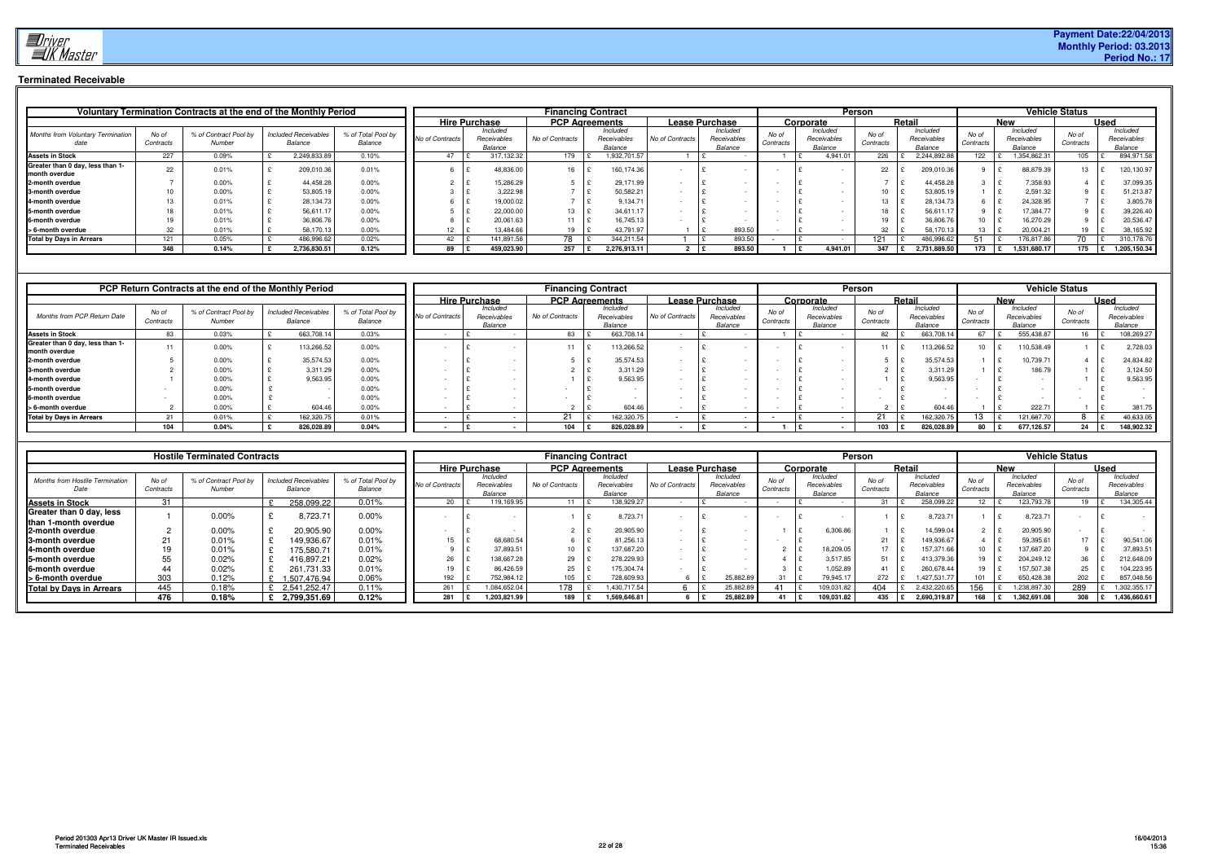

# **Terminated Receivable**

|                                                   |                    | Voluntary Termination Contracts at the end of the Monthly Period |                                        |                               |                 |                                    |                 | <b>Financing Contract</b>          |                 |                                    |                    |                                    | Person                |                                    |                    |                                    | <b>Vehicle Status</b> |                                    |
|---------------------------------------------------|--------------------|------------------------------------------------------------------|----------------------------------------|-------------------------------|-----------------|------------------------------------|-----------------|------------------------------------|-----------------|------------------------------------|--------------------|------------------------------------|-----------------------|------------------------------------|--------------------|------------------------------------|-----------------------|------------------------------------|
|                                                   |                    |                                                                  |                                        |                               |                 | <b>Hire Purchase</b>               |                 | <b>PCP Agreements</b>              |                 | <b>Lease Purchase</b>              |                    | Corporate                          |                       | Retai                              |                    | <b>New</b>                         |                       | <b>Used</b>                        |
| <b>Months from Voluntary Termination</b>          | No of<br>Contracts | % of Contract Pool by<br>Number                                  | <b>Included Receivables</b><br>Balance | % of Total Pool by<br>Balance | No of Contracts | Included<br>Receivables<br>Balance | No of Contracts | Included<br>Receivables<br>Balance | No of Contracts | Included<br>Receivables<br>Balance | No of<br>Contracts | Included<br>Receivables<br>Balance | No of<br>Contracts    | Included<br>Receivables<br>Balance | No of<br>Contracts | Included<br>Receivables<br>Balance | No of<br>Contracts    | Included<br>Receivables<br>Balance |
| <b>Assets in Stock</b>                            | 227                | 0.09%                                                            | 2.249.833.89                           | 0.10%                         | 47              | 317.132.32                         | 179             | .932,701.57                        |                 |                                    |                    | 4.941.01                           | 226                   | 2.244.892.88                       | 122                | 1,354,862.31                       | 105                   | 894,971.58                         |
| Greater than 0 day, less than 1-<br>month overdue | 22                 | 0.01%                                                            | 209,010.36                             | 0.01%                         |                 | 48,836.00                          | 16              | 160,174.36                         |                 |                                    |                    |                                    | 22                    | 209,010.36                         |                    | 88,879.39                          |                       | 120,130.97                         |
| 2-month overdue                                   |                    | 0.00%                                                            | 44,458.28                              | 0.00%                         |                 | 15,286.29                          |                 | 29,171.99                          |                 |                                    |                    |                                    |                       | 44,458.28                          |                    | 7,358.93                           |                       | 37,099.35                          |
| 3-month overdue                                   |                    | 0.00%                                                            | 53,805.19                              | 0.00%                         |                 | 3,222.98                           |                 | 50,582.21                          |                 |                                    |                    |                                    | 10                    | 53,805.1                           |                    | 2,591.32                           |                       | 51,213.87                          |
| 4-month overdue                                   |                    | 0.01%                                                            | 28,134.73                              | 0.00%                         |                 | 19,000.02                          |                 | 9.134.71                           |                 |                                    |                    |                                    | $\overline{1}$<br>5 ا | 28,134.73                          |                    | 24,328.95                          |                       | 3,805.78                           |
| 5-month overdue                                   |                    | 0.01%                                                            | 56,611.17                              | 0.00%                         |                 | 22,000.00                          | 13              | 34,611.17                          |                 |                                    |                    |                                    | 18                    | 56,611.                            |                    | 17,384.77                          |                       | 39,226.40                          |
| 6-month overdue                                   |                    | 0.01%                                                            | 36,806.76                              | 0.00%                         |                 | 20,061.63                          | $-11$           | 16.745.13                          |                 |                                    |                    |                                    | 19                    | 36,806.76                          |                    | 16,270.29                          |                       | 20,536.47                          |
| > 6-month overdue                                 | 32                 | 0.01%                                                            | 58,170.13                              | 0.00%                         | 12              | 13.484.66                          | 19              | 43,791.97                          |                 | 893.50                             |                    |                                    | 32                    | 58.170.13                          |                    | 20,004.21                          |                       | 38,165.92                          |
| <b>Total by Days in Arrears</b>                   | 121                | 0.05%                                                            | 486,996.62                             | 0.02%                         | 42              | 141.891.58                         | 78              | 344.211.54                         |                 | 893.50                             |                    |                                    | 121                   | 486,996.62                         |                    | 176,817.86                         | 70                    | 310,178.76                         |
|                                                   | 348                | 0.14%                                                            | 2,736,830.51                           | 0.12%                         | 89              | 459,023.90                         | 257             | 2,276,913.11                       |                 | 893.50                             |                    | 4.941.01                           | 347                   | 2,731,889.50                       | 173                | 1,531,680.17                       | 175                   | 1,205,150.34<br>$\mathbf{E}$       |

|                                                   |                    | <b>PCP Return Contracts at the end of the Monthly Period</b> |                                        |                               |                 |                                    |                 | <b>Financing Contract</b>          |                       |                                    |                    |                                    | <b>Person</b>      |    |                                    |                    |                                    | <b>Vehicle Status</b> |             |                                    |
|---------------------------------------------------|--------------------|--------------------------------------------------------------|----------------------------------------|-------------------------------|-----------------|------------------------------------|-----------------|------------------------------------|-----------------------|------------------------------------|--------------------|------------------------------------|--------------------|----|------------------------------------|--------------------|------------------------------------|-----------------------|-------------|------------------------------------|
|                                                   |                    |                                                              |                                        |                               |                 | <b>Hire Purchase</b>               |                 | <b>PCP Agreements</b>              | <b>Lease Purchase</b> |                                    |                    | Corporate                          |                    |    | Retail                             |                    | <b>New</b>                         |                       | <b>Used</b> |                                    |
| Months from PCP Return Date                       | No of<br>Contracts | % of Contract Pool by<br>Number                              | <b>Included Receivables</b><br>Balance | % of Total Pool by<br>Balance | No of Contracts | Included<br>Receivables<br>Balance | No of Contracts | Included<br>Receivables<br>Balance | No of Contracts       | Included<br>Receivables<br>Balance | No of<br>Contracts | Included<br>Receivables<br>Balance | No of<br>Contracts |    | Included<br>Receivables<br>Balance | No of<br>Contracts | Included<br>Receivables<br>Balance | No of<br>Contracts    |             | Included<br>Receivables<br>Balance |
| <b>Assets in Stock</b>                            | 83                 | 0.03%                                                        | 663,708                                | 0.03%                         |                 |                                    | 83              | 663,708.14                         |                       |                                    |                    |                                    |                    | 82 | 663,708.1                          |                    | 555.438.87                         |                       |             | 108,269.2                          |
| Greater than 0 day, less than 1-<br>month overdue | 11                 | 0.00%                                                        | 113,266.52                             | 0.00%                         |                 |                                    |                 | 113,266.52                         |                       |                                    |                    |                                    |                    | 11 | 13,266.52                          | 1∩                 | 10,538.49                          |                       |             | 2,728.03                           |
| 2-month overdue                                   |                    | 0.00%                                                        | 35,574.53                              | 0.00%                         |                 |                                    |                 | 35,574.53                          |                       |                                    |                    |                                    |                    |    | 35,574.53                          |                    | 10,739.7                           |                       |             | 24,834.82                          |
| 3-month overdue                                   |                    | 0.00%                                                        | 3,311.29                               | 0.00%                         |                 |                                    |                 | 3,311.29                           |                       |                                    |                    |                                    |                    |    | 3,311.2                            |                    | 186.7                              |                       |             | 3.124.50                           |
| 4-month overdue                                   |                    | $0.00\%$                                                     | 9.563.95                               | 0.00%                         |                 |                                    |                 | 9,563.95                           |                       |                                    |                    |                                    |                    |    | 9,563.9                            |                    |                                    |                       |             | 9,563.95                           |
| 5-month overdue                                   |                    | $0.00\%$                                                     |                                        | 0.00%                         |                 |                                    |                 |                                    |                       |                                    |                    |                                    |                    |    |                                    |                    |                                    |                       |             |                                    |
| 6-month overdue                                   |                    | 0.00%                                                        |                                        | 0.00%                         |                 |                                    |                 |                                    |                       |                                    |                    |                                    |                    |    |                                    |                    |                                    |                       |             |                                    |
| > 6-month overdue                                 |                    | 0.00%                                                        | 604.46                                 | 0.00%                         |                 |                                    |                 | 604.46                             |                       |                                    |                    |                                    |                    |    | 604.4                              |                    | 222.7                              |                       |             | 381.75                             |
| <b>Total by Days in Arrears</b>                   | 21                 | 0.01%                                                        | 162.320.                               | 0.01%                         |                 |                                    | $^{\circ}$      | 162,320.75                         |                       |                                    |                    |                                    | $\sim$             |    | 62.320.                            |                    | 121,687.7                          |                       |             | 40,633.05                          |
|                                                   | 104                | $0.04\%$                                                     | 826,028.89                             | 0.04%                         |                 |                                    | 104             | 826,028.89                         |                       |                                    |                    |                                    | 103                |    | 826,028.89                         | 80                 | 677,126.57                         | 24 $E$                |             | 148,902.32                         |

|                                                |                    | <b>Hostile Terminated Contracts</b> |                                        |                               |                      |                                    | <b>Financing Contract</b> |                                    |                       |                                    |                    |                                    | Person            |                                    |                    |                                    | <b>Vehicle Status</b> |             |                                    |
|------------------------------------------------|--------------------|-------------------------------------|----------------------------------------|-------------------------------|----------------------|------------------------------------|---------------------------|------------------------------------|-----------------------|------------------------------------|--------------------|------------------------------------|-------------------|------------------------------------|--------------------|------------------------------------|-----------------------|-------------|------------------------------------|
|                                                |                    |                                     |                                        |                               | <b>Hire Purchase</b> |                                    | <b>PCP Agreements</b>     |                                    | <b>Lease Purchase</b> |                                    |                    | Corporate                          |                   | Retail                             |                    | <b>New</b>                         |                       | <b>Used</b> |                                    |
| <b>Months from Hostile Termination</b><br>Date | No of<br>Contracts | % of Contract Pool by<br>Number     | <b>Included Receivables</b><br>Balance | % of Total Pool by<br>Balance | No of Contracts      | Included<br>Receivables<br>Balance | No of Contracts           | Included<br>Receivables<br>Balance | No of Contracts       | Included<br>Receivables<br>Balance | No of<br>Contracts | Included<br>Receivables<br>Balance | No o<br>Contracts | Included<br>Receivables<br>Balance | No of<br>Contracts | Included<br>Receivables<br>Balance | No of<br>Contracts    |             | Included<br>Receivables<br>Balance |
| <b>Assets in Stock</b>                         | 31                 |                                     | 258,099.22                             | 0.01%                         | 20                   | 19,169.95                          |                           | 138,929.27                         |                       |                                    |                    |                                    | 31                | 258,099.22                         |                    | 123,793.78                         |                       |             | 134,305.44                         |
| Greater than 0 day, less                       |                    | 0.00%                               | 8,723.71                               | 0.00%                         |                      |                                    |                           | 8,723.7                            |                       |                                    |                    |                                    |                   | 8,723.71                           |                    | 8,723.7                            |                       |             |                                    |
| than 1-month overdue<br>2-month overdue        |                    | 0.00%                               | 20,905.90                              | 0.00%                         |                      |                                    |                           | 20,905.90                          |                       |                                    |                    | 6,306.8                            |                   | 14,599.04                          |                    | 20,905.90                          |                       |             |                                    |
| <b>3-month overdue</b>                         |                    | 0.01%                               | 149,936.67                             | 0.01%                         | 15                   | 68,680.54                          |                           | 81,256.13                          |                       |                                    |                    |                                    | 21                | 149,936.67                         |                    | 59,395.6                           | 17                    |             | 90,541.06                          |
| <b>4-month overdue</b>                         |                    | 0.01%                               | 75.580.71                              | 0.01%                         |                      | 37,893.51                          | 10 <sup>1</sup>           | 137,687.20                         |                       |                                    |                    | 18.209.0                           | 17                | 157,371.66                         |                    | 137,687.20                         |                       |             | 37,893.51                          |
| <b>15-month overdue</b>                        | 55                 | 0.02%                               | 416.897.21                             | 0.02%                         | 26                   | 138,667.28                         | 29                        | 278,229.93                         |                       |                                    |                    | 3.517.85                           | 51                | 413,379.36                         |                    | 204,249.12                         | 36                    |             | 212,648.09                         |
| <b>6-month overdue</b>                         | 44                 | 0.02%                               | 261.731.33                             | 0.01%                         | 19                   | 86,426.59                          | 25                        | 175,304.74                         |                       |                                    |                    | 1,052.89                           | 41                | 260,678.44                         |                    | 157,507.38                         | 25                    |             | 104,223.95                         |
| s 6-month overdue                              | 303                | 0.12%                               | 1.507.476.94                           | 0.06%                         | 192                  | 752.984.12                         | 105                       | 728,609.93                         |                       | 25.882.89                          |                    | 79.945.17                          | 272               | 1.427.531.77                       | 101                | 650,428.38                         | 202                   |             | 857.048.56                         |
| <b>Total by Days in Arrears</b>                | 445                | 0.18%                               | 2,541,252.47                           | $0.11\%$                      | 261                  | 1.084.652.04                       | 178                       | .430.717.54                        |                       | 25.882.89                          |                    | 109.031.82                         | 404               | 2.432.220.65                       | 156                | 1,238,897.30                       | 289                   |             | 1,302,355.17                       |
|                                                | 476                | 0.18%                               | £ 2.799.351.69                         | 0.12%                         | 281                  | 1,203,821.99                       | 189                       | 1.569.646.81                       |                       | 25.882.89                          |                    | 109.031.82                         | 435               | 2.690.319.87                       | 168                | 1,362,691.08                       | 308                   |             | 1,436,660.61                       |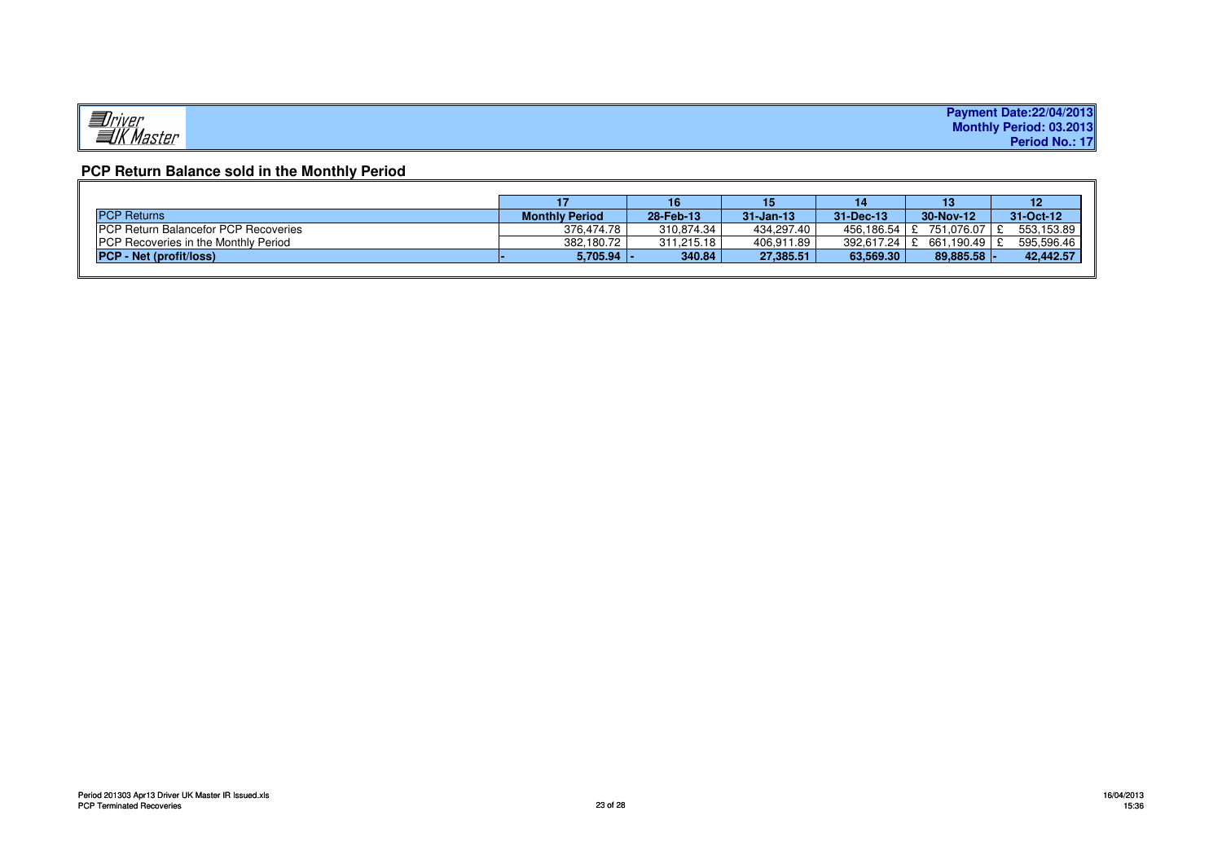|                     | <b>Payment Date:22/04/2013</b> |
|---------------------|--------------------------------|
| Jriver<br>TK Master | Monthly Period: 03.2013        |
|                     | Period No.: 17                 |

# **PCP Return Balance sold in the Monthly Period**

|                                              |                       | 16         |               |                  | 13            |            |
|----------------------------------------------|-----------------------|------------|---------------|------------------|---------------|------------|
| <b>PCP Returns</b>                           | <b>Monthly Period</b> | 28-Feb-13  | $31 - Jan-13$ | $31 - Dec - 13$  | 30-Nov-12     | 31-Oct-12  |
| <b>IPCP Return Balancefor PCP Recoveries</b> | 376.474.78            | 310.874.34 | 434.297.40    | 456.186.54 E     | 751.076.07    | 553.153.89 |
| <b>PCP Recoveries in the Monthly Period</b>  | 382.180.72            | 311.215.18 | 406.911.89    | $392.617.24$   £ | 661.190.49 \$ | 595.596.46 |
| <b>PCP - Net (profit/loss)</b>               | $5,705.94$  -         | 340.84     | 27,385.51     | 63.569.30        | 89.885.58     | 42,442.57  |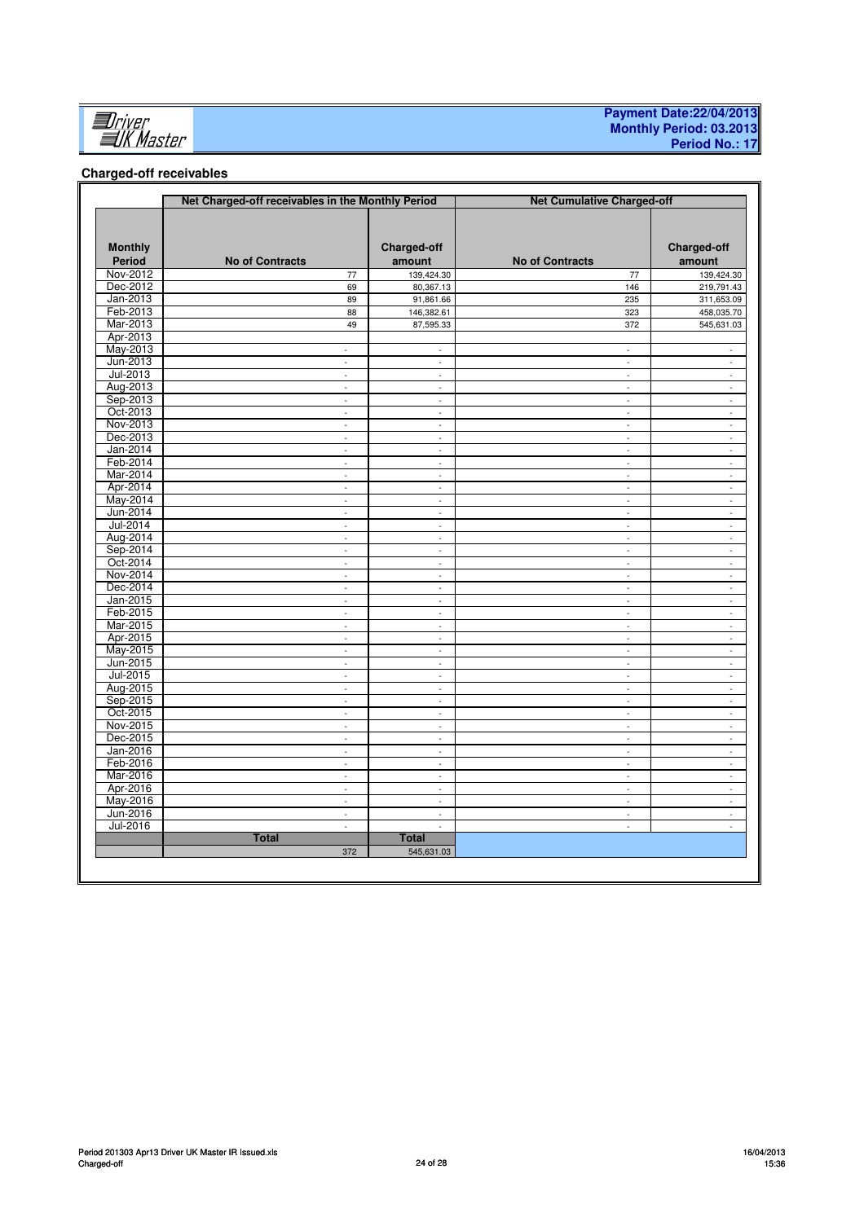

### **Payment Date:22/04/2013 Monthly Period: 03.2013 Period No.: 17**

# **Charged-off receivables**

|                          | Net Charged-off receivables in the Monthly Period |                              | <b>Net Cumulative Charged-off</b> |                             |  |  |  |
|--------------------------|---------------------------------------------------|------------------------------|-----------------------------------|-----------------------------|--|--|--|
| <b>Monthly</b><br>Period | <b>No of Contracts</b>                            | <b>Charged-off</b><br>amount | <b>No of Contracts</b>            | Charged-off<br>amount       |  |  |  |
| Nov-2012                 | 77                                                | 139,424.30                   | 77                                | 139,424.30                  |  |  |  |
| Dec-2012                 | 69                                                | 80,367.13                    | 146                               | 219,791.43                  |  |  |  |
| Jan-2013                 | 89                                                | 91,861.66                    | 235                               | 311,653.09                  |  |  |  |
| Feb-2013                 | 88                                                | 146,382.61                   | 323                               | 458,035.70                  |  |  |  |
| Mar-2013                 | 49                                                | 87,595.33                    | 372                               | 545,631.03                  |  |  |  |
| Apr-2013                 |                                                   |                              |                                   |                             |  |  |  |
| May-2013                 | $\sim$                                            | $\omega$                     | $\sim$                            | $\sim$                      |  |  |  |
| Jun-2013                 | L.                                                | $\blacksquare$               | ä,                                | $\Box$                      |  |  |  |
| Jul-2013                 | L,                                                | $\omega$                     | $\bar{\mathbb{Z}}$                | ä,                          |  |  |  |
| Aug-2013                 | ÷.                                                | $\omega$                     | $\omega$                          | $\omega$                    |  |  |  |
| Sep-2013                 | $\bar{\phantom{a}}$                               | $\blacksquare$               | $\bar{\phantom{a}}$               | $\blacksquare$              |  |  |  |
| Oct-2013                 | ä,                                                | $\overline{a}$               | $\omega$                          | $\sim$                      |  |  |  |
| Nov-2013                 | $\omega$                                          | $\omega$                     | $\omega$                          | $\omega$                    |  |  |  |
| Dec-2013                 | ÷                                                 | ÷                            | ÷.                                | $\sim$                      |  |  |  |
| Jan-2014                 | ÷,                                                | $\blacksquare$               | $\blacksquare$                    | ÷.                          |  |  |  |
| Feb-2014                 | $\mathcal{L}$                                     | $\mathcal{L}$                | $\mathcal{L}$                     | $\omega$                    |  |  |  |
| Mar-2014                 | $\bar{\phantom{a}}$                               | $\bar{\phantom{a}}$          | $\bar{\phantom{a}}$               | $\blacksquare$              |  |  |  |
| Apr-2014                 | ÷.                                                | ÷.                           | $\omega$                          | $\omega$                    |  |  |  |
| May-2014                 | ä,                                                | $\mathcal{L}$                | $\omega$                          | $\omega$                    |  |  |  |
| Jun-2014                 | ä,                                                | $\overline{\phantom{a}}$     | $\sim$                            | $\omega$                    |  |  |  |
| Jul-2014                 | ÷.                                                | $\overline{\phantom{a}}$     | $\sim$                            | $\omega$                    |  |  |  |
| Aug-2014                 | ÷.                                                | ä,                           | $\bar{\phantom{a}}$               | $\blacksquare$              |  |  |  |
| Sep-2014                 | ä,                                                | $\omega$                     | $\omega$                          | $\omega$                    |  |  |  |
| Oct-2014                 | ä,                                                | $\bar{\phantom{a}}$          | $\blacksquare$                    | $\blacksquare$              |  |  |  |
| Nov-2014                 | $\omega$                                          | $\sim$                       | $\sim$                            | $\omega$                    |  |  |  |
| Dec-2014                 | ä,                                                | ä,                           | ä,                                | ä,                          |  |  |  |
| Jan-2015                 | $\omega$                                          | $\overline{\phantom{a}}$     | $\overline{\phantom{a}}$          | $\blacksquare$              |  |  |  |
| Feb-2015                 | $\omega$                                          | $\sim$                       | $\omega$                          | $\mathcal{L}^{\mathcal{A}}$ |  |  |  |
| Mar-2015                 | $\Box$                                            | $\Box$                       | $\overline{\phantom{a}}$          | $\Box$                      |  |  |  |
| Apr-2015                 | ÷.                                                | $\Box$                       | $\omega$                          | $\sim$                      |  |  |  |
| May-2015                 | $\sim$                                            | $\sim$                       | $\sim$                            | $\sim$                      |  |  |  |
| Jun-2015                 | ÷.                                                | $\blacksquare$               | $\blacksquare$                    | ÷.                          |  |  |  |
| Jul-2015                 | ä,                                                | $\Box$                       | ä,                                | $\omega$                    |  |  |  |
| Aug-2015                 | ÷.                                                | $\bar{\phantom{a}}$          | ä,                                | $\omega$                    |  |  |  |
| Sep-2015                 | ÷.                                                | $\bar{\phantom{a}}$          | $\omega$                          | $\omega$                    |  |  |  |
| Oct-2015                 | ä,                                                | $\blacksquare$               | $\bar{\phantom{a}}$               | $\Box$                      |  |  |  |
| Nov-2015                 | $\omega$                                          | $\mathcal{L}$                | $\mathcal{L}$                     | ÷.                          |  |  |  |
| Dec-2015                 | ÷.                                                | $\blacksquare$               | $\blacksquare$                    | $\blacksquare$              |  |  |  |
| Jan-2016                 | ä,                                                | $\omega$                     | $\sim$                            | $\omega$                    |  |  |  |
| Feb-2016                 | ä,                                                | $\mathcal{L}$                | $\omega$                          | $\omega$                    |  |  |  |
| Mar-2016                 | ä,                                                | $\overline{\phantom{a}}$     | $\omega$                          | $\omega$                    |  |  |  |
| Apr-2016                 | $\mathbb{Z}^{\mathbb{Z}}$                         | $\sim$                       | $\sim$                            | $\sim$                      |  |  |  |
| May-2016                 | ä,                                                | ä,                           | $\Box$                            | ÷.                          |  |  |  |
| Jun-2016                 | $\omega$                                          | $\sim$                       | $\bar{\mathbb{Z}}$                | $\omega$                    |  |  |  |
| Jul-2016                 | $\bar{\phantom{a}}$                               | ÷,                           | ÷,                                | $\sim$                      |  |  |  |
|                          | <b>Total</b>                                      | <b>Total</b>                 |                                   |                             |  |  |  |
|                          | 372                                               | 545,631.03                   |                                   |                             |  |  |  |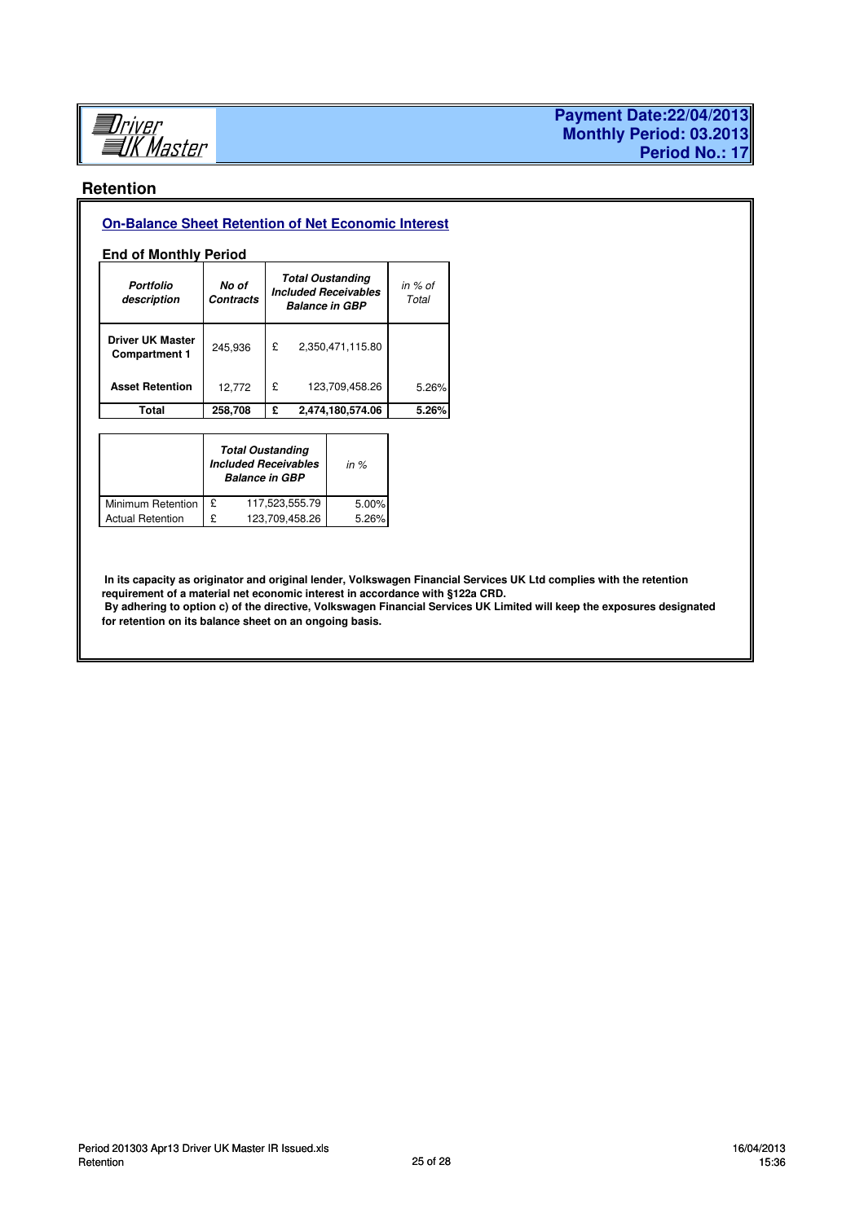

# **Retention**

# **On-Balance Sheet Retention of Net Economic Interest**

# **End of Monthly Period**

| Portfolio<br>description                        | No of<br><b>Contracts</b> |   | <b>Total Oustanding</b><br><b>Included Receivables</b><br><b>Balance in GBP</b> | in $%$ of<br>Total |
|-------------------------------------------------|---------------------------|---|---------------------------------------------------------------------------------|--------------------|
| <b>Driver UK Master</b><br><b>Compartment 1</b> | 245,936                   | £ | 2,350,471,115.80                                                                |                    |
| <b>Asset Retention</b>                          | 12,772                    | £ | 123,709,458.26                                                                  | 5.26%              |
| Total                                           | 258,708                   | £ | 2,474,180,574.06                                                                | 5.26%              |

|                         |   | <b>Total Oustanding</b><br><b>Included Receivables</b><br><b>Balance in GBP</b> | in $%$ |
|-------------------------|---|---------------------------------------------------------------------------------|--------|
| Minimum Retention       | £ | 117,523,555.79                                                                  | 5.00%  |
| <b>Actual Retention</b> | ç | 123,709,458.26                                                                  | 5.26%  |

 **In its capacity as originator and original lender, Volkswagen Financial Services UK Ltd complies with the retention requirement of a material net economic interest in accordance with §122a CRD. By adhering to option c) of the directive, Volkswagen Financial Services UK Limited will keep the exposures designated for retention on its balance sheet on an ongoing basis.**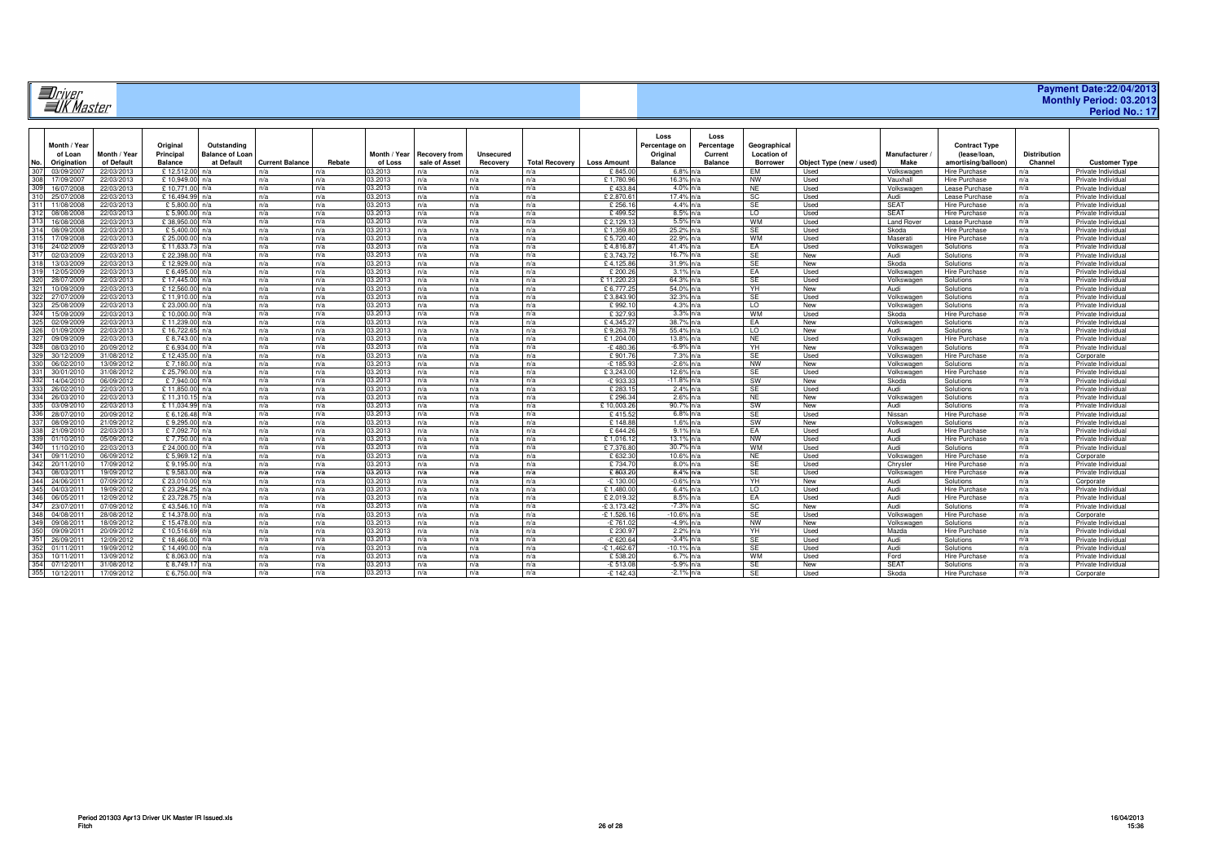|                                        | . . |
|----------------------------------------|-----|
| " <i>Jriver</i><br>" <i>" K Master</i> |     |
| ___                                    |     |

| Payment Date:22/04/2013        |                |  |
|--------------------------------|----------------|--|
| <b>Monthly Period: 03.2013</b> |                |  |
|                                | Period No.: 17 |  |

|     |                          |                          |                           |                        |                        |            |                    |                      |                  |                       |                    | Loss                | Loss           |                              |                          |                        |                                              |                     |                                          |
|-----|--------------------------|--------------------------|---------------------------|------------------------|------------------------|------------|--------------------|----------------------|------------------|-----------------------|--------------------|---------------------|----------------|------------------------------|--------------------------|------------------------|----------------------------------------------|---------------------|------------------------------------------|
|     | Month / Year             |                          | Original                  | Outstanding            |                        |            |                    |                      |                  |                       |                    | Percentage on       | Percentage     | Geographical                 |                          |                        | <b>Contract Type</b>                         |                     |                                          |
|     | of Loan                  | Month / Year             | Principal                 | <b>Balance of Loan</b> |                        |            | Month / Year       | <b>Recovery from</b> | <b>Unsecured</b> |                       |                    | Original            | Current        | <b>Location of</b>           |                          | Manufacturer           | (lease/loan.                                 | <b>Distribution</b> |                                          |
|     |                          | of Default               |                           |                        | <b>Current Balance</b> | Rebate     |                    | sale of Asset        |                  | <b>Total Recovery</b> |                    |                     |                |                              |                          | Make                   |                                              | Channel             |                                          |
| No. | Origination              |                          | <b>Balance</b>            | at Default             |                        |            | of Loss<br>03.2013 |                      | Recovery         |                       | <b>Loss Amount</b> | <b>Balance</b>      | <b>Balance</b> | <b>Borrower</b><br><b>FM</b> | Object Type (new / used) |                        | amortising/balloon)                          |                     | <b>Customer Type</b>                     |
|     | 03/09/2007<br>17/09/2007 | 22/03/2013<br>22/03/2013 | £12,512.00<br>£ 10.949.00 | n/a                    | n/a<br>n/a             | n/a<br>n/a | 03.2013            | n/a<br>n/a           | n/a<br>n/a       | n/a<br>n/a            | £845.0<br>£1.780.9 | $6.8%$ n/a<br>16.3% |                | <b>NW</b>                    | Used<br>Used             | Volkswagen<br>Vauxhall | <b>Hire Purchase</b><br><b>Hire Purchase</b> | n/a                 | Private Individual<br>Private Individual |
|     | 16/07/2008               | 22/03/2013               | £10.771.0                 |                        | n/a                    | n/a        | 03.2013            | n/a                  | n/a              | n/a                   | £433.8             | 4.0% n/a            |                | NE.                          | Used                     | Volkswager             | Lease Purchase                               | n/a<br>n/a          | Private Individua                        |
| 310 |                          |                          |                           | n/a                    |                        |            |                    |                      |                  |                       |                    |                     |                |                              |                          |                        |                                              |                     |                                          |
|     | 25/07/2008               | 22/03/2013               | £16.494.9                 | n/a                    | n/a                    | n/a        | 03.2013            | n/a                  | n/a              | n/a                   | £2.870.6           | $17.4%$ n/a         |                | SC                           | Used                     | Audi                   | Lease Purchase                               | n/a                 | Private Individual                       |
|     | 11/08/2008               | 22/03/2013               | £5,800.0                  | n/a                    | n/a                    | n/a        | 03.2013            | n/a                  | n/a              | n/a                   | £ 256.1            | 4.4% n/a            |                | SE                           | Used                     | <b>SEAT</b>            | Hire Purchase                                | n/a                 | Private Individual                       |
|     | 08/08/2008               | 22/03/2013               | £5,900.00                 | n/a                    | n/a                    | n/a        | 03.2013            | n/a                  | n/a              | n/a                   | £ 499.5            | 8.5% n/a            |                | $\overline{0}$               | Used                     | SFAT                   | Hire Purchase                                | n/a                 | Private Individual                       |
|     | 16/08/2008               | 22/03/2013               | £38,950.00                | n/a                    | n/a                    | n/a        | 03.2013            | n/a                  | n/a              | n/a                   | £2.129.1           | 5.5% n/a            |                | <b>WM</b>                    | Used                     | <b>Land Rover</b>      | Lease Purchase                               | n/a                 | Private Individual                       |
|     | 08/09/2008               | 22/03/2013               | £ 5,400.0                 |                        | n/a                    | n/a        | 03.2013            | n/a                  | n/a              | n/a                   | £1,359.8           | 25.2% n/a           |                | SE                           | Used                     | Skoda                  | <b>Hire Purchase</b>                         | n/a                 | Private Individua                        |
|     | 17/09/200                | 22/03/2013               | £ 25,000.0                | n/a                    | n/a                    | n/a        | 03.2013            | n/a                  | n/a              | n/a                   | £5.720.4           | 22.9% n/a           |                | <b>WM</b>                    | Used                     | Maserati               | Hire Purchase                                | n/a                 | Private Individua                        |
|     | 24/02/2009               | 22/03/2013               | £11,633.7                 | n/a                    | n/a                    | n/a        | 03.2013            | n/a                  | n/a              | n/a                   | £4,816.8           | 41.4% n/a           |                | EA                           | Used                     | Volkswagen             | Solutions                                    | n/a                 | Private Individual                       |
|     | 02/03/2009               | 22/03/2013               | £22,398.00                | n/a                    | n/a                    | n/a        | 03.2013            | n/a                  | n/a              | n/a                   | £3.743.7           | 16.7% n/a           |                | SE                           | New                      | Audi                   | Solutions                                    | n/a                 | Private Individual                       |
|     | 13/03/2009               | 22/03/2013               | £12,929.0                 |                        | n/a                    | n/a        | 03.2013            | n/a                  | n/a              | n/a                   | £4.125.8           | 31.9% n/a           |                | <b>SE</b>                    | New                      | Skoda                  | Solutions                                    | n/a                 | Private Individual                       |
|     | 12/05/2009               | 22/03/2013               | £ 6.495.0                 | n/a                    | n/a                    | n/a        | 03.2013            | n/a                  | n/a              | n/a                   | £ 200.2            | $3.1\%$ n/a         |                | EA                           | Used                     | Volkswagen             | Hire Purchase                                | n/a                 | Private Individual                       |
|     | 28/07/2009               | 22/03/2013               | £17,445.0                 | n/a                    | n/a                    | n/a        | 03.2013            | n/a                  | n/a              | n/a                   | £11.220.2          | 64.3% n/a           |                | <b>SE</b>                    | Used                     | Volkswagen             | Solutions                                    | n/a                 | Private Individua                        |
|     | 10/09/2009               | 22/03/2013               | £12,560.0                 | n/a                    | n/a                    | n/a        | 03.2013            | n/a                  | n/a              | n/a                   | £6,777.2           | 54.0% n/a           |                | YH.                          | New                      | Audi                   | Solutions                                    | n/a                 | Private Individual                       |
|     | 27/07/2009               | 22/03/2013               | £11,910.00                | n/a                    | n/a                    | n/a        | 03.2013            | n/a                  | n/a              | n/a                   | £3,843.9           | 32.3% n/a           |                | SE                           | Used                     | Volkswagen             | Solutions                                    | n/a                 | Private Individua                        |
|     | 25/08/2009               | 22/03/2013               | £23,000.0                 |                        | n/a                    | n/a        | 03.2013            | n/a                  | n/a              | n/a                   | £992.1             | 4.3% n/a            |                | $\overline{0}$               | New                      | Volkswager             | Solutions                                    | n/a                 | Private Individual                       |
|     | 15/09/2009               | 22/03/2013               | £ 10.000.0                |                        | n/a                    | n/a        | 03.2013            | n/a                  | n/a              | n/a                   | £ 327.9            | $3.3%$ n/a          |                | <b>WM</b>                    | Used                     | Skoda                  | Hire Purchase                                | n/a                 | Private Individual                       |
|     | 02/09/2009               | 22/03/2013               | £11,239.00                | n/a                    | n/a                    | n/a        | 03.2013            | n/a                  | n/a              | n/a                   | £4.345.2           | 38.7% n/a           |                | EA                           | New                      | Volkswagen             | Solutions                                    | n/a                 | Private Individual                       |
|     | 01/09/2009               | 22/03/2013               | £16,722.65                | n/a                    | n/a                    | n/a        | 03.2013            | n/a                  | n/a              | n/a                   | £9.263.7           | 55.4% n/a           |                | $\overline{0}$               | New                      | Audi                   | Solutions                                    | n/a                 | Private Individual                       |
|     | 09/09/2009               | 22/03/2013               | £ 8.743.0                 |                        | n/a                    | n/a        | 03.2013            | n/a                  | n/a              | n/a                   | £1,204.0           | 13.8%               |                | <b>NE</b>                    | Used                     | Volkswager             | <b>Hire Purchase</b>                         | n/a                 | Private Individua                        |
|     | 08/03/2010               | 20/09/2012               | £ 6.934.0                 |                        | n/a                    | n/a        | 03.2013            | n/a                  | n/a              | n/a                   | $-£480.3$          | $-6.9%$ n/a         |                | YH                           | New                      | Volkswager             | Solutions                                    | n/a                 | Private Individua                        |
| 329 | 30/12/2009               | 31/08/2012               | £12.435.0                 | n/a                    | n/a                    | n/a        | 03.2013            | n/a                  | n/a              | n/a                   | £901.7             | 7.3% n/a            |                | SE                           | Used                     | Volkswagen             | <b>Hire Purchase</b>                         | n/a                 | Corporate                                |
| 330 | 06/02/2010               | 13/09/2012               | £7.180.00                 | n/a                    | n/a                    | n/a        | 03.2013            | n/a                  | n/a              | n/a                   | $-E$ 185.93        | $-2.6\%$ n/a        |                | <b>NW</b>                    | New                      | Volkswagen             | Solutions                                    | n/a                 | Private Individual                       |
|     | 30/01/2010               | 31/08/2012               | £25,790.00                | n/a                    | n/a                    | n/a        | 03.2013            | n/a                  | n/a              | n/a                   | £3,243.0           | 12.6% n/a           |                | SE                           | Used                     | Volkswagen             | Hire Purchase                                | n/a                 | Private Individual                       |
|     | 14/04/2010               | 06/09/2012               | £7.940.0                  | n/a                    | n/a                    | n/a        | 03.2013            | n/a                  | n/a              | n/a                   | $-E$ 933.3         | $-11.8\%$ n/a       |                | SW                           | New                      | Skoda                  | Solutions                                    | n/a                 | Private Individual                       |
|     | 26/02/2010               | 22/03/2013               | £11,850.0                 |                        | n/a                    | n/a        | 03.2013            | n/a                  | n/a              | n/a                   | £ 283.1            | 2.4% n/a            |                | <b>SE</b>                    | Used                     | Audi                   | Solutions                                    | n/a                 | Private Individua                        |
|     | 26/03/2010               | 22/03/2013               | £11.310.1                 | n/a                    | n/a                    | n/a        | 03.2013            | n/a                  | n/a              | n/a                   | £ 296.3            | $2.6\%$ n/a         |                | NE                           | New                      | Volkswagen             | Solutions                                    | n/a                 | Private Individua                        |
|     | 03/09/2010               | 22/03/2013               | £11.034.99                | n/a                    | n/a                    | n/a        | 03.2013            | n/a                  | n/a              | n/a                   | £10.003.2          | 90.7% n/a           |                | SW                           | New                      | Audi                   | Solutions                                    | n/a                 | Private Individual                       |
|     | 28/07/2010               | 20/09/2012               | £6.126.48                 | n/a                    | n/a                    | n/a        | 03.2013            | n/a                  | n/a              | n/a                   | \$415.5            | $6.8\%$ n/a         |                | SE                           | Used                     | Nissan                 | <b>Hire Purchase</b>                         | n/a                 | Private Individual                       |
|     | 08/09/2010               | 21/09/2012               | £9.295.0                  |                        | n/a                    | n/a        | 03.2013            | n/a                  | n/a              | n/a                   | £148.8             | 1.6% n/a            |                | SW                           | New                      | Volkswagen             | Solutions                                    | n/a                 | Private Individual                       |
|     | 21/09/2010               | 22/03/2013               | £7.092.7                  | n/a                    | n/a                    | n/a        | 03.2013            | n/a                  | n/a              | n/a                   | £ 644.2            | $9.1\%$ n/a         |                | EA                           | Used                     | Audi                   | <b>Hire Purchase</b>                         | n/a                 | Private Individua                        |
|     | 01/10/2010               | 05/09/2012               | £7.750.0                  | n/a                    | n/a                    | n/a        | 03.2013            | n/a                  | n/a              | n/a                   | £1.016.1           | 13.1% n/a           |                | <b>NW</b>                    | Used                     | Audi                   | Hire Purchase                                | n/a                 | Private Individual                       |
|     | 11/10/2010               | 22/03/2013               | £ 24,000.0                | n/a                    | n/a                    | n/a        | 03.2013            | n/a                  | n/a              | n/a                   | £7.376.8           | 30.7% n/a           |                | <b>WM</b>                    | Used                     | Audi                   | Solutions                                    | n/a                 | Private Individual                       |
|     | 09/11/2010               | 06/09/2012               | £5.969.                   | n/a                    | n/a                    | n/a        | 03.2013            | n/a                  | n/a              | n/a                   | £ 632.3            | 10.6% n/a           |                | <b>NE</b>                    | Used                     | Volkswage              | <b>Hire Purchase</b>                         | n/a                 | Corporate                                |
|     | 20/11/2010               | 17/09/2012               | £9.195.0                  |                        | n/a                    | n/a        | 03.2013            | n/a                  | n/a              | n/a                   | £734.7             | $8.0\%$ n/a         |                | SE                           | Used                     | Chrysler               | <b>Hire Purchase</b>                         | n/a                 | Private Individual                       |
|     | 08/03/201                | 19/09/2012               | £9.583.0                  | n/a                    | n/a                    | n/a        | 03.2013            | n/a                  | n/a              | n/a                   | £803.2             | 8.4% n/a            |                | SE                           | Used                     | Volkswagen             | Hire Purchase                                | n/a                 | Private Individual                       |
| 344 | 24/06/201                | 07/09/2012               | £23,010.00                | n/a                    | n/a                    | n/a        | 03.2013            | n/a                  | n/a              | n/a                   | $-£$ 130.0         | $-0.6\%$ n/a        |                | YH.                          | New                      | Audi                   | Solutions                                    | n/a                 | Corporate                                |
|     | 04/03/2011               | 19/09/2012               | £23.294.25                | n/a                    | n/a                    | n/a        | 03.2013            | n/a                  | n/a              | n/a                   | £1,480.0           | $6.4\%$ n/a         |                | $\overline{0}$               | Used                     | Audi                   | Hire Purchase                                | n/a                 | Private Individual                       |
|     | 06/05/2011               | 12/09/2012               | £23.728.7                 | n/a                    | n/a                    | n/a        | 03.2013            | n/a                  | n/a              | n/a                   | £2.019.3           | 8.5% n/a            |                | FA                           | Used                     | Audi                   | <b>Hire Purchase</b>                         | n/a                 | Private Individual                       |
|     | 23/07/2011               | 07/09/2012               | £43.546.                  | n/a                    | n/a                    | n/a        | 03.2013            | n/a                  | n/a              | n/a                   | $-E$ 3,173.4       | $-7.3%$ n/a         |                | SC                           | New                      | Audi                   | Solutions                                    | n/a                 | Private Individual                       |
|     | 04/08/2011               | 28/08/2012               | £14.378.0                 | n/a                    | n/a                    | n/a        | 03.2013            | n/a                  | n/a              | n/a                   | $-E$ 1.526.1       | $-10.6\%$ n/a       |                | <b>SE</b>                    | Used                     | Volkswagen             | <b>Hire Purchase</b>                         | n/a                 | Corporate                                |
| 349 | 09/08/201                | 18/09/2012               | £15,478.00                | n/a                    | n/a                    | n/a        | 03.2013            | n/a                  | n/a              | n/a                   | $-2.761.02$        | $-4.9%$ n/a         |                | <b>NW</b>                    | New                      | Volkswagen             | Solutions                                    | n/a                 | Private Individual                       |
|     | 09/09/2011               | 20/09/2012               | £10.516.69                | n/a                    | n/a                    | n/a        | 03.2013            | n/a                  | n/a              | n/a                   | £ 230.9            | $2.2%$ n/a          |                | YH                           | Used                     | Mazda                  | Hire Purchase                                | n/a                 | Private Individual                       |
|     | 26/09/201                | 12/09/2012               | £18.466.0                 |                        | n/a                    | n/a        | 03.2013            | n/a                  | n/a              | n/a                   | $-£$ 620.6         | $-3.4\%$ n/a        |                | SE                           | Used                     | Audi                   | Solutions                                    | n/a                 | Private Individual                       |
|     | 01/11/201                | 19/09/2012               | £14,490.0                 |                        | n/a                    | n/a        | 03.2013            | n/a                  | n/a              | n/a                   | $-E$ 1.462.6       | $-10.1\%$ n/a       |                | <b>SE</b>                    | Used                     | Audi                   | Solutions                                    | n/a                 | Private Individua                        |
|     | 10/11/201                | 13/09/2012               | £8.063.0                  | n/a                    | n/a                    | n/a        | 03.2013            | n/a                  | n/a              | n/a                   | £538.2             | $6.7\%$ n/a         |                | WM                           | Used                     | Ford                   | Hire Purchase                                | n/a                 | Private Individua                        |
|     | 07/12/2011               | 31/08/2012               | £8.749.1                  | n/a                    | n/a                    | n/a        | 03.2013            | n/a                  | n/a              | n/a                   | $-E$ 513.0         | $-5.9\%$ n/a        |                | <b>SE</b>                    | New                      | SFAT                   | Solutions                                    | n/a                 | Private Individual                       |
|     | 10/12/2011               | 17/09/2012               | £6.750.00 n/a             |                        | n/a                    | n/a        | 03.2013            | n/a                  | n/a              | n/a                   | $-E$ 142.43        | $-2.1\%$ n/a        |                | SE                           | Used                     | Skoda                  | Hire Purchase                                | n/a                 | Corporate                                |
|     |                          |                          |                           |                        |                        |            |                    |                      |                  |                       |                    |                     |                |                              |                          |                        |                                              |                     |                                          |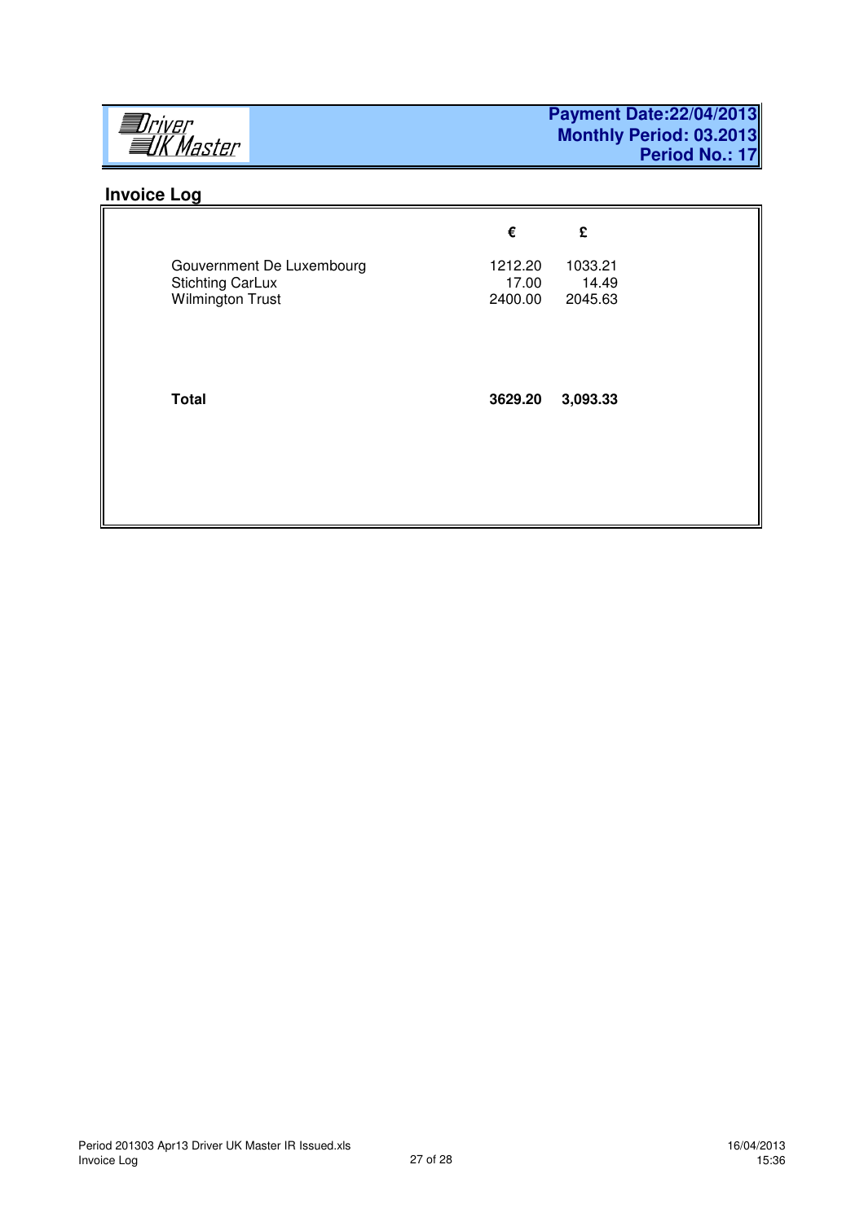

# **Invoice Log**

|                                                                                 | €                           | £                           |
|---------------------------------------------------------------------------------|-----------------------------|-----------------------------|
| Gouvernment De Luxembourg<br><b>Stichting CarLux</b><br><b>Wilmington Trust</b> | 1212.20<br>17.00<br>2400.00 | 1033.21<br>14.49<br>2045.63 |
| <b>Total</b>                                                                    | 3629.20                     | 3,093.33                    |
|                                                                                 |                             |                             |
|                                                                                 |                             |                             |